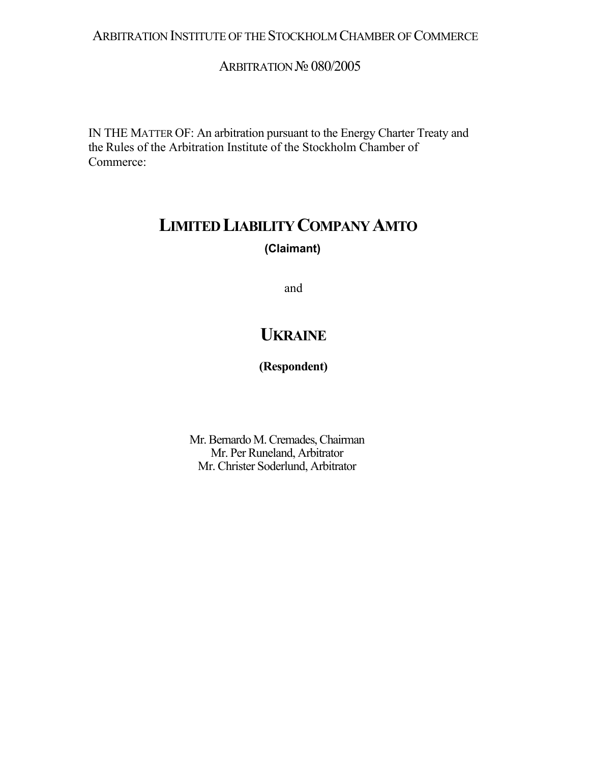# ARBITRATION INSTITUTE OF THE STOCKHOLM CHAMBER OF COMMERCE

# ARBITRATION № 080/2005

IN THE MATTER OF: An arbitration pursuant to the Energy Charter Treaty and the Rules of the Arbitration Institute of the Stockholm Chamber of Commerce:

# **LIMITED LIABILITY COMPANY AMTO (Claimant)**

and

# **UKRAINE**

# **(Respondent)**

Mr. Bernardo M. Cremades, Chairman Mr. Per Runeland, Arbitrator Mr. Christer Soderlund, Arbitrator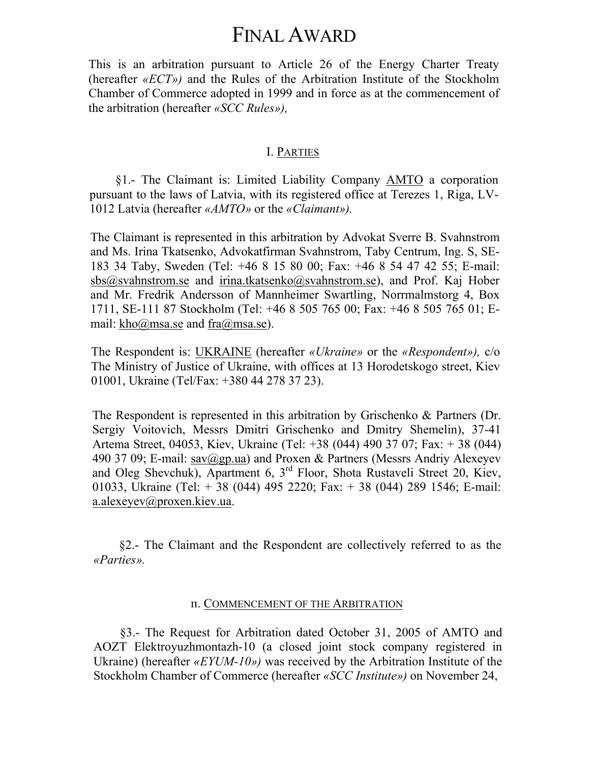# FINAL AWARD

This is an arbitration pursuant to Article 26 of the Energy Charter Treaty (hereafter *«ЕСТ»)* and the Rules of the Arbitration Institute of the Stockholm Chamber of Commerce adopted in 1999 and in force as at the commencement of the arbitration (hereafter *«SCC Rules»),*

#### I. PARTIES

§1.- The Claimant is: Limited Liability Company AMTO a corporation pursuant to the laws of Latvia, with its registered office at Terezes 1, Riga, LV-1012 Latvia (hereafter *«AMTO»* or the *«Claimant»).*

The Claimant is represented in this arbitration by Advokat Sverre B. Svahnstrom and Ms. Irina Tkatsenko, Advokatfirman Svahnstrom, Taby Centrum, Ing. S, SE-183 34 Taby, Sweden (Tel: +46 8 15 80 00; Fax: +46 8 54 47 42 55; E-mail: [sbs@svahnstrom.se](mailto:sbs@svahnstrom.se) and [irina.tkatsenko@svahnstrom.se\)](mailto:irina.tkatsenko@svahnstrom.se), and Prof. Kaj Hober and Mr. Fredrik Andersson of Mannheimer Swartling, Norrmalmstorg 4, Box 1711, SE-111 87 Stockholm (Tel: +46 8 505 765 00; Fax: +46 8 505 765 01; Email: [kho@msa.se](mailto:kho@msa.se) and [fra@msa.se\)](mailto:fra@msa.se).

The Respondent is: UKRAINE (hereafter *«Ukraine»* or the *«Respondent»),* c/o The Ministry of Justice of Ukraine, with offices at 13 Horodetskogo street, Kiev 01001, Ukraine (Tel/Fax: +380 44 278 37 23).

The Respondent is represented in this arbitration by Grischenko & Partners (Dr. Sergiy Voitovich, Messrs Dmitri Grischenko and Dmitry Shemelin), 37-41 Artema Street, 04053, Kiev, Ukraine (Tel: +38 (044) 490 37 07; Fax: + 38 (044) 490 37 09; E-mail: [sav@gp.ua\)](mailto:sav@gp.ua) and Proxen & Partners (Messrs Andriy Alexeyev and Oleg Shevchuk), Apartment 6, 3rd Floor, Shota Rustaveli Street 20, Kiev, 01033, Ukraine (Tel: + 38 (044) 495 2220; Fax: + 38 (044) 289 1546; E-mail: [a.alexeyev@proxen.kiev.ua](mailto:a.alexeyev@proxen.kiev.ua).

§2.- The Claimant and the Respondent are collectively referred to as the *«Parties».*

#### п. COMMENCEMENT OF THE ARBITRATION

§3.- The Request for Arbitration dated October 31, 2005 of AMTO and AOZT Elektroyuzhmontazh-10 (a closed joint stock company registered in Ukraine) (hereafter *«EYUM-10»)* was received by the Arbitration Institute of the Stockholm Chamber of Commerce (hereafter *«SCC Institute»)* on November 24,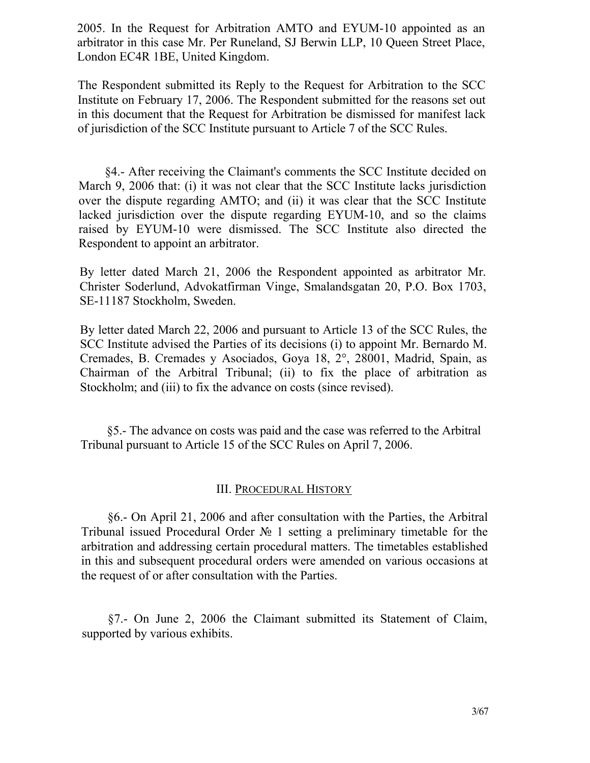2005. In the Request for Arbitration AMTO and EYUM-10 appointed as an arbitrator in this case Mr. Per Runeland, SJ Berwin LLP, 10 Queen Street Place, London EC4R 1BE, United Kingdom.

The Respondent submitted its Reply to the Request for Arbitration to the SCC Institute on February 17, 2006. The Respondent submitted for the reasons set out in this document that the Request for Arbitration be dismissed for manifest lack of jurisdiction of the SCC Institute pursuant to Article 7 of the SCC Rules.

§4.- After receiving the Claimant's comments the SCC Institute decided on March 9, 2006 that: (i) it was not clear that the SCC Institute lacks jurisdiction over the dispute regarding AMTO; and (ii) it was clear that the SCC Institute lacked jurisdiction over the dispute regarding EYUM-10, and so the claims raised by EYUM-10 were dismissed. The SCC Institute also directed the Respondent to appoint an arbitrator.

By letter dated March 21, 2006 the Respondent appointed as arbitrator Mr. Christer Soderlund, Advokatfirman Vinge, Smalandsgatan 20, P.O. Box 1703, SE-11187 Stockholm, Sweden.

By letter dated March 22, 2006 and pursuant to Article 13 of the SCC Rules, the SCC Institute advised the Parties of its decisions (i) to appoint Mr. Bernardo M. Cremades, B. Cremades у Asociados, Goya 18, 2°, 28001, Madrid, Spain, as Chairman of the Arbitral Tribunal; (ii) to fix the place of arbitration as Stockholm; and (iii) to fix the advance on costs (since revised).

§5.- The advance on costs was paid and the case was referred to the Arbitral Tribunal pursuant to Article 15 of the SCC Rules on April 7, 2006.

## III. PROCEDURAL HISTORY

§6.- On April 21, 2006 and after consultation with the Parties, the Arbitral Tribunal issued Procedural Order № 1 setting a preliminary timetable for the arbitration and addressing certain procedural matters. The timetables established in this and subsequent procedural orders were amended on various occasions at the request of or after consultation with the Parties.

§7.- On June 2, 2006 the Claimant submitted its Statement of Claim, supported by various exhibits.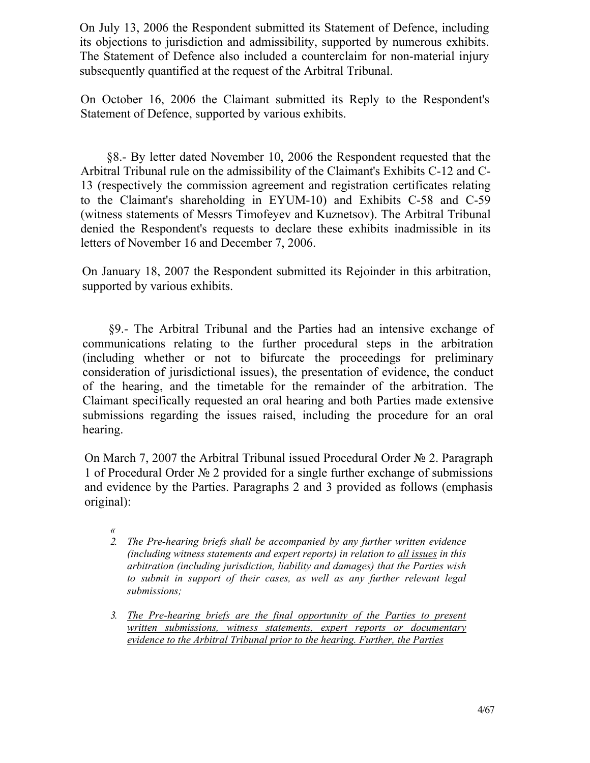On July 13, 2006 the Respondent submitted its Statement of Defence, including its objections to jurisdiction and admissibility, supported by numerous exhibits. The Statement of Defence also included a counterclaim for non-material injury subsequently quantified at the request of the Arbitral Tribunal.

On October 16, 2006 the Claimant submitted its Reply to the Respondent's Statement of Defence, supported by various exhibits.

§8.- By letter dated November 10, 2006 the Respondent requested that the Arbitral Tribunal rule on the admissibility of the Claimant's Exhibits C-12 and C-13 (respectively the commission agreement and registration certificates relating to the Claimant's shareholding in EYUM-10) and Exhibits C-58 and C-59 (witness statements of Messrs Timofeyev and Kuznetsov). The Arbitral Tribunal denied the Respondent's requests to declare these exhibits inadmissible in its letters of November 16 and December 7, 2006.

On January 18, 2007 the Respondent submitted its Rejoinder in this arbitration, supported by various exhibits.

§9.- The Arbitral Tribunal and the Parties had an intensive exchange of communications relating to the further procedural steps in the arbitration (including whether or not to bifurcate the proceedings for preliminary consideration of jurisdictional issues), the presentation of evidence, the conduct of the hearing, and the timetable for the remainder of the arbitration. The Claimant specifically requested an oral hearing and both Parties made extensive submissions regarding the issues raised, including the procedure for an oral hearing.

On March 7, 2007 the Arbitral Tribunal issued Procedural Order № 2. Paragraph 1 of Procedural Order № 2 provided for a single further exchange of submissions and evidence by the Parties. Paragraphs 2 and 3 provided as follows (emphasis original):

- *2. The Pre-hearing briefs shall be accompanied by any further written evidence (including witness statements and expert reports) in relation to all issues in this arbitration (including jurisdiction, liability and damages) that the Parties wish to submit in support of their cases, as well as any further relevant legal submissions;*
- *3. The Pre-hearing briefs are the final opportunity of the Parties to present written submissions, witness statements, expert reports or documentary evidence to the Arbitral Tribunal prior to the hearing. Further, the Parties*

*<sup>«</sup>*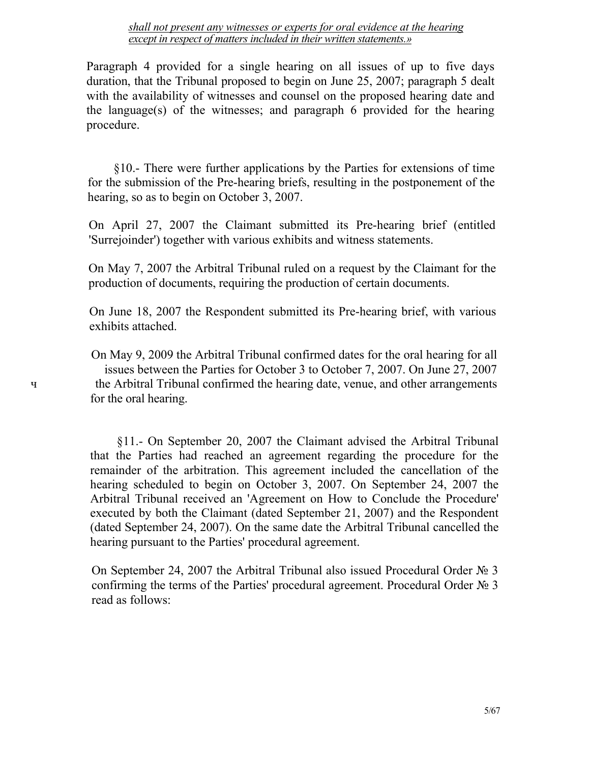*shall not present any witnesses or experts for oral evidence at the hearing except in respect of matters included in their written statements.»*

Paragraph 4 provided for a single hearing on all issues of up to five days duration, that the Tribunal proposed to begin on June 25, 2007; paragraph 5 dealt with the availability of witnesses and counsel on the proposed hearing date and the language(s) of the witnesses; and paragraph 6 provided for the hearing procedure.

§10.- There were further applications by the Parties for extensions of time for the submission of the Pre-hearing briefs, resulting in the postponement of the hearing, so as to begin on October 3, 2007.

On April 27, 2007 the Claimant submitted its Pre-hearing brief (entitled 'Surrejoinder') together with various exhibits and witness statements.

On May 7, 2007 the Arbitral Tribunal ruled on a request by the Claimant for the production of documents, requiring the production of certain documents.

On June 18, 2007 the Respondent submitted its Pre-hearing brief, with various exhibits attached.

On May 9, 2009 the Arbitral Tribunal confirmed dates for the oral hearing for all issues between the Parties for October 3 to October 7, 2007. On June 27, 2007 ч the Arbitral Tribunal confirmed the hearing date, venue, and other arrangements for the oral hearing.

> §11.- On September 20, 2007 the Claimant advised the Arbitral Tribunal that the Parties had reached an agreement regarding the procedure for the remainder of the arbitration. This agreement included the cancellation of the hearing scheduled to begin on October 3, 2007. On September 24, 2007 the Arbitral Tribunal received an 'Agreement on How to Conclude the Procedure' executed by both the Claimant (dated September 21, 2007) and the Respondent (dated September 24, 2007). On the same date the Arbitral Tribunal cancelled the hearing pursuant to the Parties' procedural agreement.

> On September 24, 2007 the Arbitral Tribunal also issued Procedural Order № 3 confirming the terms of the Parties' procedural agreement. Procedural Order № 3 read as follows: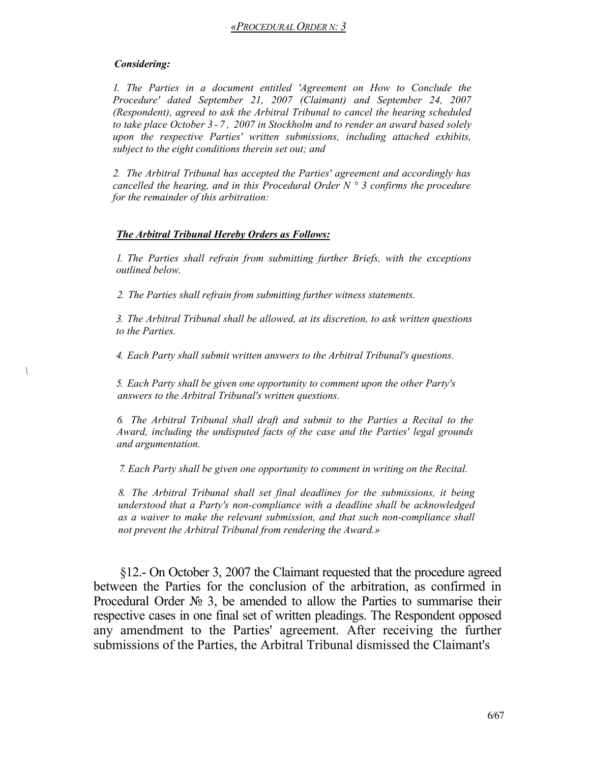#### *Considering:*

*\*

*1. The Parties in a document entitled 'Agreement on How to Conclude the Procedure' dated September 21, 2007 (Claimant) and September 24, 2007 (Respondent), agreed to ask the Arbitral Tribunal to cancel the hearing scheduled to take place October 3 - 7 , 2007 in Stockholm and to render an award based solely upon the respective Parties' written submissions, including attached exhibits, subject to the eight conditions therein set out; and* 

*2. The Arbitral Tribunal has accepted the Parties' agreement and accordingly has cancelled the hearing, and in this Procedural Order N ° 3 confirms the procedure for the remainder of this arbitration:* 

#### *The Arbitral Tribunal Hereby Orders as Follows:*

*1. The Parties shall refrain from submitting further Briefs, with the exceptions outlined below.*

*2. The Parties shall refrain from submitting further witness statements.*

*3. The Arbitral Tribunal shall be allowed, at its discretion, to ask written questions to the Parties.* 

*4. Each Party shall submit written answers to the Arbitral Tribunal's questions.* 

*5. Each Party shall be given one opportunity to comment upon the other Party's answers to the Arbitral Tribunal's written questions.*

*6. The Arbitral Tribunal shall draft and submit to the Parties a Recital to the Award, including the undisputed facts of the case and the Parties' legal grounds and argumentation.*

*7. Each Party shall be given one opportunity to comment in writing on the Recital.*

*8. The Arbitral Tribunal shall set final deadlines for the submissions, it being understood that a Party's non-compliance with a deadline shall be acknowledged as a waiver to make the relevant submission, and that such non-compliance shall not prevent the Arbitral Tribunal from rendering the Award.»*

§12.- On October 3, 2007 the Claimant requested that the procedure agreed between the Parties for the conclusion of the arbitration, as confirmed in Procedural Order № 3, be amended to allow the Parties to summarise their respective cases in one final set of written pleadings. The Respondent opposed any amendment to the Parties' agreement. After receiving the further submissions of the Parties, the Arbitral Tribunal dismissed the Claimant's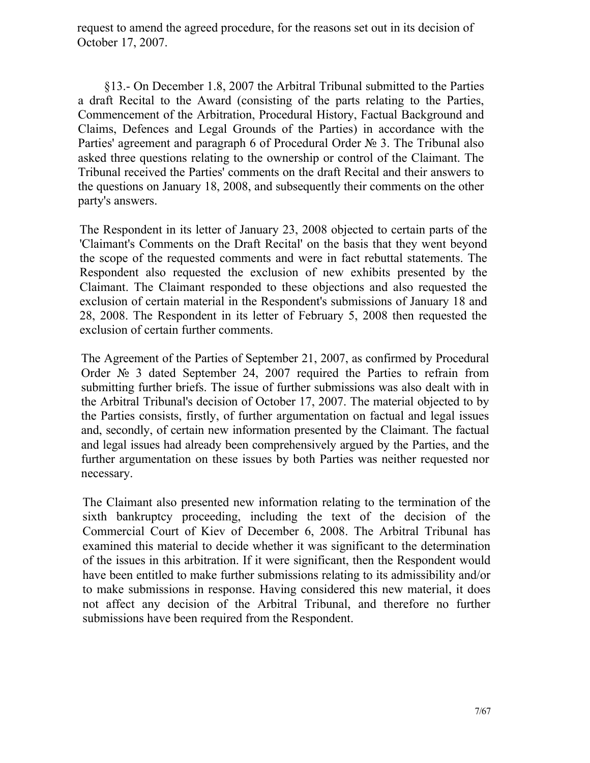request to amend the agreed procedure, for the reasons set out in its decision of October 17, 2007.

§13.- On December 1.8, 2007 the Arbitral Tribunal submitted to the Parties a draft Recital to the Award (consisting of the parts relating to the Parties, Commencement of the Arbitration, Procedural History, Factual Background and Claims, Defences and Legal Grounds of the Parties) in accordance with the Parties' agreement and paragraph 6 of Procedural Order № 3. The Tribunal also asked three questions relating to the ownership or control of the Claimant. The Tribunal received the Parties' comments on the draft Recital and their answers to the questions on January 18, 2008, and subsequently their comments on the other party's answers.

The Respondent in its letter of January 23, 2008 objected to certain parts of the 'Claimant's Comments on the Draft Recital' on the basis that they went beyond the scope of the requested comments and were in fact rebuttal statements. The Respondent also requested the exclusion of new exhibits presented by the Claimant. The Claimant responded to these objections and also requested the exclusion of certain material in the Respondent's submissions of January 18 and 28, 2008. The Respondent in its letter of February 5, 2008 then requested the exclusion of certain further comments.

The Agreement of the Parties of September 21, 2007, as confirmed by Procedural Order № 3 dated September 24, 2007 required the Parties to refrain from submitting further briefs. The issue of further submissions was also dealt with in the Arbitral Tribunal's decision of October 17, 2007. The material objected to by the Parties consists, firstly, of further argumentation on factual and legal issues and, secondly, of certain new information presented by the Claimant. The factual and legal issues had already been comprehensively argued by the Parties, and the further argumentation on these issues by both Parties was neither requested nor necessary.

The Claimant also presented new information relating to the termination of the sixth bankruptcy proceeding, including the text of the decision of the Commercial Court of Kiev of December 6, 2008. The Arbitral Tribunal has examined this material to decide whether it was significant to the determination of the issues in this arbitration. If it were significant, then the Respondent would have been entitled to make further submissions relating to its admissibility and/or to make submissions in response. Having considered this new material, it does not affect any decision of the Arbitral Tribunal, and therefore no further submissions have been required from the Respondent.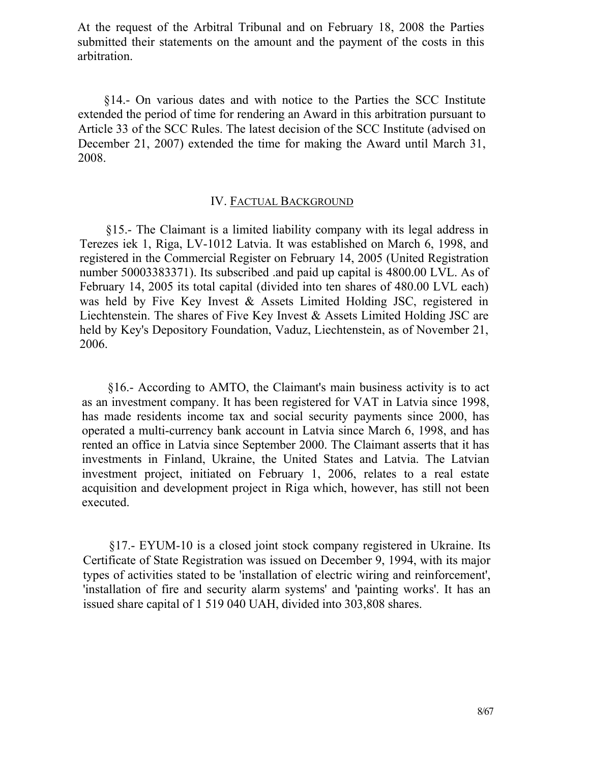At the request of the Arbitral Tribunal and on February 18, 2008 the Parties submitted their statements on the amount and the payment of the costs in this arbitration.

§14.- On various dates and with notice to the Parties the SCC Institute extended the period of time for rendering an Award in this arbitration pursuant to Article 33 of the SCC Rules. The latest decision of the SCC Institute (advised on December 21, 2007) extended the time for making the Award until March 31, 2008.

#### IV. FACTUAL BACKGROUND

§15.- The Claimant is a limited liability company with its legal address in Terezes iek 1, Riga, LV-1012 Latvia. It was established on March 6, 1998, and registered in the Commercial Register on February 14, 2005 (United Registration number 50003383371). Its subscribed .and paid up capital is 4800.00 LVL. As of February 14, 2005 its total capital (divided into ten shares of 480.00 LVL each) was held by Five Key Invest & Assets Limited Holding JSC, registered in Liechtenstein. The shares of Five Key Invest & Assets Limited Holding JSC are held by Key's Depository Foundation, Vaduz, Liechtenstein, as of November 21, 2006.

§16.- According to AMTO, the Claimant's main business activity is to act as an investment company. It has been registered for VAT in Latvia since 1998, has made residents income tax and social security payments since 2000, has operated a multi-currency bank account in Latvia since March 6, 1998, and has rented an office in Latvia since September 2000. The Claimant asserts that it has investments in Finland, Ukraine, the United States and Latvia. The Latvian investment project, initiated on February 1, 2006, relates to a real estate acquisition and development project in Riga which, however, has still not been executed.

§17.- EYUM-10 is a closed joint stock company registered in Ukraine. Its Certificate of State Registration was issued on December 9, 1994, with its major types of activities stated to be 'installation of electric wiring and reinforcement', 'installation of fire and security alarm systems' and 'painting works'. It has an issued share capital of 1 519 040 UAH, divided into 303,808 shares.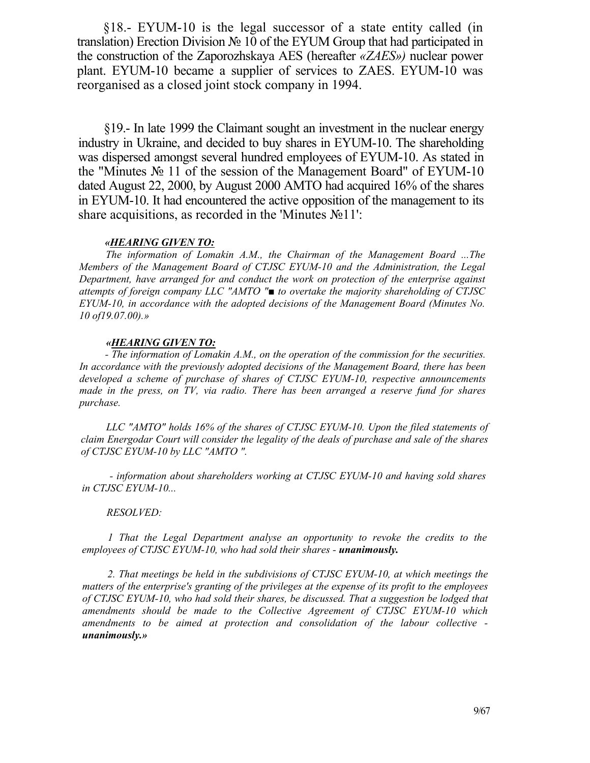§18.- EYUM-10 is the legal successor of a state entity called (in translation) Erection Division № 10 of the EYUM Group that had participated in the construction of the Zaporozhskaya AES (hereafter *«ZAES»)* nuclear power plant. EYUM-10 became a supplier of services to ZAES. EYUM-10 was reorganised as a closed joint stock company in 1994.

§19.- In late 1999 the Claimant sought an investment in the nuclear energy industry in Ukraine, and decided to buy shares in EYUM-10. The shareholding was dispersed amongst several hundred employees of EYUM-10. As stated in the "Minutes № 11 of the session of the Management Board" of EYUM-10 dated August 22, 2000, by August 2000 AMTO had acquired 16% of the shares in EYUM-10. It had encountered the active opposition of the management to its share acquisitions, as recorded in the 'Minutes №11':

#### *«HEARING GIVEN TO:*

*The information of Lomakin A.M., the Chairman of the Management Board ...The Members of the Management Board of CTJSC EYUM-10 and the Administration, the Legal Department, have arranged for and conduct the work on protection of the enterprise against attempts of foreign company LLC "AMTO "■ to overtake the majority shareholding of CTJSC EYUM-10, in accordance with the adopted decisions of the Management Board (Minutes No. 10 of19.07.00).»*

#### *«HEARING GIVEN TO:*

*- The information of Lomakin A.M., on the operation of the commission for the securities. In accordance with the previously adopted decisions of the Management Board, there has been developed a scheme of purchase of shares of CTJSC EYUM-10, respective announcements made in the press, on TV, via radio. There has been arranged a reserve fund for shares purchase.*

*LLC "AMTO" holds 16% of the shares of CTJSC EYUM-10. Upon the filed statements of claim Energodar Court will consider the legality of the deals of purchase and sale of the shares of CTJSC EYUM-10 by LLC "AMTO ".*

*- information about shareholders working at CTJSC EYUM-10 and having sold shares in CTJSC EYUM-10...*

#### *RESOLVED:*

*1 That the Legal Department analyse an opportunity to revoke the credits to the employees of CTJSC EYUM-10, who had sold their shares - unanimously.*

*2. That meetings be held in the subdivisions of CTJSC EYUM-10, at which meetings the matters of the enterprise's granting of the privileges at the expense of its profit to the employees of CTJSC EYUM-10, who had sold their shares, be discussed. That a suggestion be lodged that amendments should be made to the Collective Agreement of CTJSC EYUM-10 which amendments to be aimed at protection and consolidation of the labour collective unanimously.»*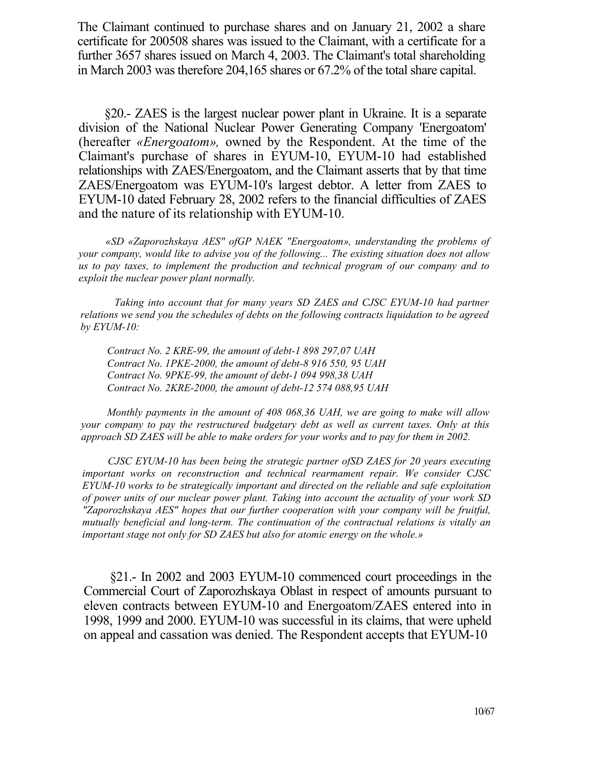The Claimant continued to purchase shares and on January 21, 2002 a share certificate for 200508 shares was issued to the Claimant, with a certificate for a further 3657 shares issued on March 4, 2003. The Claimant's total shareholding in March 2003 was therefore 204,165 shares or 67.2% of the total share capital.

§20.- ZAES is the largest nuclear power plant in Ukraine. It is a separate division of the National Nuclear Power Generating Company 'Energoatom' (hereafter *«Energoatom»,* owned by the Respondent. At the time of the Claimant's purchase of shares in EYUM-10, EYUM-10 had established relationships with ZAES/Energoatom, and the Claimant asserts that by that time ZAES/Energoatom was EYUM-10's largest debtor. A letter from ZAES to EYUM-10 dated February 28, 2002 refers to the financial difficulties of ZAES and the nature of its relationship with EYUM-10.

*«SD «Zaporozhskaya AES" ofGP NAEK "Energoatom», understanding the problems of your company, would like to advise you of the following... The existing situation does not allow us to pay taxes, to implement the production and technical program of our company and to exploit the nuclear power plant normally.*

*Taking into account that for many years SD ZAES and CJSC EYUM-10 had partner relations we send you the schedules of debts on the following contracts liquidation to be agreed by EYUM-10:*

*Contract No. 2 KRE-99, the amount of debt-1 898 297,07 UAH Contract No. 1PKE-2000, the amount of debt-8 916 550, 95 UAH Contract No. 9PKE-99, the amount of debt-1 094 998,38 UAH Contract No. 2KRE-2000, the amount of debt-12 574 088,95 UAH*

*Monthly payments in the amount of 408 068,36 UAH, we are going to make will allow your company to pay the restructured budgetary debt as well as current taxes. Only at this approach SD ZAES will be able to make orders for your works and to pay for them in 2002.*

*CJSC EYUM-10 has been being the strategic partner ofSD ZAES for 20 years executing important works on reconstruction and technical rearmament repair. We consider CJSC EYUM-10 works to be strategically important and directed on the reliable and safe exploitation of power units of our nuclear power plant. Taking into account the actuality of your work SD "Zaporozhskaya AES" hopes that our further cooperation with your company will be fruitful, mutually beneficial and long-term. The continuation of the contractual relations is vitally an important stage not only for SD ZAES but also for atomic energy on the whole.»*

§21.- In 2002 and 2003 EYUM-10 commenced court proceedings in the Commercial Court of Zaporozhskaya Oblast in respect of amounts pursuant to eleven contracts between EYUM-10 and Energoatom/ZAES entered into in 1998, 1999 and 2000. EYUM-10 was successful in its claims, that were upheld on appeal and cassation was denied. The Respondent accepts that EYUM-10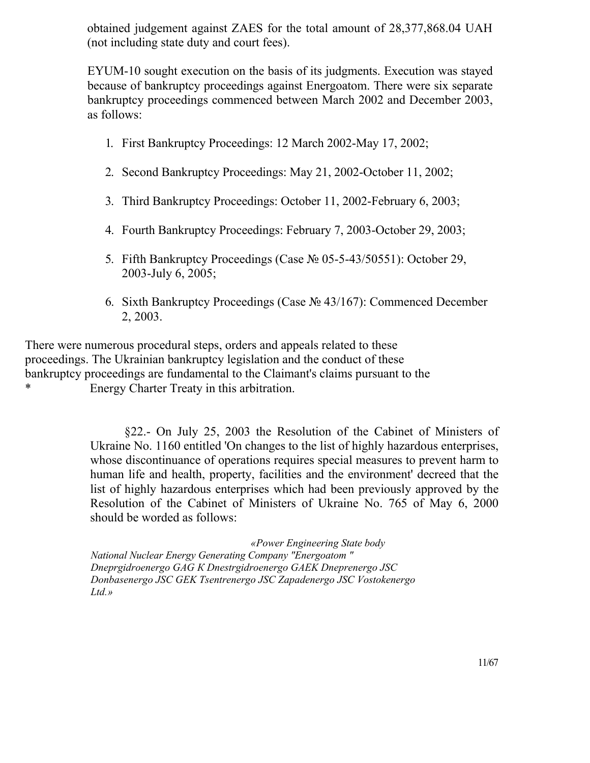obtained judgement against ZAES for the total amount of 28,377,868.04 UAH (not including state duty and court fees).

EYUM-10 sought execution on the basis of its judgments. Execution was stayed because of bankruptcy proceedings against Energoatom. There were six separate bankruptcy proceedings commenced between March 2002 and December 2003, as follows:

- 1. First Bankruptcy Proceedings: 12 March 2002-May 17, 2002;
- 2. Second Bankruptcy Proceedings: May 21, 2002-October 11, 2002;
- 3. Third Bankruptcy Proceedings: October 11, 2002-February 6, 2003;
- 4. Fourth Bankruptcy Proceedings: February 7, 2003-October 29, 2003;
- 5. Fifth Bankruptcy Proceedings (Case № 05-5-43/50551): October 29, 2003-July 6, 2005;
- 6. Sixth Bankruptcy Proceedings (Case № 43/167): Commenced December 2, 2003.

There were numerous procedural steps, orders and appeals related to these proceedings. The Ukrainian bankruptcy legislation and the conduct of these bankruptcy proceedings are fundamental to the Claimant's claims pursuant to the \* Energy Charter Treaty in this arbitration.

> §22.- On July 25, 2003 the Resolution of the Cabinet of Ministers of Ukraine No. 1160 entitled 'On changes to the list of highly hazardous enterprises, whose discontinuance of operations requires special measures to prevent harm to human life and health, property, facilities and the environment' decreed that the list of highly hazardous enterprises which had been previously approved by the Resolution of the Cabinet of Ministers of Ukraine No. 765 of May 6, 2000 should be worded as follows:

*«Power Engineering State body National Nuclear Energy Generating Company "Energoatom " Dneprgidroenergo GAG К Dnestrgidroenergo GAEK Dneprenergo JSC Donbasenergo JSC GEK Tsentrenergo JSC Zapadenergo JSC Vostokenergo Ltd.»*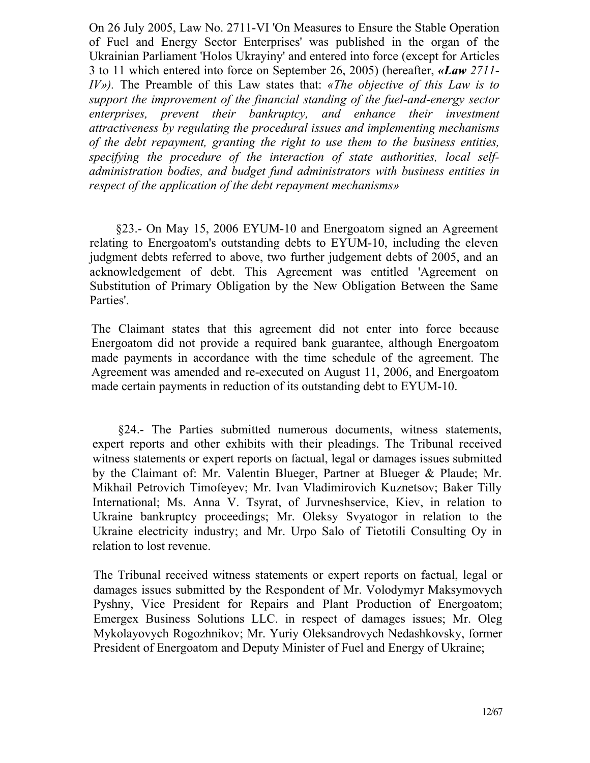On 26 July 2005, Law No. 2711-VI 'On Measures to Ensure the Stable Operation of Fuel and Energy Sector Enterprises' was published in the organ of the Ukrainian Parliament 'Holos Ukrayiny' and entered into force (except for Articles 3 to 11 which entered into force on September 26, 2005) (hereafter, *«Law 2711- IV»).* The Preamble of this Law states that: *«The objective of this Law is to support the improvement of the financial standing of the fuel-and-energy sector enterprises, prevent their bankruptcy, and enhance their investment attractiveness by regulating the procedural issues and implementing mechanisms of the debt repayment, granting the right to use them to the business entities, specifying the procedure of the interaction of state authorities, local selfadministration bodies, and budget fund administrators with business entities in respect of the application of the debt repayment mechanisms»*

§23.- On May 15, 2006 EYUM-10 and Energoatom signed an Agreement relating to Energoatom's outstanding debts to EYUM-10, including the eleven judgment debts referred to above, two further judgement debts of 2005, and an acknowledgement of debt. This Agreement was entitled 'Agreement on Substitution of Primary Obligation by the New Obligation Between the Same Parties'.

The Claimant states that this agreement did not enter into force because Energoatom did not provide a required bank guarantee, although Energoatom made payments in accordance with the time schedule of the agreement. The Agreement was amended and re-executed on August 11, 2006, and Energoatom made certain payments in reduction of its outstanding debt to EYUM-10.

§24.- The Parties submitted numerous documents, witness statements, expert reports and other exhibits with their pleadings. The Tribunal received witness statements or expert reports on factual, legal or damages issues submitted by the Claimant of: Mr. Valentin Blueger, Partner at Blueger & Plaude; Mr. Mikhail Petrovich Timofeyev; Mr. Ivan Vladimirovich Kuznetsov; Baker Tilly International; Ms. Anna V. Tsyrat, of Jurvneshservice, Kiev, in relation to Ukraine bankruptcy proceedings; Mr. Oleksy Svyatogor in relation to the Ukraine electricity industry; and Mr. Urpo Salo of Tietotili Consulting Oy in relation to lost revenue.

The Tribunal received witness statements or expert reports on factual, legal or damages issues submitted by the Respondent of Mr. Volodymyr Maksymovych Pyshny, Vice President for Repairs and Plant Production of Energoatom; Emergex Business Solutions LLC. in respect of damages issues; Mr. Oleg Mykolayovych Rogozhnikov; Mr. Yuriy Oleksandrovych Nedashkovsky, former President of Energoatom and Deputy Minister of Fuel and Energy of Ukraine;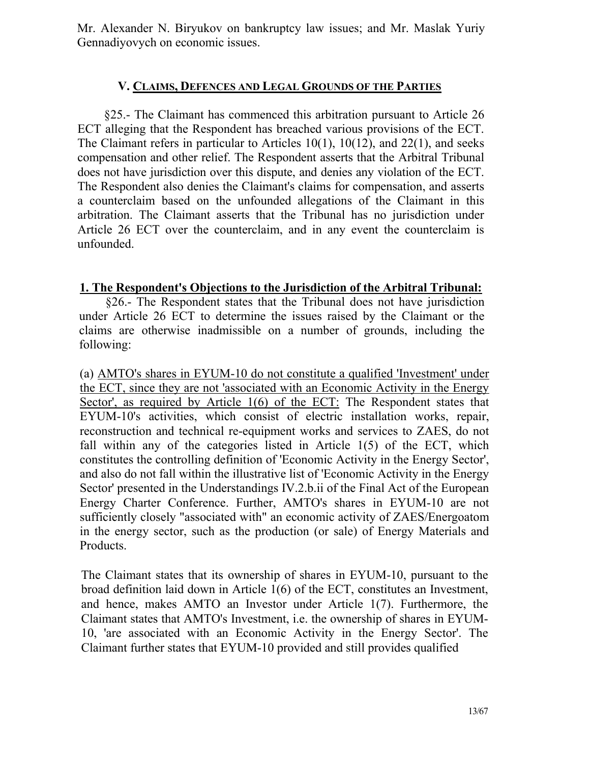Mr. Alexander N. Biryukov on bankruptcy law issues; and Mr. Maslak Yuriy Gennadiyovych on economic issues.

## **V. CLAIMS, DEFENCES AND LEGAL GROUNDS OF THE PARTIES**

§25.- The Claimant has commenced this arbitration pursuant to Article 26 ЕСТ alleging that the Respondent has breached various provisions of the ЕСТ. The Claimant refers in particular to Articles 10(1), 10(12), and 22(1), and seeks compensation and other relief. The Respondent asserts that the Arbitral Tribunal does not have jurisdiction over this dispute, and denies any violation of the ЕСТ. The Respondent also denies the Claimant's claims for compensation, and asserts a counterclaim based on the unfounded allegations of the Claimant in this arbitration. The Claimant asserts that the Tribunal has no jurisdiction under Article 26 ЕСТ over the counterclaim, and in any event the counterclaim is unfounded.

## **1. The Respondent's Objections to the Jurisdiction of the Arbitral Tribunal:**

§26.- The Respondent states that the Tribunal does not have jurisdiction under Article 26 ЕСТ to determine the issues raised by the Claimant or the claims are otherwise inadmissible on a number of grounds, including the following:

(a) AMTO's shares in EYUM-10 do not constitute a qualified 'Investment' under the ЕСТ, since they are not 'associated with an Economic Activity in the Energy Sector', as required by Article 1(6) of the ECT: The Respondent states that EYUM-10's activities, which consist of electric installation works, repair, reconstruction and technical re-equipment works and services to ZAES, do not fall within any of the categories listed in Article 1(5) of the ECT, which constitutes the controlling definition of 'Economic Activity in the Energy Sector', and also do not fall within the illustrative list of 'Economic Activity in the Energy Sector' presented in the Understandings IV.2.b.ii of the Final Act of the European Energy Charter Conference. Further, AMTO's shares in EYUM-10 are not sufficiently closely "associated with" an economic activity of ZAES/Energoatom in the energy sector, such as the production (or sale) of Energy Materials and Products.

The Claimant states that its ownership of shares in EYUM-10, pursuant to the broad definition laid down in Article 1(6) of the ЕСТ, constitutes an Investment, and hence, makes AMTO an Investor under Article 1(7). Furthermore, the Claimant states that AMTO's Investment, i.e. the ownership of shares in EYUM-10, 'are associated with an Economic Activity in the Energy Sector'. The Claimant further states that EYUM-10 provided and still provides qualified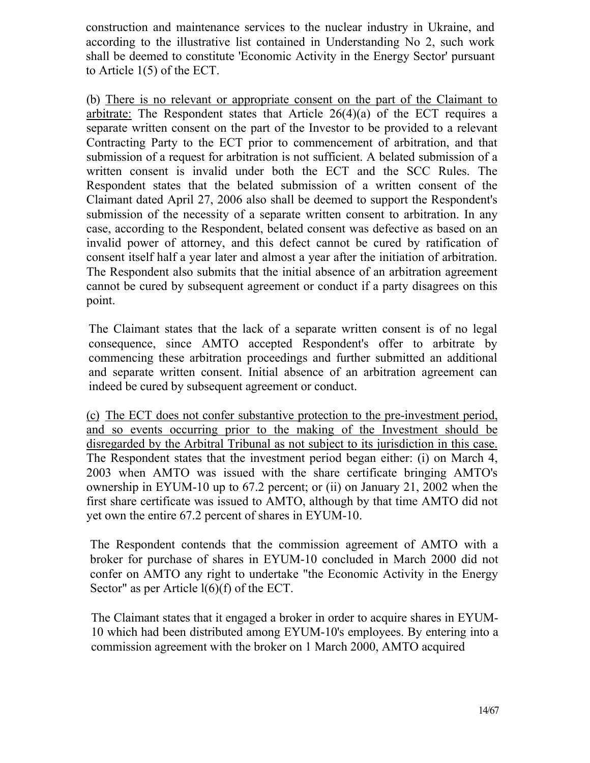construction and maintenance services to the nuclear industry in Ukraine, and according to the illustrative list contained in Understanding No 2, such work shall be deemed to constitute 'Economic Activity in the Energy Sector' pursuant to Article 1(5) of the ЕСТ.

(b) There is no relevant or appropriate consent on the part of the Claimant to arbitrate: The Respondent states that Article  $26(4)(a)$  of the ECT requires a separate written consent on the part of the Investor to be provided to a relevant Contracting Party to the ЕСТ prior to commencement of arbitration, and that submission of a request for arbitration is not sufficient. A belated submission of a written consent is invalid under both the ЕСТ and the SCC Rules. The Respondent states that the belated submission of a written consent of the Claimant dated April 27, 2006 also shall be deemed to support the Respondent's submission of the necessity of a separate written consent to arbitration. In any case, according to the Respondent, belated consent was defective as based on an invalid power of attorney, and this defect cannot be cured by ratification of consent itself half a year later and almost a year after the initiation of arbitration. The Respondent also submits that the initial absence of an arbitration agreement cannot be cured by subsequent agreement or conduct if a party disagrees on this point.

The Claimant states that the lack of a separate written consent is of no legal consequence, since AMTO accepted Respondent's offer to arbitrate by commencing these arbitration proceedings and further submitted an additional and separate written consent. Initial absence of an arbitration agreement can indeed be cured by subsequent agreement or conduct.

(c) The ЕСТ does not confer substantive protection to the pre-investment period, and so events occurring prior to the making of the Investment should be disregarded by the Arbitral Tribunal as not subject to its jurisdiction in this case. The Respondent states that the investment period began either: (i) on March 4, 2003 when AMTO was issued with the share certificate bringing AMTO's ownership in EYUM-10 up to 67.2 percent; or (ii) on January 21, 2002 when the first share certificate was issued to AMTO, although by that time AMTO did not yet own the entire 67.2 percent of shares in EYUM-10.

The Respondent contends that the commission agreement of AMTO with a broker for purchase of shares in EYUM-10 concluded in March 2000 did not confer on AMTO any right to undertake "the Economic Activity in the Energy Sector" as per Article  $l(6)$ (f) of the ECT.

The Claimant states that it engaged a broker in order to acquire shares in EYUM-10 which had been distributed among EYUM-10's employees. By entering into a commission agreement with the broker on 1 March 2000, AMTO acquired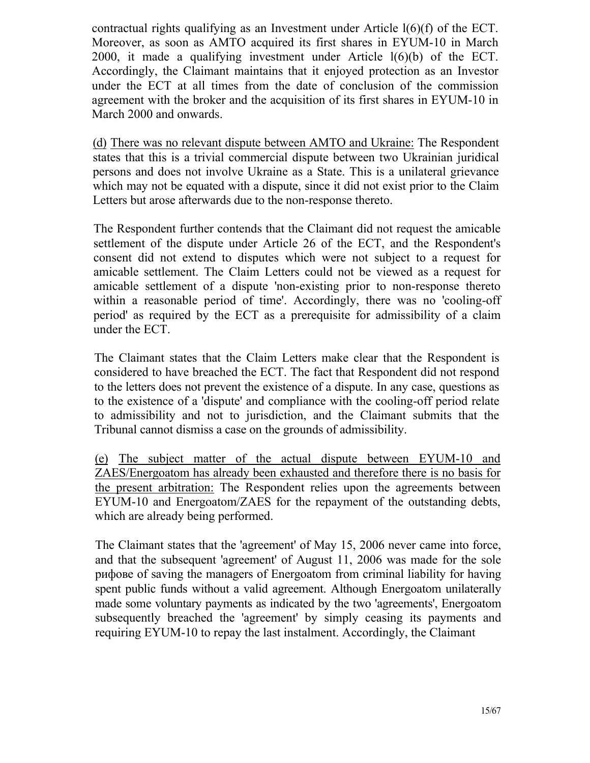contractual rights qualifying as an Investment under Article  $l(6)$ (f) of the ECT. Moreover, as soon as AMTO acquired its first shares in EYUM-10 in March 2000, it made a qualifying investment under Article l(6)(b) of the ЕСТ. Accordingly, the Claimant maintains that it enjoyed protection as an Investor under the ЕСТ at all times from the date of conclusion of the commission agreement with the broker and the acquisition of its first shares in EYUM-10 in March 2000 and onwards.

(d) There was no relevant dispute between AMTO and Ukraine: The Respondent states that this is a trivial commercial dispute between two Ukrainian juridical persons and does not involve Ukraine as a State. This is a unilateral grievance which may not be equated with a dispute, since it did not exist prior to the Claim Letters but arose afterwards due to the non-response thereto.

The Respondent further contends that the Claimant did not request the amicable settlement of the dispute under Article 26 of the ЕСТ, and the Respondent's consent did not extend to disputes which were not subject to a request for amicable settlement. The Claim Letters could not be viewed as a request for amicable settlement of a dispute 'non-existing prior to non-response thereto within a reasonable period of time'. Accordingly, there was no 'cooling-off period' as required by the ЕСТ as a prerequisite for admissibility of a claim under the ЕСТ.

The Claimant states that the Claim Letters make clear that the Respondent is considered to have breached the ЕСТ. The fact that Respondent did not respond to the letters does not prevent the existence of a dispute. In any case, questions as to the existence of a 'dispute' and compliance with the cooling-off period relate to admissibility and not to jurisdiction, and the Claimant submits that the Tribunal cannot dismiss a case on the grounds of admissibility.

(e) The subject matter of the actual dispute between EYUM-10 and ZAES/Energoatom has already been exhausted and therefore there is no basis for the present arbitration: The Respondent relies upon the agreements between EYUM-10 and Energoatom/ZAES for the repayment of the outstanding debts, which are already being performed.

The Claimant states that the 'agreement' of May 15, 2006 never came into force, and that the subsequent 'agreement' of August 11, 2006 was made for the sole рифове of saving the managers of Energoatom from criminal liability for having spent public funds without a valid agreement. Although Energoatom unilaterally made some voluntary payments as indicated by the two 'agreements', Energoatom subsequently breached the 'agreement' by simply ceasing its payments and requiring EYUM-10 to repay the last instalment. Accordingly, the Claimant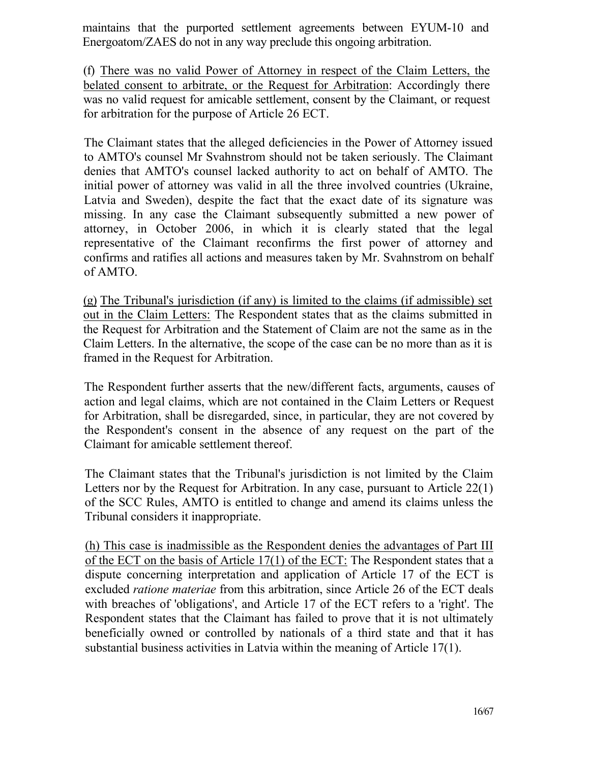maintains that the purported settlement agreements between EYUM-10 and Energoatom/ZAES do not in any way preclude this ongoing arbitration.

(f) There was no valid Power of Attorney in respect of the Claim Letters, the belated consent to arbitrate, or the Request for Arbitration: Accordingly there was no valid request for amicable settlement, consent by the Claimant, or request for arbitration for the purpose of Article 26 ЕСТ.

The Claimant states that the alleged deficiencies in the Power of Attorney issued to AMTO's counsel Mr Svahnstrom should not be taken seriously. The Claimant denies that AMTO's counsel lacked authority to act on behalf of AMTO. The initial power of attorney was valid in all the three involved countries (Ukraine, Latvia and Sweden), despite the fact that the exact date of its signature was missing. In any case the Claimant subsequently submitted a new power of attorney, in October 2006, in which it is clearly stated that the legal representative of the Claimant reconfirms the first power of attorney and confirms and ratifies all actions and measures taken by Mr. Svahnstrom on behalf of AMTO.

(g) The Tribunal's jurisdiction (if any) is limited to the claims (if admissible) set out in the Claim Letters: The Respondent states that as the claims submitted in the Request for Arbitration and the Statement of Claim are not the same as in the Claim Letters. In the alternative, the scope of the case can be no more than as it is framed in the Request for Arbitration.

The Respondent further asserts that the new/different facts, arguments, causes of action and legal claims, which are not contained in the Claim Letters or Request for Arbitration, shall be disregarded, since, in particular, they are not covered by the Respondent's consent in the absence of any request on the part of the Claimant for amicable settlement thereof.

The Claimant states that the Tribunal's jurisdiction is not limited by the Claim Letters nor by the Request for Arbitration. In any case, pursuant to Article 22(1) of the SCC Rules, AMTO is entitled to change and amend its claims unless the Tribunal considers it inappropriate.

(h) This case is inadmissible as the Respondent denies the advantages of Part III of the ЕСТ on the basis of Article 17(1) of the ЕСТ: The Respondent states that a dispute concerning interpretation and application of Article 17 of the ЕСТ is excluded *ratione materiae* from this arbitration, since Article 26 of the ЕСТ deals with breaches of 'obligations', and Article 17 of the ЕСТ refers to a 'right'. The Respondent states that the Claimant has failed to prove that it is not ultimately beneficially owned or controlled by nationals of a third state and that it has substantial business activities in Latvia within the meaning of Article 17(1).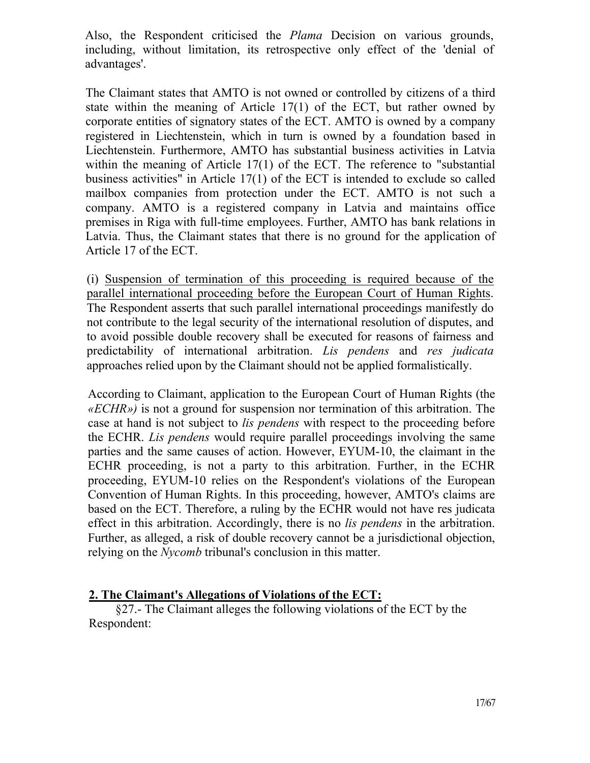Also, the Respondent criticised the *Plama* Decision on various grounds, including, without limitation, its retrospective only effect of the 'denial of advantages'.

The Claimant states that AMTO is not owned or controlled by citizens of a third state within the meaning of Article 17(1) of the ЕСТ, but rather owned by corporate entities of signatory states of the ЕСТ. AMTO is owned by a company registered in Liechtenstein, which in turn is owned by a foundation based in Liechtenstein. Furthermore, AMTO has substantial business activities in Latvia within the meaning of Article 17(1) of the ECT. The reference to "substantial business activities" in Article 17(1) of the ЕСТ is intended to exclude so called mailbox companies from protection under the ЕСТ. AMTO is not such a company. AMTO is a registered company in Latvia and maintains office premises in Riga with full-time employees. Further, AMTO has bank relations in Latvia. Thus, the Claimant states that there is no ground for the application of Article 17 of the ЕСТ.

(і) Suspension of termination of this proceeding is required because of the parallel international proceeding before the European Court of Human Rights. The Respondent asserts that such parallel international proceedings manifestly do not contribute to the legal security of the international resolution of disputes, and to avoid possible double recovery shall be executed for reasons of fairness and predictability of international arbitration. *Lis pendens* and *res judicata*  approaches relied upon by the Claimant should not be applied formalistically.

According to Claimant, application to the European Court of Human Rights (the *«ECHR»)* is not a ground for suspension nor termination of this arbitration. The case at hand is not subject to *lis pendens* with respect to the proceeding before the ECHR. *Lis pendens* would require parallel proceedings involving the same parties and the same causes of action. However, EYUM-10, the claimant in the ECHR proceeding, is not a party to this arbitration. Further, in the ECHR proceeding, EYUM-10 relies on the Respondent's violations of the European Convention of Human Rights. In this proceeding, however, AMTO's claims are based on the ЕСТ. Therefore, a ruling by the ECHR would not have res judicata effect in this arbitration. Accordingly, there is no *lis pendens* in the arbitration. Further, as alleged, a risk of double recovery cannot be a jurisdictional objection, relying on the *Nycomb* tribunal's conclusion in this matter.

## **2. The Claimant's Allegations of Violations of the ЕСТ:**

§27.- The Claimant alleges the following violations of the ЕСТ by the Respondent: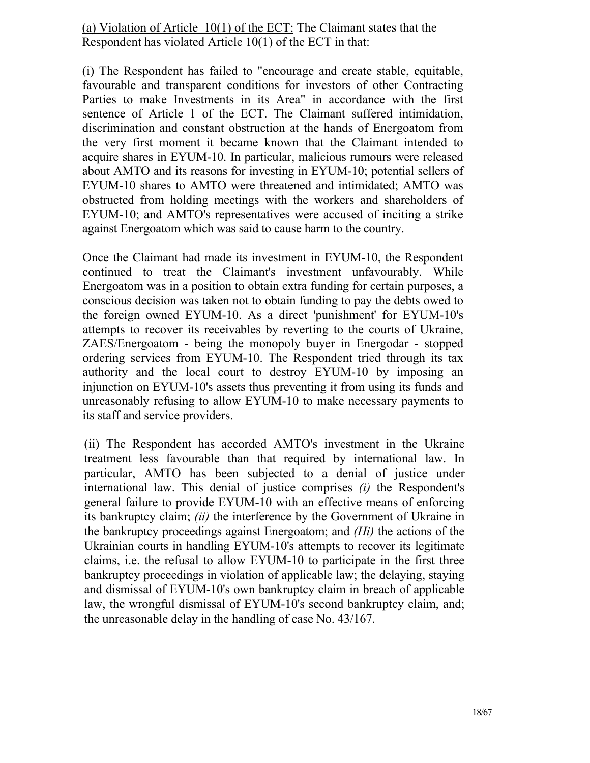(a) Violation of Article 10(1) of the ЕСТ: The Claimant states that the Respondent has violated Article 10(1) of the ЕСТ in that:

(i) The Respondent has failed to "encourage and create stable, equitable, favourable and transparent conditions for investors of other Contracting Parties to make Investments in its Area" in accordance with the first sentence of Article 1 of the ЕСТ. The Claimant suffered intimidation, discrimination and constant obstruction at the hands of Energoatom from the very first moment it became known that the Claimant intended to acquire shares in EYUM-10. In particular, malicious rumours were released about AMTO and its reasons for investing in EYUM-10; potential sellers of EYUM-10 shares to AMTO were threatened and intimidated; AMTO was obstructed from holding meetings with the workers and shareholders of EYUM-10; and AMTO's representatives were accused of inciting a strike against Energoatom which was said to cause harm to the country.

Once the Claimant had made its investment in EYUM-10, the Respondent continued to treat the Claimant's investment unfavourably. While Energoatom was in a position to obtain extra funding for certain purposes, a conscious decision was taken not to obtain funding to pay the debts owed to the foreign owned EYUM-10. As a direct 'punishment' for EYUM-10's attempts to recover its receivables by reverting to the courts of Ukraine, ZAES/Energoatom - being the monopoly buyer in Energodar - stopped ordering services from EYUM-10. The Respondent tried through its tax authority and the local court to destroy EYUM-10 by imposing an injunction on EYUM-10's assets thus preventing it from using its funds and unreasonably refusing to allow EYUM-10 to make necessary payments to its staff and service providers.

(ii) The Respondent has accorded AMTO's investment in the Ukraine treatment less favourable than that required by international law. In particular, AMTO has been subjected to a denial of justice under international law. This denial of justice comprises *(i)* the Respondent's general failure to provide EYUM-10 with an effective means of enforcing its bankruptcy claim; *(ii)* the interference by the Government of Ukraine in the bankruptcy proceedings against Energoatom; and *(Hi)* the actions of the Ukrainian courts in handling EYUM-10's attempts to recover its legitimate claims, i.e. the refusal to allow EYUM-10 to participate in the first three bankruptcy proceedings in violation of applicable law; the delaying, staying and dismissal of EYUM-10's own bankruptcy claim in breach of applicable law, the wrongful dismissal of EYUM-10's second bankruptcy claim, and; the unreasonable delay in the handling of case No. 43/167.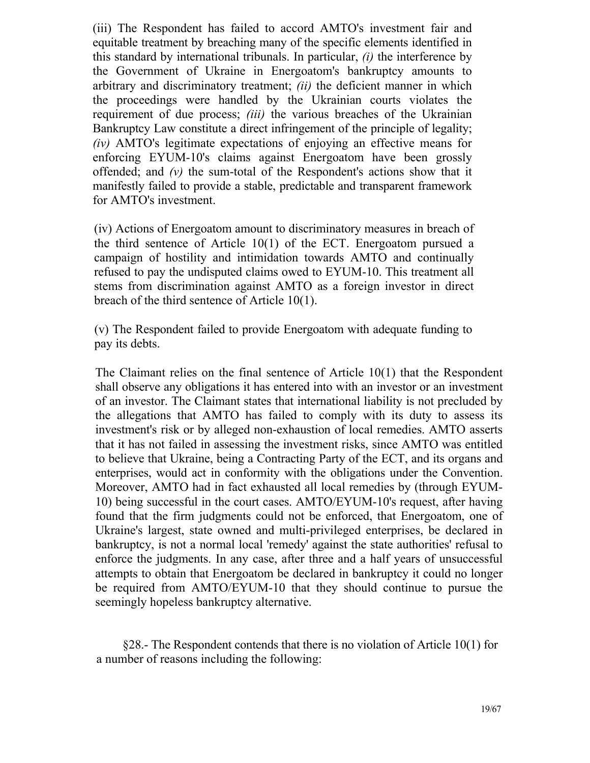(iii) The Respondent has failed to accord AMTO's investment fair and equitable treatment by breaching many of the specific elements identified in this standard by international tribunals. In particular, *(i)* the interference by the Government of Ukraine in Energoatom's bankruptcy amounts to arbitrary and discriminatory treatment; *(ii)* the deficient manner in which the proceedings were handled by the Ukrainian courts violates the requirement of due process; *(iii)* the various breaches of the Ukrainian Bankruptcy Law constitute a direct infringement of the principle of legality; *(iv)* AMTO's legitimate expectations of enjoying an effective means for enforcing EYUM-10's claims against Energoatom have been grossly offended; and *(v)* the sum-total of the Respondent's actions show that it manifestly failed to provide a stable, predictable and transparent framework for AMTO's investment.

(iv) Actions of Energoatom amount to discriminatory measures in breach of the third sentence of Article 10(1) of the ЕСТ. Energoatom pursued a campaign of hostility and intimidation towards AMTO and continually refused to pay the undisputed claims owed to EYUM-10. This treatment all stems from discrimination against AMTO as a foreign investor in direct breach of the third sentence of Article 10(1).

(v) The Respondent failed to provide Energoatom with adequate funding to pay its debts.

The Claimant relies on the final sentence of Article 10(1) that the Respondent shall observe any obligations it has entered into with an investor or an investment of an investor. The Claimant states that international liability is not precluded by the allegations that AMTO has failed to comply with its duty to assess its investment's risk or by alleged non-exhaustion of local remedies. AMTO asserts that it has not failed in assessing the investment risks, since AMTO was entitled to believe that Ukraine, being a Contracting Party of the ЕСТ, and its organs and enterprises, would act in conformity with the obligations under the Convention. Moreover, AMTO had in fact exhausted all local remedies by (through EYUM-10) being successful in the court cases. AMTO/EYUM-10's request, after having found that the firm judgments could not be enforced, that Energoatom, one of Ukraine's largest, state owned and multi-privileged enterprises, be declared in bankruptcy, is not a normal local 'remedy' against the state authorities' refusal to enforce the judgments. In any case, after three and a half years of unsuccessful attempts to obtain that Energoatom be declared in bankruptcy it could no longer be required from AMTO/EYUM-10 that they should continue to pursue the seemingly hopeless bankruptcy alternative.

§28.- The Respondent contends that there is no violation of Article 10(1) for a number of reasons including the following: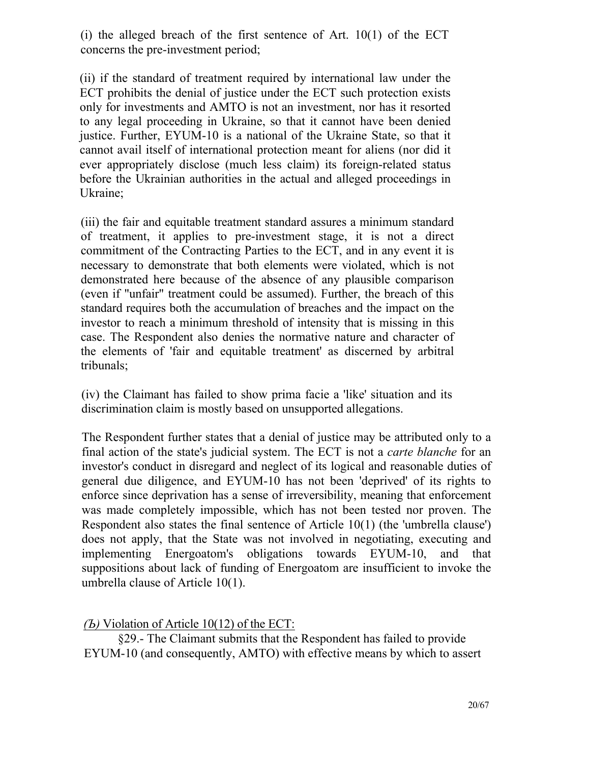(i) the alleged breach of the first sentence of Art.  $10(1)$  of the ECT concerns the pre-investment period;

(ii) if the standard of treatment required by international law under the ЕСТ prohibits the denial of justice under the ЕСТ such protection exists only for investments and AMTO is not an investment, nor has it resorted to any legal proceeding in Ukraine, so that it cannot have been denied justice. Further, EYUM-10 is a national of the Ukraine State, so that it cannot avail itself of international protection meant for aliens (nor did it ever appropriately disclose (much less claim) its foreign-related status before the Ukrainian authorities in the actual and alleged proceedings in Ukraine;

(iii) the fair and equitable treatment standard assures a minimum standard of treatment, it applies to pre-investment stage, it is not a direct commitment of the Contracting Parties to the ЕСТ, and in any event it is necessary to demonstrate that both elements were violated, which is not demonstrated here because of the absence of any plausible comparison (even if "unfair" treatment could be assumed). Further, the breach of this standard requires both the accumulation of breaches and the impact on the investor to reach a minimum threshold of intensity that is missing in this case. The Respondent also denies the normative nature and character of the elements of 'fair and equitable treatment' as discerned by arbitral tribunals;

(iv) the Claimant has failed to show prima facie a 'like' situation and its discrimination claim is mostly based on unsupported allegations.

The Respondent further states that a denial of justice may be attributed only to a final action of the state's judicial system. The ЕСТ is not a *carte blanche* for an investor's conduct in disregard and neglect of its logical and reasonable duties of general due diligence, and EYUM-10 has not been 'deprived' of its rights to enforce since deprivation has a sense of irreversibility, meaning that enforcement was made completely impossible, which has not been tested nor proven. The Respondent also states the final sentence of Article 10(1) (the 'umbrella clause') does not apply, that the State was not involved in negotiating, executing and implementing Energoatom's obligations towards EYUM-10, and that suppositions about lack of funding of Energoatom are insufficient to invoke the umbrella clause of Article 10(1).

## *(Ъ)* Violation of Article 10(12) of the ЕСТ:

§29.- The Claimant submits that the Respondent has failed to provide EYUM-10 (and consequently, AMTO) with effective means by which to assert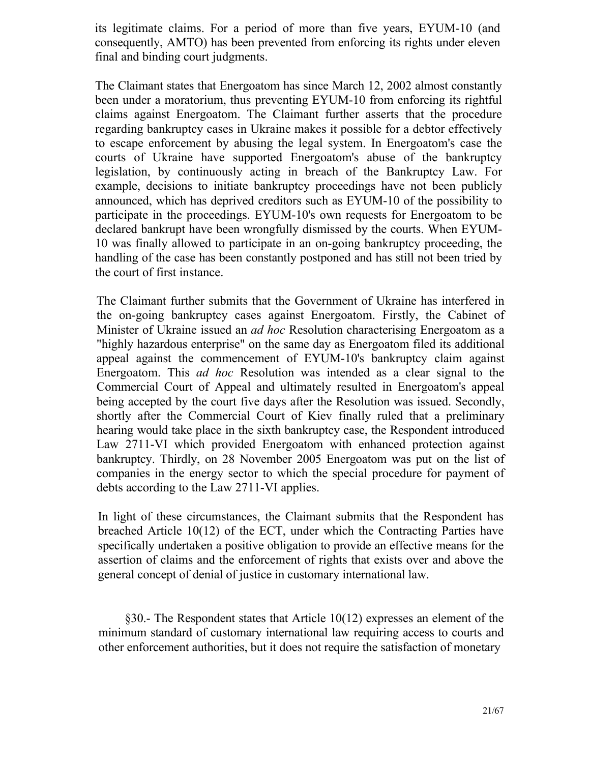its legitimate claims. For a period of more than five years, EYUM-10 (and consequently, AMTO) has been prevented from enforcing its rights under eleven final and binding court judgments.

The Claimant states that Energoatom has since March 12, 2002 almost constantly been under a moratorium, thus preventing EYUM-10 from enforcing its rightful claims against Energoatom. The Claimant further asserts that the procedure regarding bankruptcy cases in Ukraine makes it possible for a debtor effectively to escape enforcement by abusing the legal system. In Energoatom's case the courts of Ukraine have supported Energoatom's abuse of the bankruptcy legislation, by continuously acting in breach of the Bankruptcy Law. For example, decisions to initiate bankruptcy proceedings have not been publicly announced, which has deprived creditors such as EYUM-10 of the possibility to participate in the proceedings. EYUM-10's own requests for Energoatom to be declared bankrupt have been wrongfully dismissed by the courts. When EYUM-10 was finally allowed to participate in an on-going bankruptcy proceeding, the handling of the case has been constantly postponed and has still not been tried by the court of first instance.

The Claimant further submits that the Government of Ukraine has interfered in the on-going bankruptcy cases against Energoatom. Firstly, the Cabinet of Minister of Ukraine issued an *ad hoc* Resolution characterising Energoatom as a "highly hazardous enterprise" on the same day as Energoatom filed its additional appeal against the commencement of EYUM-10's bankruptcy claim against Energoatom. This *ad hoc* Resolution was intended as a clear signal to the Commercial Court of Appeal and ultimately resulted in Energoatom's appeal being accepted by the court five days after the Resolution was issued. Secondly, shortly after the Commercial Court of Kiev finally ruled that a preliminary hearing would take place in the sixth bankruptcy case, the Respondent introduced Law 2711-VI which provided Energoatom with enhanced protection against bankruptcy. Thirdly, on 28 November 2005 Energoatom was put on the list of companies in the energy sector to which the special procedure for payment of debts according to the Law 2711-VI applies.

In light of these circumstances, the Claimant submits that the Respondent has breached Article 10(12) of the ЕСТ, under which the Contracting Parties have specifically undertaken a positive obligation to provide an effective means for the assertion of claims and the enforcement of rights that exists over and above the general concept of denial of justice in customary international law.

§30.- The Respondent states that Article 10(12) expresses an element of the minimum standard of customary international law requiring access to courts and other enforcement authorities, but it does not require the satisfaction of monetary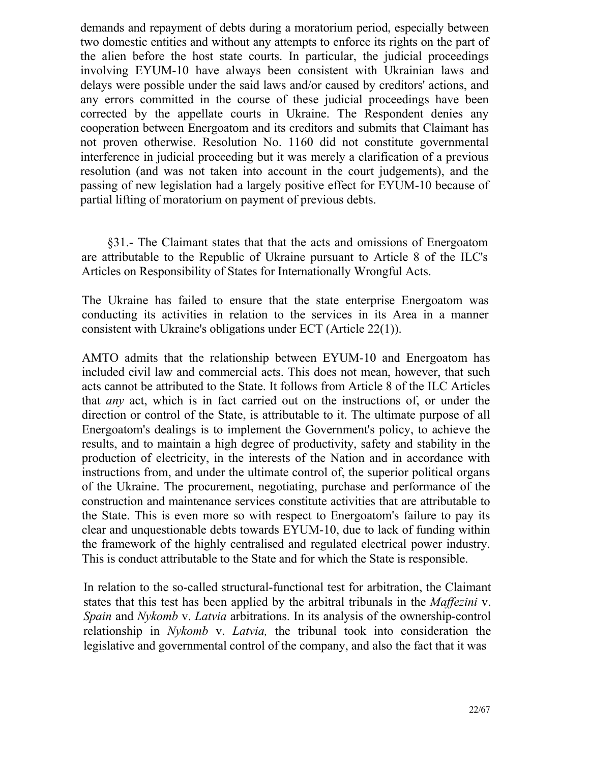demands and repayment of debts during a moratorium period, especially between two domestic entities and without any attempts to enforce its rights on the part of the alien before the host state courts. In particular, the judicial proceedings involving EYUM-10 have always been consistent with Ukrainian laws and delays were possible under the said laws and/or caused by creditors' actions, and any errors committed in the course of these judicial proceedings have been corrected by the appellate courts in Ukraine. The Respondent denies any cooperation between Energoatom and its creditors and submits that Claimant has not proven otherwise. Resolution No. 1160 did not constitute governmental interference in judicial proceeding but it was merely a clarification of a previous resolution (and was not taken into account in the court judgements), and the passing of new legislation had a largely positive effect for EYUM-10 because of partial lifting of moratorium on payment of previous debts.

§31.- The Claimant states that that the acts and omissions of Energoatom are attributable to the Republic of Ukraine pursuant to Article 8 of the ILC's Articles on Responsibility of States for Internationally Wrongful Acts.

The Ukraine has failed to ensure that the state enterprise Energoatom was conducting its activities in relation to the services in its Area in a manner consistent with Ukraine's obligations under ЕСТ (Article 22(1)).

AMTO admits that the relationship between EYUM-10 and Energoatom has included civil law and commercial acts. This does not mean, however, that such acts cannot be attributed to the State. It follows from Article 8 of the ILC Articles that *any* act, which is in fact carried out on the instructions of, or under the direction or control of the State, is attributable to it. The ultimate purpose of all Energoatom's dealings is to implement the Government's policy, to achieve the results, and to maintain a high degree of productivity, safety and stability in the production of electricity, in the interests of the Nation and in accordance with instructions from, and under the ultimate control of, the superior political organs of the Ukraine. The procurement, negotiating, purchase and performance of the construction and maintenance services constitute activities that are attributable to the State. This is even more so with respect to Energoatom's failure to pay its clear and unquestionable debts towards EYUM-10, due to lack of funding within the framework of the highly centralised and regulated electrical power industry. This is conduct attributable to the State and for which the State is responsible.

In relation to the so-called structural-functional test for arbitration, the Claimant states that this test has been applied by the arbitral tribunals in the *Maffezini* v. *Spain* and *Nykomb* v. *Latvia* arbitrations. In its analysis of the ownership-control relationship in *Nykomb* v. *Latvia,* the tribunal took into consideration the legislative and governmental control of the company, and also the fact that it was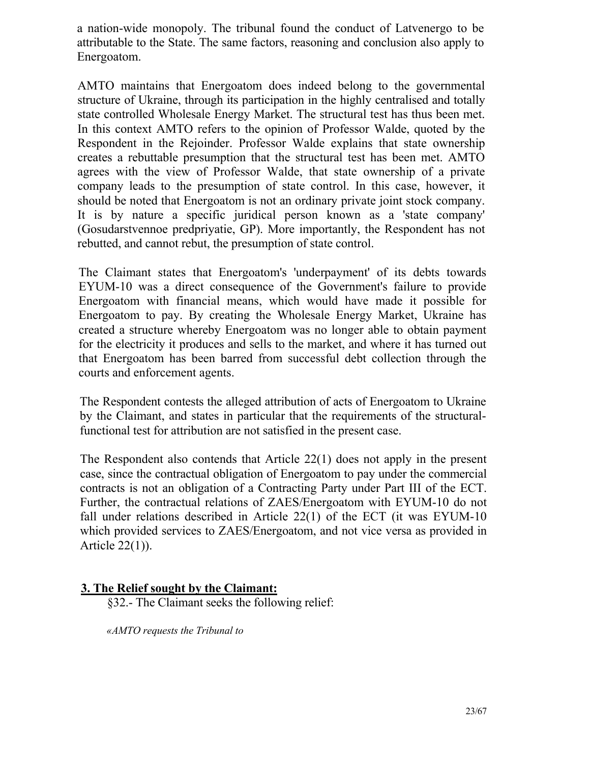a nation-wide monopoly. The tribunal found the conduct of Latvenergo to be attributable to the State. The same factors, reasoning and conclusion also apply to Energoatom.

AMTO maintains that Energoatom does indeed belong to the governmental structure of Ukraine, through its participation in the highly centralised and totally state controlled Wholesale Energy Market. The structural test has thus been met. In this context AMTO refers to the opinion of Professor Walde, quoted by the Respondent in the Rejoinder. Professor Walde explains that state ownership creates a rebuttable presumption that the structural test has been met. AMTO agrees with the view of Professor Walde, that state ownership of a private company leads to the presumption of state control. In this case, however, it should be noted that Energoatom is not an ordinary private joint stock company. It is by nature a specific juridical person known as a 'state company' (Gosudarstvennoe predpriyatie, GP). More importantly, the Respondent has not rebutted, and cannot rebut, the presumption of state control.

The Claimant states that Energoatom's 'underpayment' of its debts towards EYUM-10 was a direct consequence of the Government's failure to provide Energoatom with financial means, which would have made it possible for Energoatom to pay. By creating the Wholesale Energy Market, Ukraine has created a structure whereby Energoatom was no longer able to obtain payment for the electricity it produces and sells to the market, and where it has turned out that Energoatom has been barred from successful debt collection through the courts and enforcement agents.

The Respondent contests the alleged attribution of acts of Energoatom to Ukraine by the Claimant, and states in particular that the requirements of the structuralfunctional test for attribution are not satisfied in the present case.

The Respondent also contends that Article 22(1) does not apply in the present case, since the contractual obligation of Energoatom to pay under the commercial contracts is not an obligation of a Contracting Party under Part III of the ЕСТ. Further, the contractual relations of ZAES/Energoatom with EYUM-10 do not fall under relations described in Article 22(1) of the ECT (it was EYUM-10 which provided services to ZAES/Energoatom, and not vice versa as provided in Article 22(1)).

## **3. The Relief sought by the Claimant:**

§32.- The Claimant seeks the following relief:

*«AMTO requests the Tribunal to*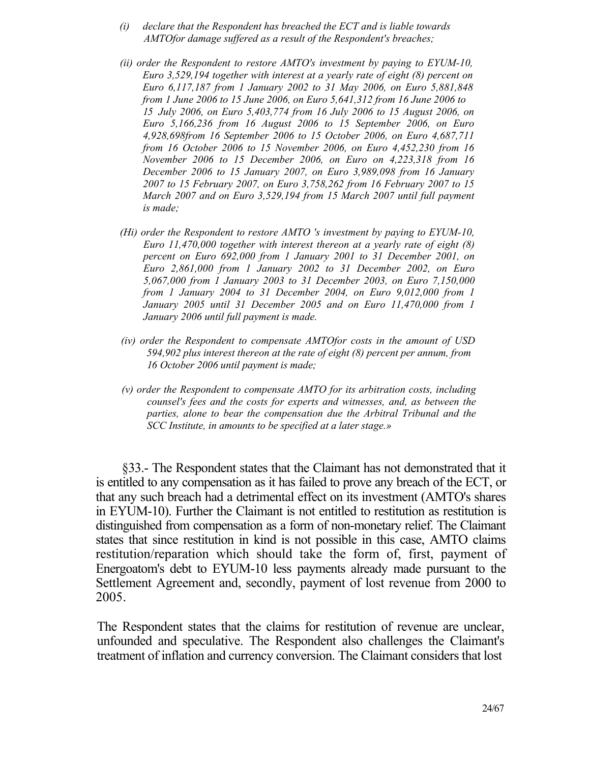- *(і) declare that the Respondent has breached the ЕСТ and is liable towards AMTOfor damage suffered as a result of the Respondent's breaches;*
- *(ii) order the Respondent to restore AMTO's investment by paying to EYUM-10, Euro 3,529,194 together with interest at a yearly rate of eight (8) percent on Euro 6,117,187 from 1 January 2002 to 31 May 2006, on Euro 5,881,848 from 1 June 2006 to 15 June 2006, on Euro 5,641,312 from 16 June 2006 to 15 July 2006, on Euro 5,403,774 from 16 July 2006 to 15 August 2006, on Euro 5,166,236 from 16 August 2006 to 15 September 2006, on Euro 4,928,698from 16 September 2006 to 15 October 2006, on Euro 4,687,711 from 16 October 2006 to 15 November 2006, on Euro 4,452,230 from 16 November 2006 to 15 December 2006, on Euro on 4,223,318 from 16 December 2006 to 15 January 2007, on Euro 3,989,098 from 16 January 2007 to 15 February 2007, on Euro 3,758,262 from 16 February 2007 to 15 March 2007 and on Euro 3,529,194 from 15 March 2007 until full payment is made;*
- *(Hi) order the Respondent to restore AMTO 's investment by paying to EYUM-10, Euro 11,470,000 together with interest thereon at a yearly rate of eight (8) percent on Euro 692,000 from 1 January 2001 to 31 December 2001, on Euro 2,861,000 from 1 January 2002 to 31 December 2002, on Euro 5,067,000 from 1 January 2003 to 31 December 2003, on Euro 7,150,000 from 1 January 2004 to 31 December 2004, on Euro 9,012,000 from 1 January 2005 until 31 December 2005 and on Euro 11,470,000 from 1 January 2006 until full payment is made.*
- *(iv) order the Respondent to compensate AMTOfor costs in the amount of USD 594,902 plus interest thereon at the rate of eight (8) percent per annum, from 16 October 2006 until payment is made;*
- *(v) order the Respondent to compensate AMTO for its arbitration costs, including counsel's fees and the costs for experts and witnesses, and, as between the parties, alone to bear the compensation due the Arbitral Tribunal and the SCC Institute, in amounts to be specified at a later stage.»*

§33.- The Respondent states that the Claimant has not demonstrated that it is entitled to any compensation as it has failed to prove any breach of the ЕСТ, or that any such breach had a detrimental effect on its investment (AMTO's shares in EYUM-10). Further the Claimant is not entitled to restitution as restitution is distinguished from compensation as a form of non-monetary relief. The Claimant states that since restitution in kind is not possible in this case, AMTO claims restitution/reparation which should take the form of, first, payment of Energoatom's debt to EYUM-10 less payments already made pursuant to the Settlement Agreement and, secondly, payment of lost revenue from 2000 to 2005.

The Respondent states that the claims for restitution of revenue are unclear, unfounded and speculative. The Respondent also challenges the Claimant's treatment of inflation and currency conversion. The Claimant considers that lost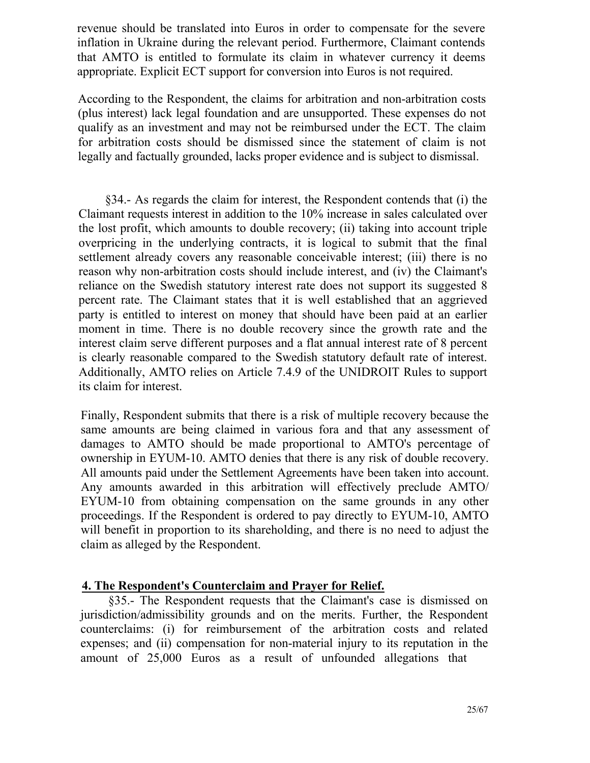revenue should be translated into Euros in order to compensate for the severe inflation in Ukraine during the relevant period. Furthermore, Claimant contends that AMTO is entitled to formulate its claim in whatever currency it deems appropriate. Explicit ЕСТ support for conversion into Euros is not required.

According to the Respondent, the claims for arbitration and non-arbitration costs (plus interest) lack legal foundation and are unsupported. These expenses do not qualify as an investment and may not be reimbursed under the ЕСТ. The claim for arbitration costs should be dismissed since the statement of claim is not legally and factually grounded, lacks proper evidence and is subject to dismissal.

§34.- As regards the claim for interest, the Respondent contends that (i) the Claimant requests interest in addition to the 10% increase in sales calculated over the lost profit, which amounts to double recovery; (ii) taking into account triple overpricing in the underlying contracts, it is logical to submit that the final settlement already covers any reasonable conceivable interest; (iii) there is no reason why non-arbitration costs should include interest, and (iv) the Claimant's reliance on the Swedish statutory interest rate does not support its suggested 8 percent rate. The Claimant states that it is well established that an aggrieved party is entitled to interest on money that should have been paid at an earlier moment in time. There is no double recovery since the growth rate and the interest claim serve different purposes and a flat annual interest rate of 8 percent is clearly reasonable compared to the Swedish statutory default rate of interest. Additionally, AMTO relies on Article 7.4.9 of the UNIDROIT Rules to support its claim for interest.

Finally, Respondent submits that there is a risk of multiple recovery because the same amounts are being claimed in various fora and that any assessment of damages to AMTO should be made proportional to AMTO's percentage of ownership in EYUM-10. AMTO denies that there is any risk of double recovery. All amounts paid under the Settlement Agreements have been taken into account. Any amounts awarded in this arbitration will effectively preclude AMTO/ EYUM-10 from obtaining compensation on the same grounds in any other proceedings. If the Respondent is ordered to pay directly to EYUM-10, AMTO will benefit in proportion to its shareholding, and there is no need to adjust the claim as alleged by the Respondent.

## **4. The Respondent's Counterclaim and Prayer for Relief.**

§35.- The Respondent requests that the Claimant's case is dismissed on jurisdiction/admissibility grounds and on the merits. Further, the Respondent counterclaims: (i) for reimbursement of the arbitration costs and related expenses; and (ii) compensation for non-material injury to its reputation in the amount of 25,000 Euros as a result of unfounded allegations that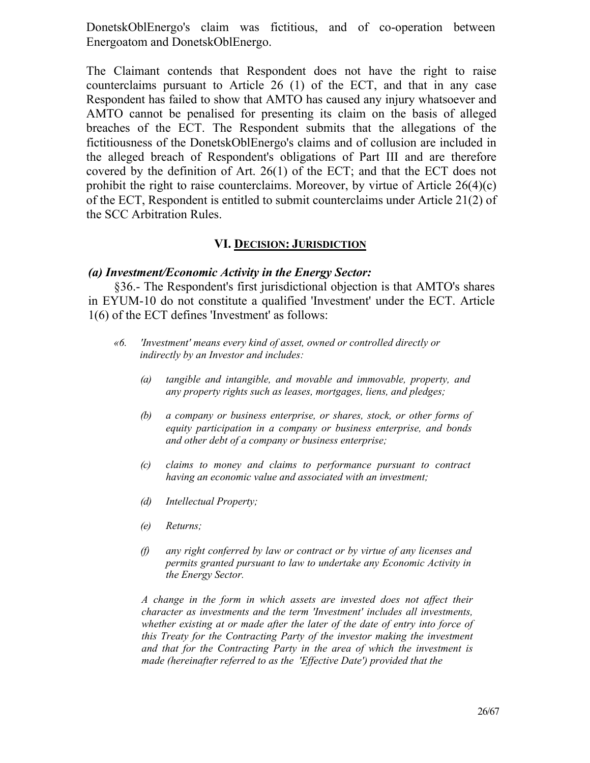DonetskOblEnergo's claim was fictitious, and of co-operation between Energoatom and DonetskOblEnergo.

The Claimant contends that Respondent does not have the right to raise counterclaims pursuant to Article 26 (1) of the ЕСТ, and that in any case Respondent has failed to show that AMTO has caused any injury whatsoever and AMTO cannot be penalised for presenting its claim on the basis of alleged breaches of the ЕСТ. The Respondent submits that the allegations of the fictitiousness of the DonetskOblEnergo's claims and of collusion are included in the alleged breach of Respondent's obligations of Part III and are therefore covered by the definition of Art. 26(1) of the ЕСТ; and that the ЕСТ does not prohibit the right to raise counterclaims. Moreover, by virtue of Article 26(4)(c) of the ЕСТ, Respondent is entitled to submit counterclaims under Article 21(2) of the SCC Arbitration Rules.

#### **VI. DECISION: JURISDICTION**

#### *(a) Investment/Economic Activity in the Energy Sector:*

§36.- The Respondent's first jurisdictional objection is that AMTO's shares in EYUM-10 do not constitute a qualified 'Investment' under the ЕСТ. Article 1(6) of the ЕСТ defines 'Investment' as follows:

- *«6. 'Investment' means every kind of asset, owned or controlled directly or indirectly by an Investor and includes:*
	- *(a) tangible and intangible, and movable and immovable, property, and any property rights such as leases, mortgages, liens, and pledges;*
	- *(b) a company or business enterprise, or shares, stock, or other forms of equity participation in a company or business enterprise, and bonds and other debt of a company or business enterprise;*
	- *(c) claims to money and claims to performance pursuant to contract having an economic value and associated with an investment;*
	- *(d) Intellectual Property;*
	- *(e) Returns;*
	- *(f) any right conferred by law or contract or by virtue of any licenses and permits granted pursuant to law to undertake any Economic Activity in the Energy Sector.*

*A change in the form in which assets are invested does not affect their character as investments and the term 'Investment' includes all investments, whether existing at or made after the later of the date of entry into force of this Treaty for the Contracting Party of the investor making the investment and that for the Contracting Party in the area of which the investment is made (hereinafter referred to as the 'Effective Date') provided that the*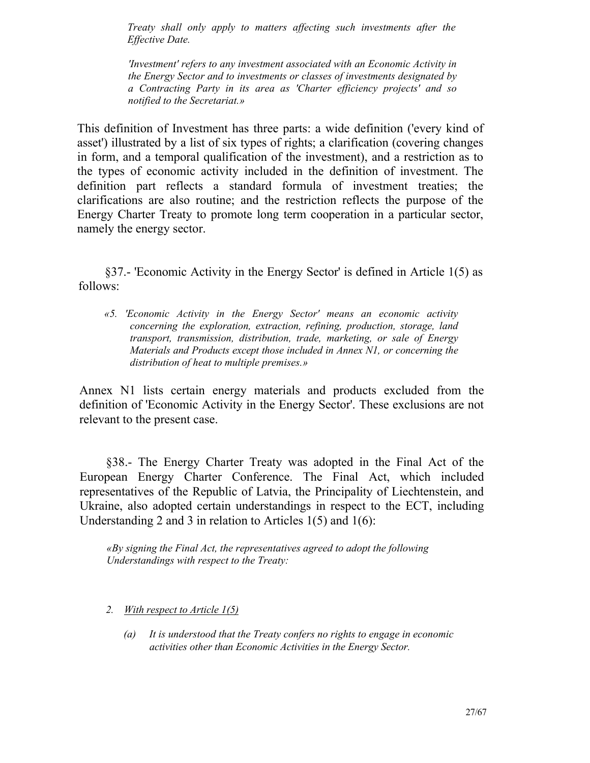*Treaty shall only apply to matters affecting such investments after the Effective Date.*

*'Investment' refers to any investment associated with an Economic Activity in the Energy Sector and to investments or classes of investments designated by a Contracting Party in its area as 'Charter efficiency projects' and so notified to the Secretariat.»*

This definition of Investment has three parts: a wide definition ('every kind of asset') illustrated by a list of six types of rights; a clarification (covering changes in form, and a temporal qualification of the investment), and a restriction as to the types of economic activity included in the definition of investment. The definition part reflects a standard formula of investment treaties; the clarifications are also routine; and the restriction reflects the purpose of the Energy Charter Treaty to promote long term cooperation in a particular sector, namely the energy sector.

§37.- 'Economic Activity in the Energy Sector' is defined in Article 1(5) as follows:

*«5. 'Economic Activity in the Energy Sector' means an economic activity concerning the exploration, extraction, refining, production, storage, land transport, transmission, distribution, trade, marketing, or sale of Energy Materials and Products except those included in Annex N1, or concerning the distribution of heat to multiple premises.»*

Annex N1 lists certain energy materials and products excluded from the definition of 'Economic Activity in the Energy Sector'. These exclusions are not relevant to the present case.

§38.- The Energy Charter Treaty was adopted in the Final Act of the European Energy Charter Conference. The Final Act, which included representatives of the Republic of Latvia, the Principality of Liechtenstein, and Ukraine, also adopted certain understandings in respect to the ЕСТ, including Understanding 2 and 3 in relation to Articles 1(5) and 1(6):

*«By signing the Final Act, the representatives agreed to adopt the following Understandings with respect to the Treaty:*

- *2. With respect to Article 1(5)*
	- *(a) It is understood that the Treaty confers no rights to engage in economic activities other than Economic Activities in the Energy Sector.*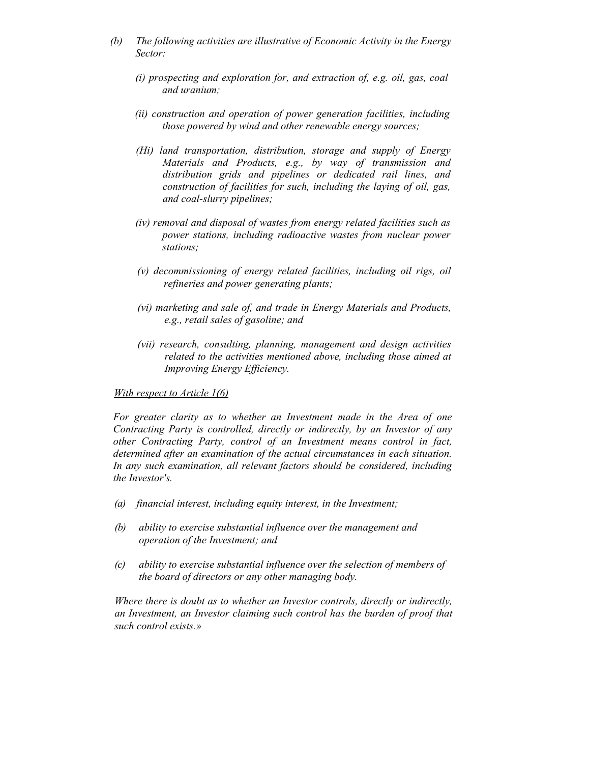- *(b) The following activities are illustrative of Economic Activity in the Energy Sector:*
	- *(i) prospecting and exploration for, and extraction of, e.g. oil, gas, coal and uranium;*
	- *(ii) construction and operation of power generation facilities, including those powered by wind and other renewable energy sources;*
	- *(Hi) land transportation, distribution, storage and supply of Energy Materials and Products, e.g., by way of transmission and distribution grids and pipelines or dedicated rail lines, and construction of facilities for such, including the laying of oil, gas, and coal-slurry pipelines;*
	- *(iv) removal and disposal of wastes from energy related facilities such as power stations, including radioactive wastes from nuclear power stations;*
	- *(v) decommissioning of energy related facilities, including oil rigs, oil refineries and power generating plants;*
	- *(vi) marketing and sale of, and trade in Energy Materials and Products, e.g., retail sales of gasoline; and*
	- *(vii) research, consulting, planning, management and design activities related to the activities mentioned above, including those aimed at Improving Energy Efficiency.*

#### *With respect to Article 1(6)*

*For greater clarity as to whether an Investment made in the Area of one Contracting Party is controlled, directly or indirectly, by an Investor of any other Contracting Party, control of an Investment means control in fact, determined after an examination of the actual circumstances in each situation. In any such examination, all relevant factors should be considered, including the Investor's.*

- *(a) financial interest, including equity interest, in the Investment;*
- *(b) ability to exercise substantial influence over the management and operation of the Investment; and*
- *(c) ability to exercise substantial influence over the selection of members of the board of directors or any other managing body.*

*Where there is doubt as to whether an Investor controls, directly or indirectly, an Investment, an Investor claiming such control has the burden of proof that such control exists.»*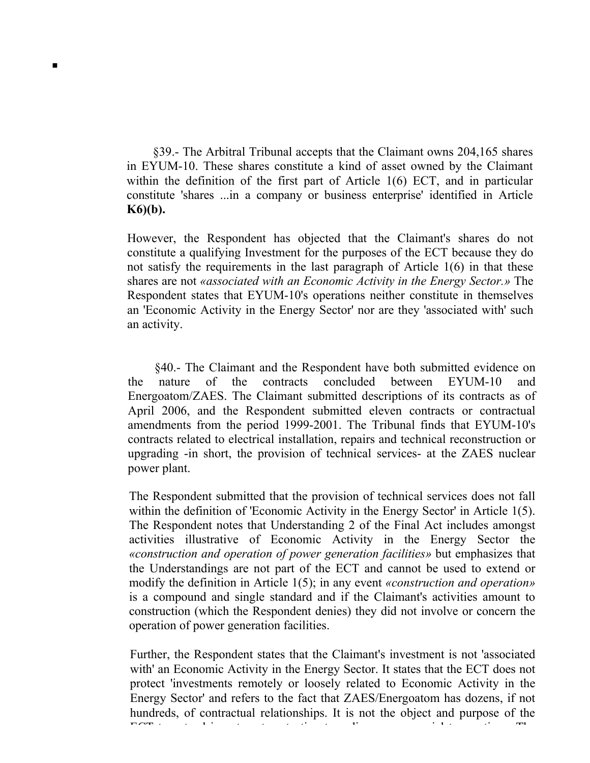§39.- The Arbitral Tribunal accepts that the Claimant owns 204,165 shares in EYUM-10. These shares constitute a kind of asset owned by the Claimant within the definition of the first part of Article 1(6) ЕСТ, and in particular constitute 'shares ...in a company or business enterprise' identified in Article **K6)(b).**

**■**

However, the Respondent has objected that the Claimant's shares do not constitute a qualifying Investment for the purposes of the ЕСТ because they do not satisfy the requirements in the last paragraph of Article 1(6) in that these shares are not *«associated with an Economic Activity in the Energy Sector.»* The Respondent states that EYUM-10's operations neither constitute in themselves an 'Economic Activity in the Energy Sector' nor are they 'associated with' such an activity.

§40.- The Claimant and the Respondent have both submitted evidence on the nature of the contracts concluded between EYUM-10 and Energoatom/ZAES. The Claimant submitted descriptions of its contracts as of April 2006, and the Respondent submitted eleven contracts or contractual amendments from the period 1999-2001. The Tribunal finds that EYUM-10's contracts related to electrical installation, repairs and technical reconstruction or upgrading -in short, the provision of technical services- at the ZAES nuclear power plant.

The Respondent submitted that the provision of technical services does not fall within the definition of 'Economic Activity in the Energy Sector' in Article 1(5). The Respondent notes that Understanding 2 of the Final Act includes amongst activities illustrative of Economic Activity in the Energy Sector the *«construction and operation of power generation facilities»* but emphasizes that the Understandings are not part of the ЕСТ and cannot be used to extend or modify the definition in Article 1(5); in any event *«construction and operation»*  is a compound and single standard and if the Claimant's activities amount to construction (which the Respondent denies) they did not involve or concern the operation of power generation facilities.

Further, the Respondent states that the Claimant's investment is not 'associated with' an Economic Activity in the Energy Sector. It states that the ЕСТ does not protect 'investments remotely or loosely related to Economic Activity in the Energy Sector' and refers to the fact that ZAES/Energoatom has dozens, if not hundreds, of contractual relationships. It is not the object and purpose of the ест  $\alpha$  to extend investment protection to ordinary commercial transaction transactions. The commercial transactions of  $\alpha$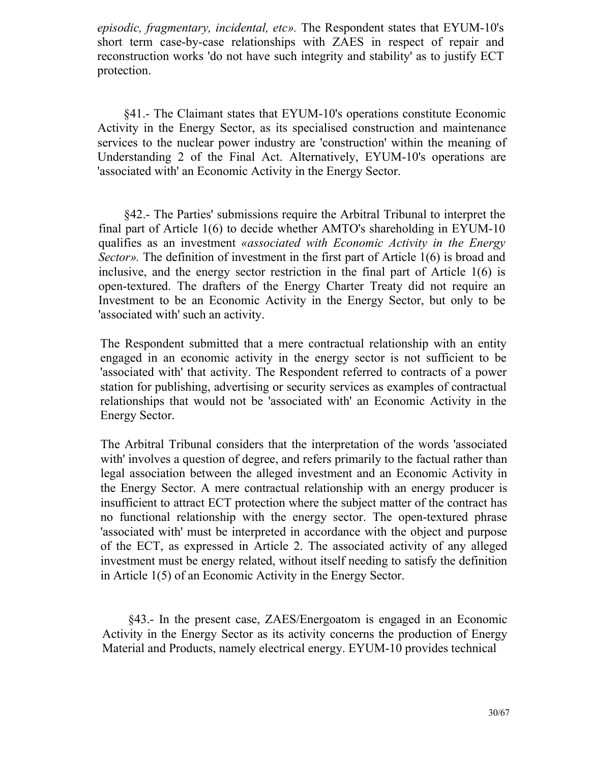*episodic, fragmentary, incidental, etc».* The Respondent states that EYUM-10's short term case-by-case relationships with ZAES in respect of repair and reconstruction works 'do not have such integrity and stability' as to justify ЕСТ protection.

§41.- The Claimant states that EYUM-10's operations constitute Economic Activity in the Energy Sector, as its specialised construction and maintenance services to the nuclear power industry are 'construction' within the meaning of Understanding 2 of the Final Act. Alternatively, EYUM-10's operations are 'associated with' an Economic Activity in the Energy Sector.

§42.- The Parties' submissions require the Arbitral Tribunal to interpret the final part of Article 1(6) to decide whether AMTO's shareholding in EYUM-10 qualifies as an investment *«associated with Economic Activity in the Energy Sector»*. The definition of investment in the first part of Article 1(6) is broad and inclusive, and the energy sector restriction in the final part of Article 1(6) is open-textured. The drafters of the Energy Charter Treaty did not require an Investment to be an Economic Activity in the Energy Sector, but only to be 'associated with' such an activity.

The Respondent submitted that a mere contractual relationship with an entity engaged in an economic activity in the energy sector is not sufficient to be 'associated with' that activity. The Respondent referred to contracts of a power station for publishing, advertising or security services as examples of contractual relationships that would not be 'associated with' an Economic Activity in the Energy Sector.

The Arbitral Tribunal considers that the interpretation of the words 'associated with' involves a question of degree, and refers primarily to the factual rather than legal association between the alleged investment and an Economic Activity in the Energy Sector. A mere contractual relationship with an energy producer is insufficient to attract ЕСТ protection where the subject matter of the contract has no functional relationship with the energy sector. The open-textured phrase 'associated with' must be interpreted in accordance with the object and purpose of the ЕСТ, as expressed in Article 2. The associated activity of any alleged investment must be energy related, without itself needing to satisfy the definition in Article 1(5) of an Economic Activity in the Energy Sector.

§43.- In the present case, ZAES/Energoatom is engaged in an Economic Activity in the Energy Sector as its activity concerns the production of Energy Material and Products, namely electrical energy. EYUM-10 provides technical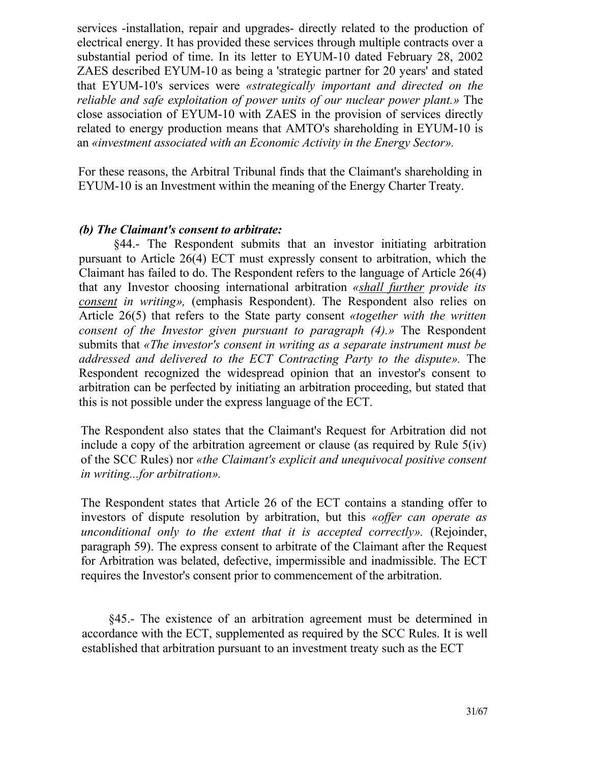services -installation, repair and upgrades- directly related to the production of electrical energy. It has provided these services through multiple contracts over a substantial period of time. In its letter to EYUM-10 dated February 28, 2002 ZAES described EYUM-10 as being a 'strategic partner for 20 years' and stated that EYUM-10's services were *«strategically important and directed on the reliable and safe exploitation of power units of our nuclear power plant.»* The close association of EYUM-10 with ZAES in the provision of services directly related to energy production means that AMTO's shareholding in EYUM-10 is an *«investment associated with an Economic Activity in the Energy Sector».*

For these reasons, the Arbitral Tribunal finds that the Claimant's shareholding in EYUM-10 is an Investment within the meaning of the Energy Charter Treaty.

#### *(b) The Claimant's consent to arbitrate:*

§44.- The Respondent submits that an investor initiating arbitration pursuant to Article 26(4) ЕСТ must expressly consent to arbitration, which the Claimant has failed to do. The Respondent refers to the language of Article 26(4) that any Investor choosing international arbitration *«shall further provide its consent in writing»,* (emphasis Respondent). The Respondent also relies on Article 26(5) that refers to the State party consent *«together with the written consent of the Investor given pursuant to paragraph (4).»* The Respondent submits that *«The investor's consent in writing as a separate instrument must be addressed and delivered to the ЕСТ Contracting Party to the dispute».* The Respondent recognized the widespread opinion that an investor's consent to arbitration can be perfected by initiating an arbitration proceeding, but stated that this is not possible under the express language of the ЕСТ.

The Respondent also states that the Claimant's Request for Arbitration did not include a copy of the arbitration agreement or clause (as required by Rule 5(iv) of the SCC Rules) nor *«the Claimant's explicit and unequivocal positive consent in writing...for arbitration».*

The Respondent states that Article 26 of the ЕСТ contains a standing offer to investors of dispute resolution by arbitration, but this *«offer can operate as unconditional only to the extent that it is accepted correctly».* (Rejoinder, paragraph 59). The express consent to arbitrate of the Claimant after the Request for Arbitration was belated, defective, impermissible and inadmissible. The ЕСТ requires the Investor's consent prior to commencement of the arbitration.

§45.- The existence of an arbitration agreement must be determined in accordance with the ЕСТ, supplemented as required by the SCC Rules. It is well established that arbitration pursuant to an investment treaty such as the ЕСТ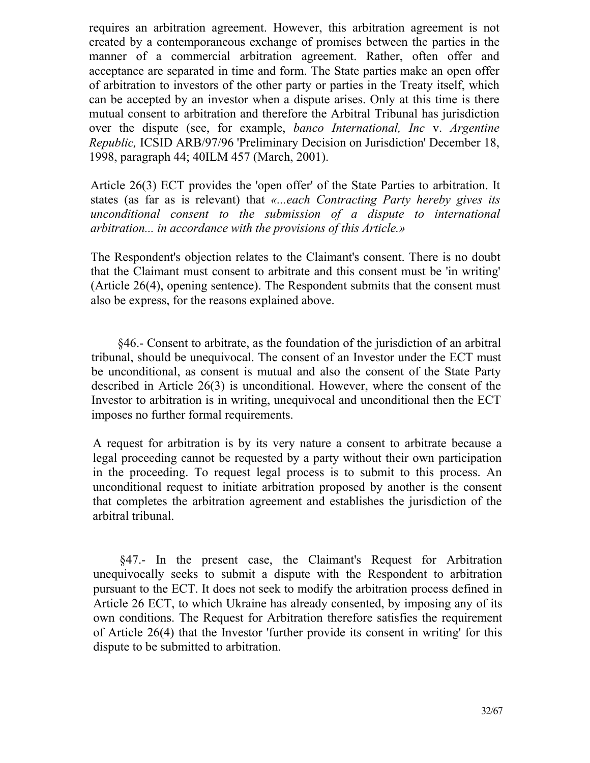requires an arbitration agreement. However, this arbitration agreement is not created by a contemporaneous exchange of promises between the parties in the manner of a commercial arbitration agreement. Rather, often offer and acceptance are separated in time and form. The State parties make an open offer of arbitration to investors of the other party or parties in the Treaty itself, which can be accepted by an investor when a dispute arises. Only at this time is there mutual consent to arbitration and therefore the Arbitral Tribunal has jurisdiction over the dispute (see, for example, *banco International, Inc* v. *Argentine Republic,* ICSID ARB/97/96 'Preliminary Decision on Jurisdiction' December 18, 1998, paragraph 44; 40ILM 457 (March, 2001).

Article 26(3) ЕСТ provides the 'open offer' of the State Parties to arbitration. It states (as far as is relevant) that *«...each Contracting Party hereby gives its unconditional consent to the submission of a dispute to international arbitration... in accordance with the provisions of this Article.»*

The Respondent's objection relates to the Claimant's consent. There is no doubt that the Claimant must consent to arbitrate and this consent must be 'in writing' (Article 26(4), opening sentence). The Respondent submits that the consent must also be express, for the reasons explained above.

§46.- Consent to arbitrate, as the foundation of the jurisdiction of an arbitral tribunal, should be unequivocal. The consent of an Investor under the ЕСТ must be unconditional, as consent is mutual and also the consent of the State Party described in Article 26(3) is unconditional. However, where the consent of the Investor to arbitration is in writing, unequivocal and unconditional then the ЕСТ imposes no further formal requirements.

A request for arbitration is by its very nature a consent to arbitrate because a legal proceeding cannot be requested by a party without their own participation in the proceeding. To request legal process is to submit to this process. An unconditional request to initiate arbitration proposed by another is the consent that completes the arbitration agreement and establishes the jurisdiction of the arbitral tribunal.

§47.- In the present case, the Claimant's Request for Arbitration unequivocally seeks to submit a dispute with the Respondent to arbitration pursuant to the ЕСТ. It does not seek to modify the arbitration process defined in Article 26 ЕСТ, to which Ukraine has already consented, by imposing any of its own conditions. The Request for Arbitration therefore satisfies the requirement of Article 26(4) that the Investor 'further provide its consent in writing' for this dispute to be submitted to arbitration.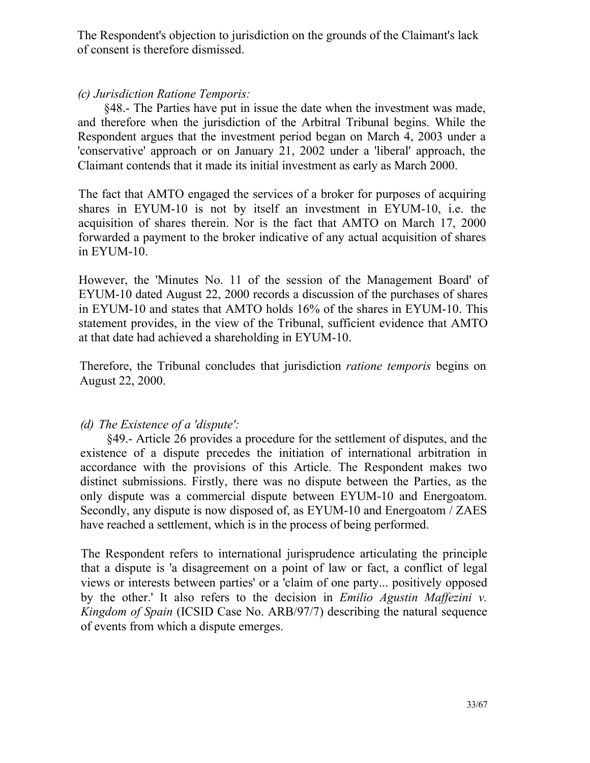The Respondent's objection to jurisdiction on the grounds of the Claimant's lack of consent is therefore dismissed.

## *(c) Jurisdiction Ratione Temporis:*

§48.- The Parties have put in issue the date when the investment was made, and therefore when the jurisdiction of the Arbitral Tribunal begins. While the Respondent argues that the investment period began on March 4, 2003 under a 'conservative' approach or on January 21, 2002 under a 'liberal' approach, the Claimant contends that it made its initial investment as early as March 2000.

The fact that AMTO engaged the services of a broker for purposes of acquiring shares in EYUM-10 is not by itself an investment in EYUM-10, i.e. the acquisition of shares therein. Nor is the fact that AMTO on March 17, 2000 forwarded a payment to the broker indicative of any actual acquisition of shares in EYUM-10.

However, the 'Minutes No. 11 of the session of the Management Board' of EYUM-10 dated August 22, 2000 records a discussion of the purchases of shares in EYUM-10 and states that AMTO holds 16% of the shares in EYUM-10. This statement provides, in the view of the Tribunal, sufficient evidence that AMTO at that date had achieved a shareholding in EYUM-10.

Therefore, the Tribunal concludes that jurisdiction *ratione temporis* begins on August 22, 2000.

## *(d) The Existence of a 'dispute':*

§49.- Article 26 provides a procedure for the settlement of disputes, and the existence of a dispute precedes the initiation of international arbitration in accordance with the provisions of this Article. The Respondent makes two distinct submissions. Firstly, there was no dispute between the Parties, as the only dispute was a commercial dispute between EYUM-10 and Energoatom. Secondly, any dispute is now disposed of, as EYUM-10 and Energoatom / ZAES have reached a settlement, which is in the process of being performed.

The Respondent refers to international jurisprudence articulating the principle that a dispute is 'a disagreement on a point of law or fact, a conflict of legal views or interests between parties' or a 'claim of one party... positively opposed by the other.' It also refers to the decision in *Emilio Agustin Maffezini v. Kingdom of Spain* (ICSID Case No. ARB/97/7) describing the natural sequence of events from which a dispute emerges.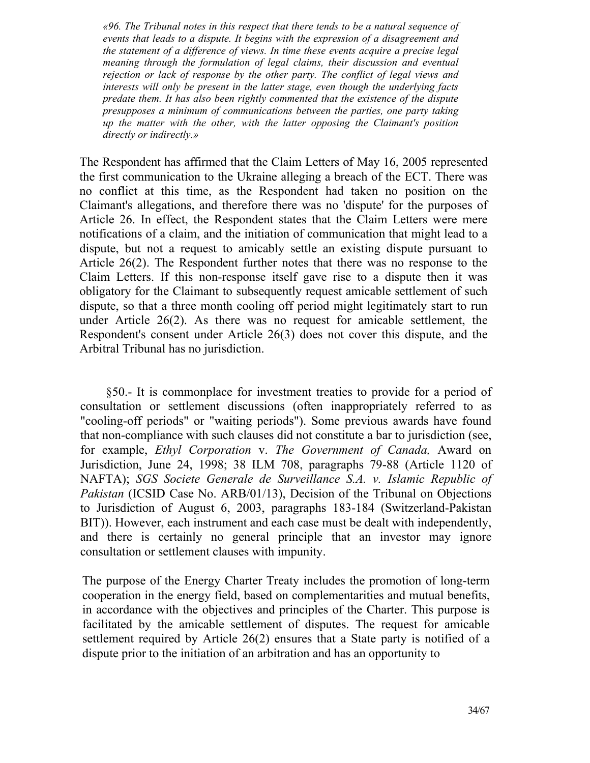*«96. The Tribunal notes in this respect that there tends to be a natural sequence of events that leads to a dispute. It begins with the expression of a disagreement and the statement of a difference of views. In time these events acquire a precise legal meaning through the formulation of legal claims, their discussion and eventual rejection or lack of response by the other party. The conflict of legal views and interests will only be present in the latter stage, even though the underlying facts predate them. It has also been rightly commented that the existence of the dispute presupposes a minimum of communications between the parties, one party taking up the matter with the other, with the latter opposing the Claimant's position directly or indirectly.»*

The Respondent has affirmed that the Claim Letters of May 16, 2005 represented the first communication to the Ukraine alleging a breach of the ЕСТ. There was no conflict at this time, as the Respondent had taken no position on the Claimant's allegations, and therefore there was no 'dispute' for the purposes of Article 26. In effect, the Respondent states that the Claim Letters were mere notifications of a claim, and the initiation of communication that might lead to a dispute, but not a request to amicably settle an existing dispute pursuant to Article 26(2). The Respondent further notes that there was no response to the Claim Letters. If this non-response itself gave rise to a dispute then it was obligatory for the Claimant to subsequently request amicable settlement of such dispute, so that a three month cooling off period might legitimately start to run under Article 26(2). As there was no request for amicable settlement, the Respondent's consent under Article 26(3) does not cover this dispute, and the Arbitral Tribunal has no jurisdiction.

§50.- It is commonplace for investment treaties to provide for a period of consultation or settlement discussions (often inappropriately referred to as "cooling-off periods" or "waiting periods"). Some previous awards have found that non-compliance with such clauses did not constitute a bar to jurisdiction (see, for example, *Ethyl Corporation* v. *The Government of Canada,* Award on Jurisdiction, June 24, 1998; 38 ILM 708, paragraphs 79-88 (Article 1120 of NAFTA); *SGS Societe Generale de Surveillance S.A. v. Islamic Republic of Pakistan* (ICSID Case No. ARB/01/13), Decision of the Tribunal on Objections to Jurisdiction of August 6, 2003, paragraphs 183-184 (Switzerland-Pakistan BIT)). However, each instrument and each case must be dealt with independently, and there is certainly no general principle that an investor may ignore consultation or settlement clauses with impunity.

The purpose of the Energy Charter Treaty includes the promotion of long-term cooperation in the energy field, based on complementarities and mutual benefits, in accordance with the objectives and principles of the Charter. This purpose is facilitated by the amicable settlement of disputes. The request for amicable settlement required by Article 26(2) ensures that a State party is notified of a dispute prior to the initiation of an arbitration and has an opportunity to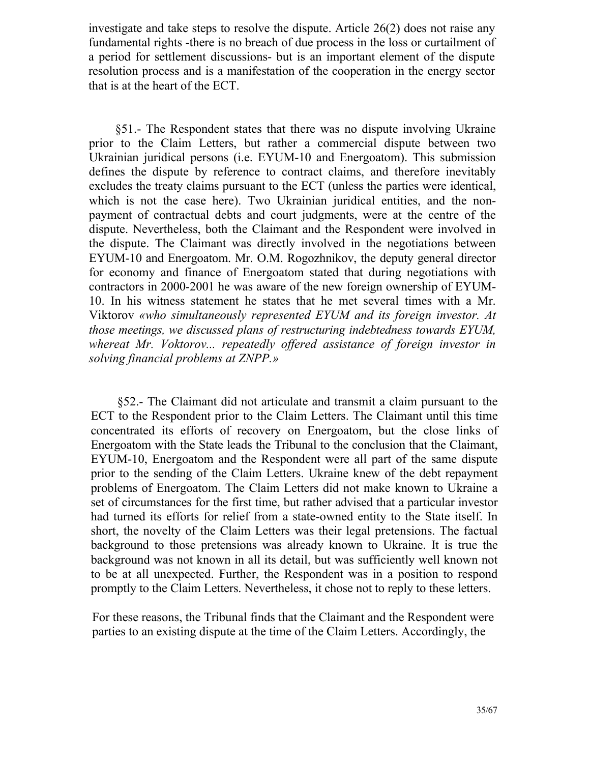investigate and take steps to resolve the dispute. Article 26(2) does not raise any fundamental rights -there is no breach of due process in the loss or curtailment of a period for settlement discussions- but is an important element of the dispute resolution process and is a manifestation of the cooperation in the energy sector that is at the heart of the ЕСТ.

§51.- The Respondent states that there was no dispute involving Ukraine prior to the Claim Letters, but rather a commercial dispute between two Ukrainian juridical persons (i.e. EYUM-10 and Energoatom). This submission defines the dispute by reference to contract claims, and therefore inevitably excludes the treaty claims pursuant to the ЕСТ (unless the parties were identical, which is not the case here). Two Ukrainian juridical entities, and the nonpayment of contractual debts and court judgments, were at the centre of the dispute. Nevertheless, both the Claimant and the Respondent were involved in the dispute. The Claimant was directly involved in the negotiations between EYUM-10 and Energoatom. Mr. O.M. Rogozhnikov, the deputy general director for economy and finance of Energoatom stated that during negotiations with contractors in 2000-2001 he was aware of the new foreign ownership of EYUM-10. In his witness statement he states that he met several times with a Mr. Viktorov *«who simultaneously represented EYUM and its foreign investor. At those meetings, we discussed plans of restructuring indebtedness towards EYUM, whereat Mr. Voktorov... repeatedly offered assistance of foreign investor in solving financial problems at ZNPP.»*

§52.- The Claimant did not articulate and transmit a claim pursuant to the ЕСТ to the Respondent prior to the Claim Letters. The Claimant until this time concentrated its efforts of recovery on Energoatom, but the close links of Energoatom with the State leads the Tribunal to the conclusion that the Claimant, EYUM-10, Energoatom and the Respondent were all part of the same dispute prior to the sending of the Claim Letters. Ukraine knew of the debt repayment problems of Energoatom. The Claim Letters did not make known to Ukraine a set of circumstances for the first time, but rather advised that a particular investor had turned its efforts for relief from a state-owned entity to the State itself. In short, the novelty of the Claim Letters was their legal pretensions. The factual background to those pretensions was already known to Ukraine. It is true the background was not known in all its detail, but was sufficiently well known not to be at all unexpected. Further, the Respondent was in a position to respond promptly to the Claim Letters. Nevertheless, it chose not to reply to these letters.

For these reasons, the Tribunal finds that the Claimant and the Respondent were parties to an existing dispute at the time of the Claim Letters. Accordingly, the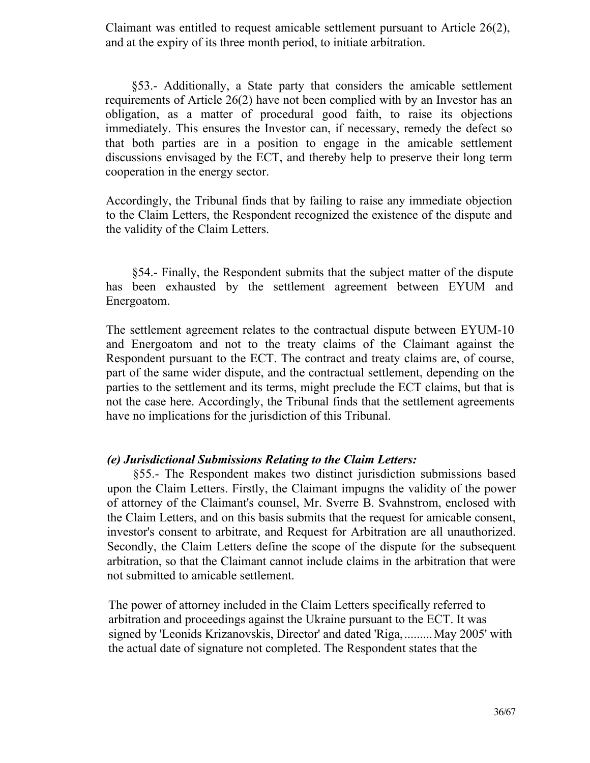Claimant was entitled to request amicable settlement pursuant to Article 26(2), and at the expiry of its three month period, to initiate arbitration.

§53.- Additionally, a State party that considers the amicable settlement requirements of Article 26(2) have not been complied with by an Investor has an obligation, as a matter of procedural good faith, to raise its objections immediately. This ensures the Investor can, if necessary, remedy the defect so that both parties are in a position to engage in the amicable settlement discussions envisaged by the ЕСТ, and thereby help to preserve their long term cooperation in the energy sector.

Accordingly, the Tribunal finds that by failing to raise any immediate objection to the Claim Letters, the Respondent recognized the existence of the dispute and the validity of the Claim Letters.

§54.- Finally, the Respondent submits that the subject matter of the dispute has been exhausted by the settlement agreement between EYUM and Energoatom.

The settlement agreement relates to the contractual dispute between EYUM-10 and Energoatom and not to the treaty claims of the Claimant against the Respondent pursuant to the ЕСТ. The contract and treaty claims are, of course, part of the same wider dispute, and the contractual settlement, depending on the parties to the settlement and its terms, might preclude the ЕСТ claims, but that is not the case here. Accordingly, the Tribunal finds that the settlement agreements have no implications for the jurisdiction of this Tribunal.

#### *(e) Jurisdictional Submissions Relating to the Claim Letters:*

§55.- The Respondent makes two distinct jurisdiction submissions based upon the Claim Letters. Firstly, the Claimant impugns the validity of the power of attorney of the Claimant's counsel, Mr. Sverre B. Svahnstrom, enclosed with the Claim Letters, and on this basis submits that the request for amicable consent, investor's consent to arbitrate, and Request for Arbitration are all unauthorized. Secondly, the Claim Letters define the scope of the dispute for the subsequent arbitration, so that the Claimant cannot include claims in the arbitration that were not submitted to amicable settlement.

The power of attorney included in the Claim Letters specifically referred to arbitration and proceedings against the Ukraine pursuant to the ЕСТ. It was signed by 'Leonids Krizanovskis, Director' and dated 'Riga, ......... May 2005' with the actual date of signature not completed. The Respondent states that the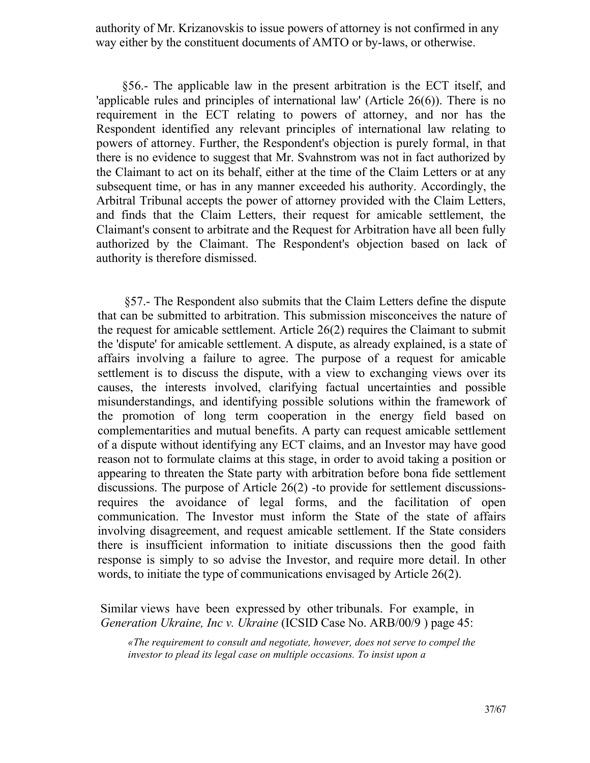authority of Mr. Krizanovskis to issue powers of attorney is not confirmed in any way either by the constituent documents of AMTO or by-laws, or otherwise.

§56.- The applicable law in the present arbitration is the ЕСТ itself, and 'applicable rules and principles of international law' (Article 26(6)). There is no requirement in the ЕСТ relating to powers of attorney, and nor has the Respondent identified any relevant principles of international law relating to powers of attorney. Further, the Respondent's objection is purely formal, in that there is no evidence to suggest that Mr. Svahnstrom was not in fact authorized by the Claimant to act on its behalf, either at the time of the Claim Letters or at any subsequent time, or has in any manner exceeded his authority. Accordingly, the Arbitral Tribunal accepts the power of attorney provided with the Claim Letters, and finds that the Claim Letters, their request for amicable settlement, the Claimant's consent to arbitrate and the Request for Arbitration have all been fully authorized by the Claimant. The Respondent's objection based on lack of authority is therefore dismissed.

§57.- The Respondent also submits that the Claim Letters define the dispute that can be submitted to arbitration. This submission misconceives the nature of the request for amicable settlement. Article 26(2) requires the Claimant to submit the 'dispute' for amicable settlement. A dispute, as already explained, is a state of affairs involving a failure to agree. The purpose of a request for amicable settlement is to discuss the dispute, with a view to exchanging views over its causes, the interests involved, clarifying factual uncertainties and possible misunderstandings, and identifying possible solutions within the framework of the promotion of long term cooperation in the energy field based on complementarities and mutual benefits. A party can request amicable settlement of a dispute without identifying any ЕСТ claims, and an Investor may have good reason not to formulate claims at this stage, in order to avoid taking a position or appearing to threaten the State party with arbitration before bona fide settlement discussions. The purpose of Article 26(2) -to provide for settlement discussionsrequires the avoidance of legal forms, and the facilitation of open communication. The Investor must inform the State of the state of affairs involving disagreement, and request amicable settlement. If the State considers there is insufficient information to initiate discussions then the good faith response is simply to so advise the Investor, and require more detail. In other words, to initiate the type of communications envisaged by Article 26(2).

Similar views have been expressed by other tribunals. For example, in *Generation Ukraine, Inc v. Ukraine* (ICSID Case No. ARB/00/9 ) page 45:

*«The requirement to consult and negotiate, however, does not serve to compel the investor to plead its legal case on multiple occasions. To insist upon a*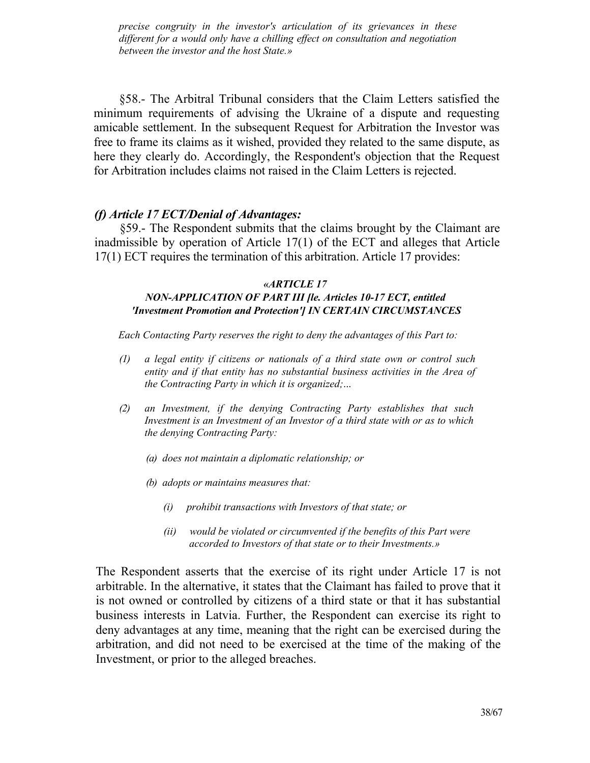*precise congruity in the investor's articulation of its grievances in these different for a would only have a chilling effect on consultation and negotiation between the investor and the host State.»*

§58.- The Arbitral Tribunal considers that the Claim Letters satisfied the minimum requirements of advising the Ukraine of a dispute and requesting amicable settlement. In the subsequent Request for Arbitration the Investor was free to frame its claims as it wished, provided they related to the same dispute, as here they clearly do. Accordingly, the Respondent's objection that the Request for Arbitration includes claims not raised in the Claim Letters is rejected.

#### *(f) Article 17 ECT/Denial of Advantages:*

§59.- The Respondent submits that the claims brought by the Claimant are inadmissible by operation of Article 17(1) of the ЕСТ and alleges that Article 17(1) ЕСТ requires the termination of this arbitration. Article 17 provides:

#### *«ARTICLE 17*

## *NON-APPLICATION OF PART III [le. Articles 10-17 ЕСТ, entitled 'Investment Promotion and Protection'] IN CERTAIN CIRCUMSTANCES*

*Each Contacting Party reserves the right to deny the advantages of this Part to:*

- *(1) a legal entity if citizens or nationals of a third state own or control such entity and if that entity has no substantial business activities in the Area of the Contracting Party in which it is organized;*...
- *(2) an Investment, if the denying Contracting Party establishes that such Investment is an Investment of an Investor of a third state with or as to which the denying Contracting Party:* 
	- *(a) does not maintain a diplomatic relationship; or*
	- *(b) adopts or maintains measures that:* 
		- *(i) prohibit transactions with Investors of that state; or*
		- *(ii) would be violated or circumvented if the benefits of this Part were accorded to Investors of that state or to their Investments.»*

The Respondent asserts that the exercise of its right under Article 17 is not arbitrable. In the alternative, it states that the Claimant has failed to prove that it is not owned or controlled by citizens of a third state or that it has substantial business interests in Latvia. Further, the Respondent can exercise its right to deny advantages at any time, meaning that the right can be exercised during the arbitration, and did not need to be exercised at the time of the making of the Investment, or prior to the alleged breaches.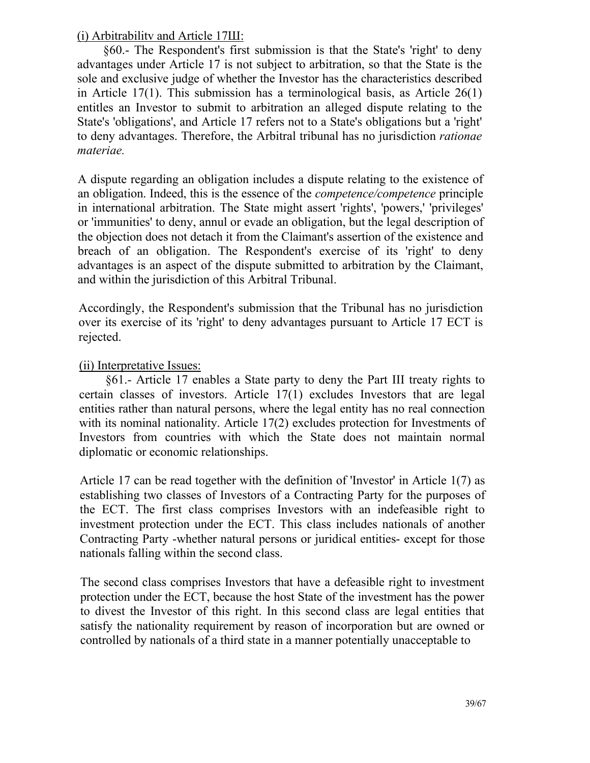(і) Arbitrabilitv and Article 17Ш:

§60.- The Respondent's first submission is that the State's 'right' to deny advantages under Article 17 is not subject to arbitration, so that the State is the sole and exclusive judge of whether the Investor has the characteristics described in Article 17(1). This submission has a terminological basis, as Article  $26(1)$ entitles an Investor to submit to arbitration an alleged dispute relating to the State's 'obligations', and Article 17 refers not to a State's obligations but a 'right' to deny advantages. Therefore, the Arbitral tribunal has no jurisdiction *rationae materiae.*

A dispute regarding an obligation includes a dispute relating to the existence of an obligation. Indeed, this is the essence of the *competence/competence* principle in international arbitration. The State might assert 'rights', 'powers,' 'privileges' or 'immunities' to deny, annul or evade an obligation, but the legal description of the objection does not detach it from the Claimant's assertion of the existence and breach of an obligation. The Respondent's exercise of its 'right' to deny advantages is an aspect of the dispute submitted to arbitration by the Claimant, and within the jurisdiction of this Arbitral Tribunal.

Accordingly, the Respondent's submission that the Tribunal has no jurisdiction over its exercise of its 'right' to deny advantages pursuant to Article 17 ЕСТ is rejected.

(ii) Interpretative Issues:

§61.- Article 17 enables a State party to deny the Part III treaty rights to certain classes of investors. Article 17(1) excludes Investors that are legal entities rather than natural persons, where the legal entity has no real connection with its nominal nationality. Article 17(2) excludes protection for Investments of Investors from countries with which the State does not maintain normal diplomatic or economic relationships.

Article 17 can be read together with the definition of 'Investor' in Article 1(7) as establishing two classes of Investors of a Contracting Party for the purposes of the ЕСТ. The first class comprises Investors with an indefeasible right to investment protection under the ЕСТ. This class includes nationals of another Contracting Party -whether natural persons or juridical entities- except for those nationals falling within the second class.

The second class comprises Investors that have a defeasible right to investment protection under the ЕСТ, because the host State of the investment has the power to divest the Investor of this right. In this second class are legal entities that satisfy the nationality requirement by reason of incorporation but are owned or controlled by nationals of a third state in a manner potentially unacceptable to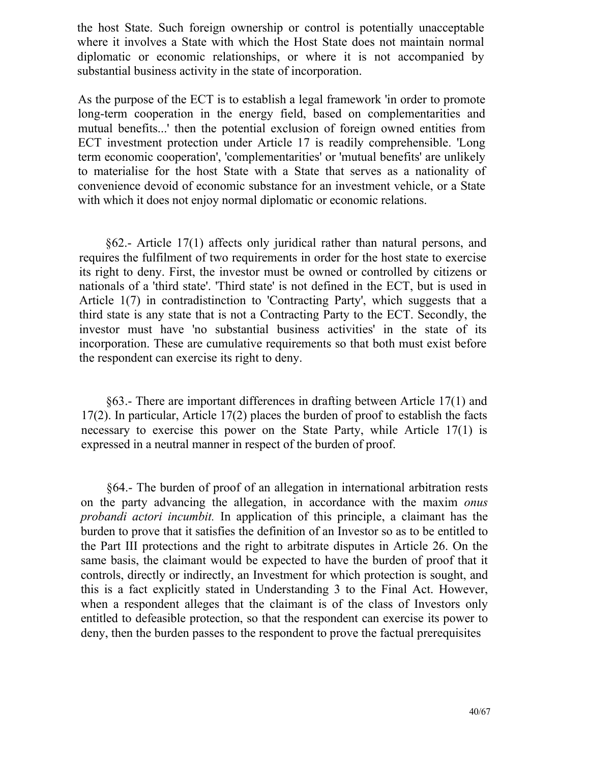the host State. Such foreign ownership or control is potentially unacceptable where it involves a State with which the Host State does not maintain normal diplomatic or economic relationships, or where it is not accompanied by substantial business activity in the state of incorporation.

As the purpose of the ЕСТ is to establish a legal framework 'in order to promote long-term cooperation in the energy field, based on complementarities and mutual benefits...' then the potential exclusion of foreign owned entities from ЕСТ investment protection under Article 17 is readily comprehensible. 'Long term economic cooperation', 'complementarities' or 'mutual benefits' are unlikely to materialise for the host State with a State that serves as a nationality of convenience devoid of economic substance for an investment vehicle, or a State with which it does not enjoy normal diplomatic or economic relations.

§62.- Article 17(1) affects only juridical rather than natural persons, and requires the fulfilment of two requirements in order for the host state to exercise its right to deny. First, the investor must be owned or controlled by citizens or nationals of a 'third state'. 'Third state' is not defined in the ЕСТ, but is used in Article 1(7) in contradistinction to 'Contracting Party', which suggests that a third state is any state that is not a Contracting Party to the ЕСТ. Secondly, the investor must have 'no substantial business activities' in the state of its incorporation. These are cumulative requirements so that both must exist before the respondent can exercise its right to deny.

§63.- There are important differences in drafting between Article 17(1) and 17(2). In particular, Article 17(2) places the burden of proof to establish the facts necessary to exercise this power on the State Party, while Article 17(1) is expressed in a neutral manner in respect of the burden of proof.

§64.- The burden of proof of an allegation in international arbitration rests on the party advancing the allegation, in accordance with the maxim *onus probandi actori incumbit.* In application of this principle, a claimant has the burden to prove that it satisfies the definition of an Investor so as to be entitled to the Part III protections and the right to arbitrate disputes in Article 26. On the same basis, the claimant would be expected to have the burden of proof that it controls, directly or indirectly, an Investment for which protection is sought, and this is a fact explicitly stated in Understanding 3 to the Final Act. However, when a respondent alleges that the claimant is of the class of Investors only entitled to defeasible protection, so that the respondent can exercise its power to deny, then the burden passes to the respondent to prove the factual prerequisites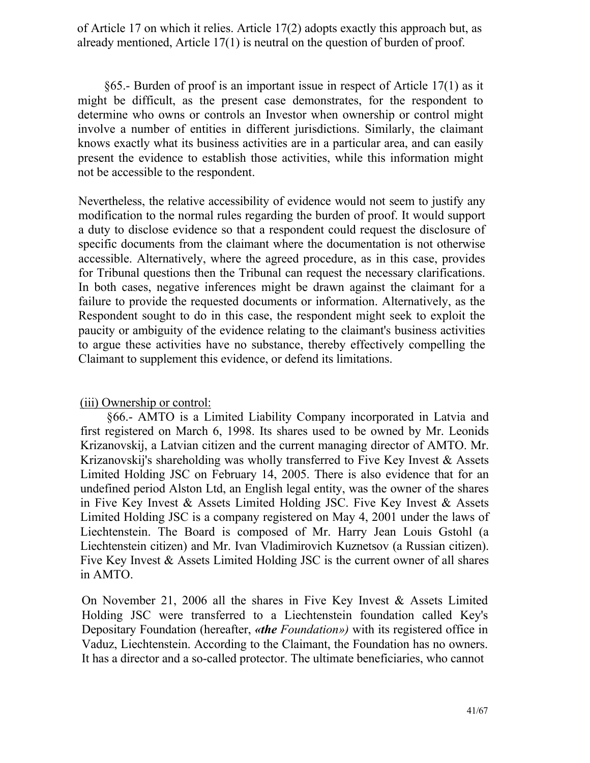of Article 17 on which it relies. Article 17(2) adopts exactly this approach but, as already mentioned, Article 17(1) is neutral on the question of burden of proof.

§65.- Burden of proof is an important issue in respect of Article 17(1) as it might be difficult, as the present case demonstrates, for the respondent to determine who owns or controls an Investor when ownership or control might involve a number of entities in different jurisdictions. Similarly, the claimant knows exactly what its business activities are in a particular area, and can easily present the evidence to establish those activities, while this information might not be accessible to the respondent.

Nevertheless, the relative accessibility of evidence would not seem to justify any modification to the normal rules regarding the burden of proof. It would support a duty to disclose evidence so that a respondent could request the disclosure of specific documents from the claimant where the documentation is not otherwise accessible. Alternatively, where the agreed procedure, as in this case, provides for Tribunal questions then the Tribunal can request the necessary clarifications. In both cases, negative inferences might be drawn against the claimant for a failure to provide the requested documents or information. Alternatively, as the Respondent sought to do in this case, the respondent might seek to exploit the paucity or ambiguity of the evidence relating to the claimant's business activities to argue these activities have no substance, thereby effectively compelling the Claimant to supplement this evidence, or defend its limitations.

#### (iii) Ownership or control:

§66.- AMTO is a Limited Liability Company incorporated in Latvia and first registered on March 6, 1998. Its shares used to be owned by Mr. Leonids Krizanovskij, a Latvian citizen and the current managing director of AMTO. Mr. Krizanovskij's shareholding was wholly transferred to Five Key Invest & Assets Limited Holding JSC on February 14, 2005. There is also evidence that for an undefined period Alston Ltd, an English legal entity, was the owner of the shares in Five Key Invest & Assets Limited Holding JSC. Five Key Invest & Assets Limited Holding JSC is a company registered on May 4, 2001 under the laws of Liechtenstein. The Board is composed of Mr. Harry Jean Louis Gstohl (a Liechtenstein citizen) and Mr. Ivan Vladimirovich Kuznetsov (a Russian citizen). Five Key Invest & Assets Limited Holding JSC is the current owner of all shares in AMTO.

On November 21, 2006 all the shares in Five Key Invest & Assets Limited Holding JSC were transferred to a Liechtenstein foundation called Key's Depositary Foundation (hereafter, *«the Foundation»)* with its registered office in Vaduz, Liechtenstein. According to the Claimant, the Foundation has no owners. It has a director and a so-called protector. The ultimate beneficiaries, who cannot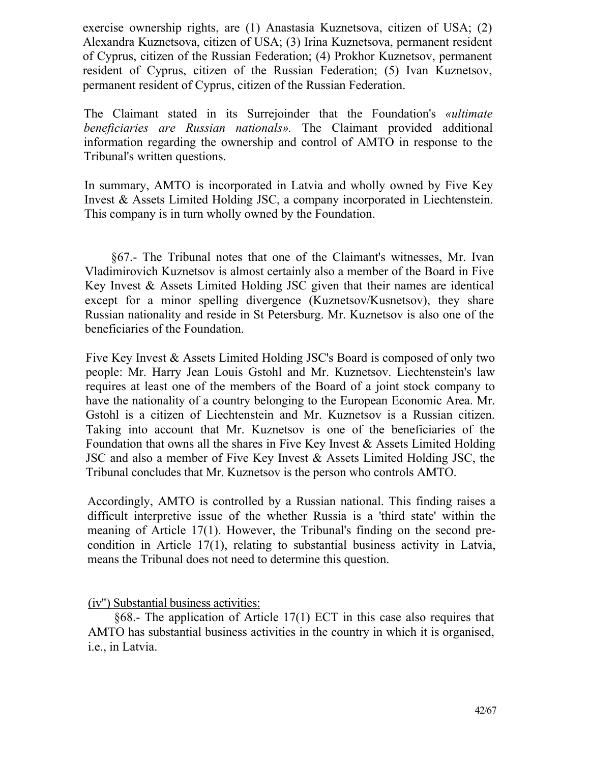exercise ownership rights, are (1) Anastasia Kuznetsova, citizen of USA; (2) Alexandra Kuznetsova, citizen of USA; (3) Irina Kuznetsova, permanent resident of Cyprus, citizen of the Russian Federation; (4) Prokhor Kuznetsov, permanent resident of Cyprus, citizen of the Russian Federation; (5) Ivan Kuznetsov, permanent resident of Cyprus, citizen of the Russian Federation.

The Claimant stated in its Surrejoinder that the Foundation's *«ultimate beneficiaries are Russian nationals».* The Claimant provided additional information regarding the ownership and control of AMTO in response to the Tribunal's written questions.

In summary, AMTO is incorporated in Latvia and wholly owned by Five Key Invest & Assets Limited Holding JSC, a company incorporated in Liechtenstein. This company is in turn wholly owned by the Foundation.

§67.- The Tribunal notes that one of the Claimant's witnesses, Mr. Ivan Vladimirovich Kuznetsov is almost certainly also a member of the Board in Five Key Invest & Assets Limited Holding JSC given that their names are identical except for a minor spelling divergence (Kuznetsov/Kusnetsov), they share Russian nationality and reside in St Petersburg. Mr. Kuznetsov is also one of the beneficiaries of the Foundation.

Five Key Invest & Assets Limited Holding JSC's Board is composed of only two people: Mr. Harry Jean Louis Gstohl and Mr. Kuznetsov. Liechtenstein's law requires at least one of the members of the Board of a joint stock company to have the nationality of a country belonging to the European Economic Area. Mr. Gstohl is a citizen of Liechtenstein and Mr. Kuznetsov is a Russian citizen. Taking into account that Mr. Kuznetsov is one of the beneficiaries of the Foundation that owns all the shares in Five Key Invest & Assets Limited Holding JSC and also a member of Five Key Invest & Assets Limited Holding JSC, the Tribunal concludes that Mr. Kuznetsov is the person who controls AMTO.

Accordingly, AMTO is controlled by a Russian national. This finding raises a difficult interpretive issue of the whether Russia is a 'third state' within the meaning of Article 17(1). However, the Tribunal's finding on the second precondition in Article 17(1), relating to substantial business activity in Latvia, means the Tribunal does not need to determine this question.

(iv") Substantial business activities:

§68.- The application of Article 17(1) ЕСТ in this case also requires that AMTO has substantial business activities in the country in which it is organised, i.e., in Latvia.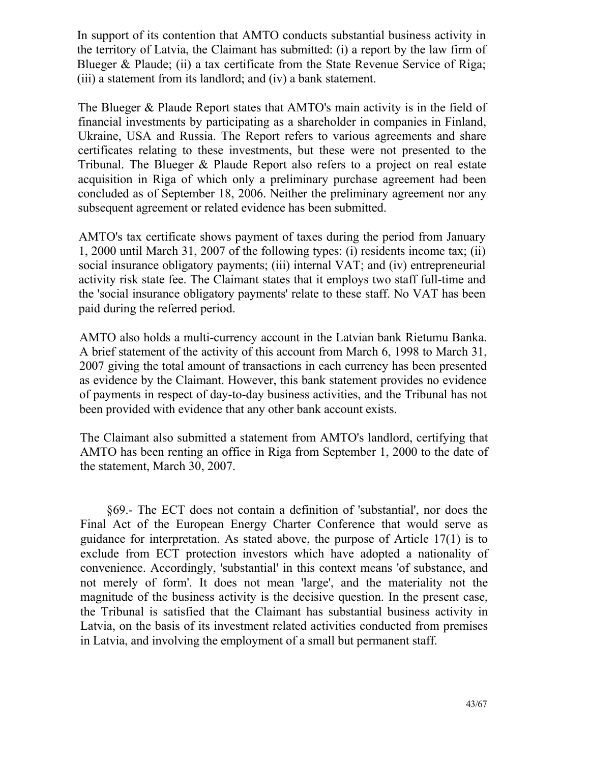In support of its contention that AMTO conducts substantial business activity in the territory of Latvia, the Claimant has submitted: (i) a report by the law firm of Blueger & Plaude; (ii) a tax certificate from the State Revenue Service of Riga; (iii) a statement from its landlord; and (iv) a bank statement.

The Blueger & Plaude Report states that AMTO's main activity is in the field of financial investments by participating as a shareholder in companies in Finland, Ukraine, USA and Russia. The Report refers to various agreements and share certificates relating to these investments, but these were not presented to the Tribunal. The Blueger & Plaude Report also refers to a project on real estate acquisition in Riga of which only a preliminary purchase agreement had been concluded as of September 18, 2006. Neither the preliminary agreement nor any subsequent agreement or related evidence has been submitted.

AMTO's tax certificate shows payment of taxes during the period from January 1, 2000 until March 31, 2007 of the following types: (i) residents income tax; (ii) social insurance obligatory payments; (iii) internal VAT; and (iv) entrepreneurial activity risk state fee. The Claimant states that it employs two staff full-time and the 'social insurance obligatory payments' relate to these staff. No VAT has been paid during the referred period.

AMTO also holds a multi-currency account in the Latvian bank Rietumu Banka. A brief statement of the activity of this account from March 6, 1998 to March 31, 2007 giving the total amount of transactions in each currency has been presented as evidence by the Claimant. However, this bank statement provides no evidence of payments in respect of day-to-day business activities, and the Tribunal has not been provided with evidence that any other bank account exists.

The Claimant also submitted a statement from AMTO's landlord, certifying that AMTO has been renting an office in Riga from September 1, 2000 to the date of the statement, March 30, 2007.

§69.- The ЕСТ does not contain a definition of 'substantial', nor does the Final Act of the European Energy Charter Conference that would serve as guidance for interpretation. As stated above, the purpose of Article 17(1) is to exclude from ЕСТ protection investors which have adopted a nationality of convenience. Accordingly, 'substantial' in this context means 'of substance, and not merely of form'. It does not mean 'large', and the materiality not the magnitude of the business activity is the decisive question. In the present case, the Tribunal is satisfied that the Claimant has substantial business activity in Latvia, on the basis of its investment related activities conducted from premises in Latvia, and involving the employment of a small but permanent staff.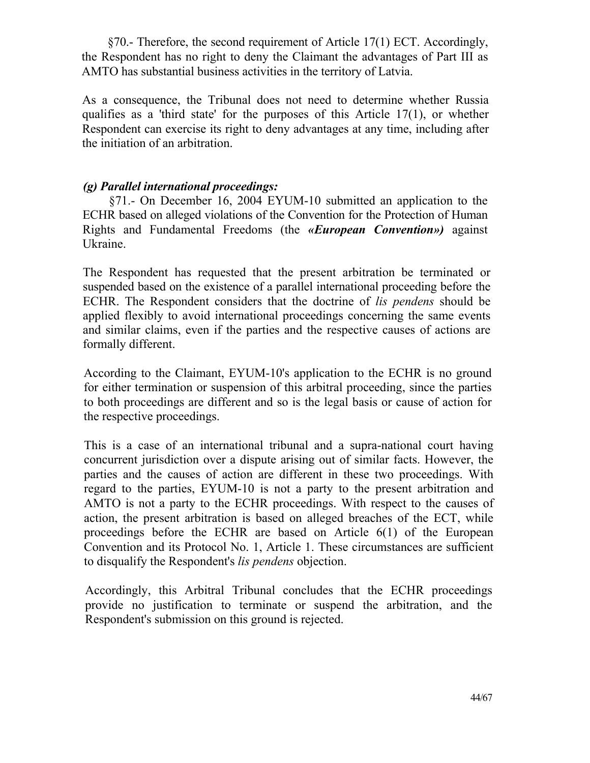§70.- Therefore, the second requirement of Article 17(1) ЕСТ. Accordingly, the Respondent has no right to deny the Claimant the advantages of Part III as AMTO has substantial business activities in the territory of Latvia.

As a consequence, the Tribunal does not need to determine whether Russia qualifies as a 'third state' for the purposes of this Article 17(1), or whether Respondent can exercise its right to deny advantages at any time, including after the initiation of an arbitration.

## *(g) Parallel international proceedings:*

§71.- On December 16, 2004 EYUM-10 submitted an application to the ECHR based on alleged violations of the Convention for the Protection of Human Rights and Fundamental Freedoms (the *«European Convention»)* against Ukraine.

The Respondent has requested that the present arbitration be terminated or suspended based on the existence of a parallel international proceeding before the ECHR. The Respondent considers that the doctrine of *lis pendens* should be applied flexibly to avoid international proceedings concerning the same events and similar claims, even if the parties and the respective causes of actions are formally different.

According to the Claimant, EYUM-10's application to the ECHR is no ground for either termination or suspension of this arbitral proceeding, since the parties to both proceedings are different and so is the legal basis or cause of action for the respective proceedings.

This is a case of an international tribunal and a supra-national court having concurrent jurisdiction over a dispute arising out of similar facts. However, the parties and the causes of action are different in these two proceedings. With regard to the parties, EYUM-10 is not a party to the present arbitration and AMTO is not a party to the ECHR proceedings. With respect to the causes of action, the present arbitration is based on alleged breaches of the ЕСТ, while proceedings before the ECHR are based on Article 6(1) of the European Convention and its Protocol No. 1, Article 1. These circumstances are sufficient to disqualify the Respondent's *lis pendens* objection.

Accordingly, this Arbitral Tribunal concludes that the ECHR proceedings provide no justification to terminate or suspend the arbitration, and the Respondent's submission on this ground is rejected.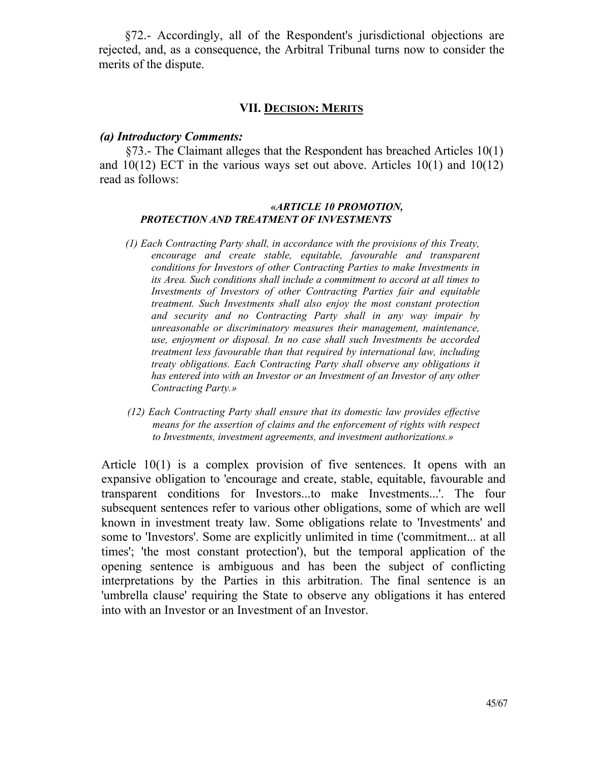§72.- Accordingly, all of the Respondent's jurisdictional objections are rejected, and, as a consequence, the Arbitral Tribunal turns now to consider the merits of the dispute.

#### **VII. DECISION: MERITS**

#### *(a) Introductory Comments:*

§73.- The Claimant alleges that the Respondent has breached Articles 10(1) and  $10(12)$  ECT in the various ways set out above. Articles  $10(1)$  and  $10(12)$ read as follows:

#### *«ARTICLE 10 PROMOTION, PROTECTION AND TREATMENT OF INVESTMENTS*

- *(1) Each Contracting Party shall, in accordance with the provisions of this Treaty, encourage and create stable, equitable, favourable and transparent conditions for Investors of other Contracting Parties to make Investments in its Area. Such conditions shall include a commitment to accord at all times to Investments of Investors of other Contracting Parties fair and equitable treatment. Such Investments shall also enjoy the most constant protection and security and no Contracting Party shall in any way impair by unreasonable or discriminatory measures their management, maintenance, use, enjoyment or disposal. In no case shall such Investments be accorded treatment less favourable than that required by international law, including treaty obligations. Each Contracting Party shall observe any obligations it has entered into with an Investor or an Investment of an Investor of any other Contracting Party.»*
- *(12) Each Contracting Party shall ensure that its domestic law provides effective means for the assertion of claims and the enforcement of rights with respect to Investments, investment agreements, and investment authorizations.»*

Article 10(1) is a complex provision of five sentences. It opens with an expansive obligation to 'encourage and create, stable, equitable, favourable and transparent conditions for Investors...to make Investments...'. The four subsequent sentences refer to various other obligations, some of which are well known in investment treaty law. Some obligations relate to 'Investments' and some to 'Investors'. Some are explicitly unlimited in time ('commitment... at all times'; 'the most constant protection'), but the temporal application of the opening sentence is ambiguous and has been the subject of conflicting interpretations by the Parties in this arbitration. The final sentence is an 'umbrella clause' requiring the State to observe any obligations it has entered into with an Investor or an Investment of an Investor.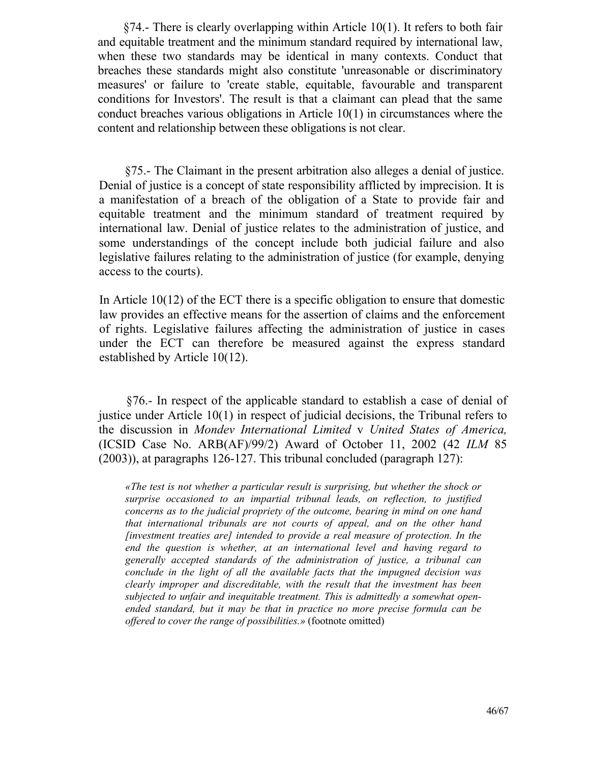§74.- There is clearly overlapping within Article 10(1). It refers to both fair and equitable treatment and the minimum standard required by international law, when these two standards may be identical in many contexts. Conduct that breaches these standards might also constitute 'unreasonable or discriminatory measures' or failure to 'create stable, equitable, favourable and transparent conditions for Investors'. The result is that a claimant can plead that the same conduct breaches various obligations in Article 10(1) in circumstances where the content and relationship between these obligations is not clear.

§75.- The Claimant in the present arbitration also alleges a denial of justice. Denial of justice is a concept of state responsibility afflicted by imprecision. It is a manifestation of a breach of the obligation of a State to provide fair and equitable treatment and the minimum standard of treatment required by international law. Denial of justice relates to the administration of justice, and some understandings of the concept include both judicial failure and also legislative failures relating to the administration of justice (for example, denying access to the courts).

In Article 10(12) of the ЕСТ there is a specific obligation to ensure that domestic law provides an effective means for the assertion of claims and the enforcement of rights. Legislative failures affecting the administration of justice in cases under the ЕСТ can therefore be measured against the express standard established by Article 10(12).

§76.- In respect of the applicable standard to establish a case of denial of justice under Article 10(1) in respect of judicial decisions, the Tribunal refers to the discussion in *Mondev International Limited* v *United States of America,*  (ICSID Case No. ARB(AF)/99/2) Award of October 11, 2002 (42 *ILM* 85 (2003)), at paragraphs 126-127. This tribunal concluded (paragraph 127):

*«The test is not whether a particular result is surprising, but whether the shock or surprise occasioned to an impartial tribunal leads, on reflection, to justified concerns as to the judicial propriety of the outcome, bearing in mind on one hand that international tribunals are not courts of appeal, and on the other hand [investment treaties are] intended to provide a real measure of protection. In the end the question is whether, at an international level and having regard to generally accepted standards of the administration of justice, a tribunal can conclude in the light of all the available facts that the impugned decision was clearly improper and discreditable, with the result that the investment has been subjected to unfair and inequitable treatment. This is admittedly a somewhat openended standard, but it may be that in practice no more precise formula can be offered to cover the range of possibilities.»* (footnote omitted)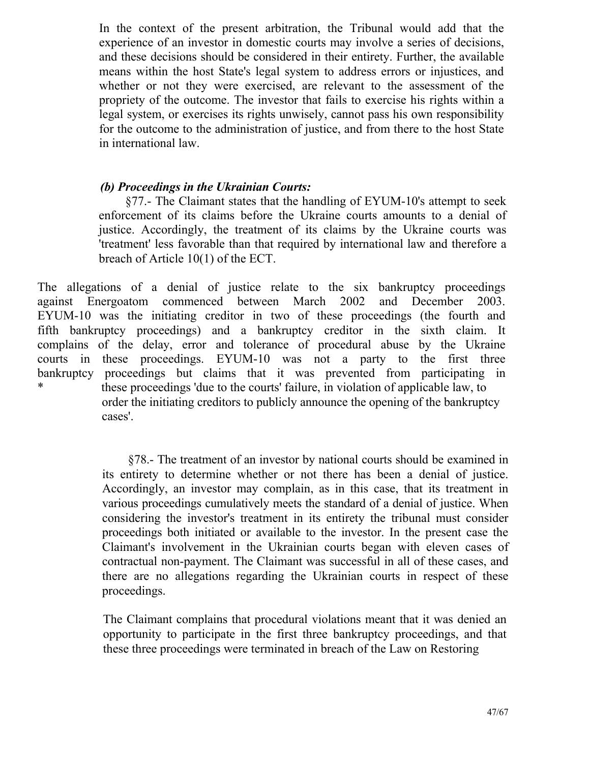In the context of the present arbitration, the Tribunal would add that the experience of an investor in domestic courts may involve a series of decisions, and these decisions should be considered in their entirety. Further, the available means within the host State's legal system to address errors or injustices, and whether or not they were exercised, are relevant to the assessment of the propriety of the outcome. The investor that fails to exercise his rights within a legal system, or exercises its rights unwisely, cannot pass his own responsibility for the outcome to the administration of justice, and from there to the host State in international law.

## *(b) Proceedings in the Ukrainian Courts:*

§77.- The Claimant states that the handling of EYUM-10's attempt to seek enforcement of its claims before the Ukraine courts amounts to a denial of justice. Accordingly, the treatment of its claims by the Ukraine courts was 'treatment' less favorable than that required by international law and therefore a breach of Article 10(1) of the ЕСТ.

The allegations of a denial of justice relate to the six bankruptcy proceedings against Energoatom commenced between March 2002 and December 2003. EYUM-10 was the initiating creditor in two of these proceedings (the fourth and fifth bankruptcy proceedings) and a bankruptcy creditor in the sixth claim. It complains of the delay, error and tolerance of procedural abuse by the Ukraine courts in these proceedings. EYUM-10 was not a party to the first three bankruptcy proceedings but claims that it was prevented from participating in these proceedings 'due to the courts' failure, in violation of applicable law, to order the initiating creditors to publicly announce the opening of the bankruptcy cases'.

> §78.- The treatment of an investor by national courts should be examined in its entirety to determine whether or not there has been a denial of justice. Accordingly, an investor may complain, as in this case, that its treatment in various proceedings cumulatively meets the standard of a denial of justice. When considering the investor's treatment in its entirety the tribunal must consider proceedings both initiated or available to the investor. In the present case the Claimant's involvement in the Ukrainian courts began with eleven cases of contractual non-payment. The Claimant was successful in all of these cases, and there are no allegations regarding the Ukrainian courts in respect of these proceedings.

> The Claimant complains that procedural violations meant that it was denied an opportunity to participate in the first three bankruptcy proceedings, and that these three proceedings were terminated in breach of the Law on Restoring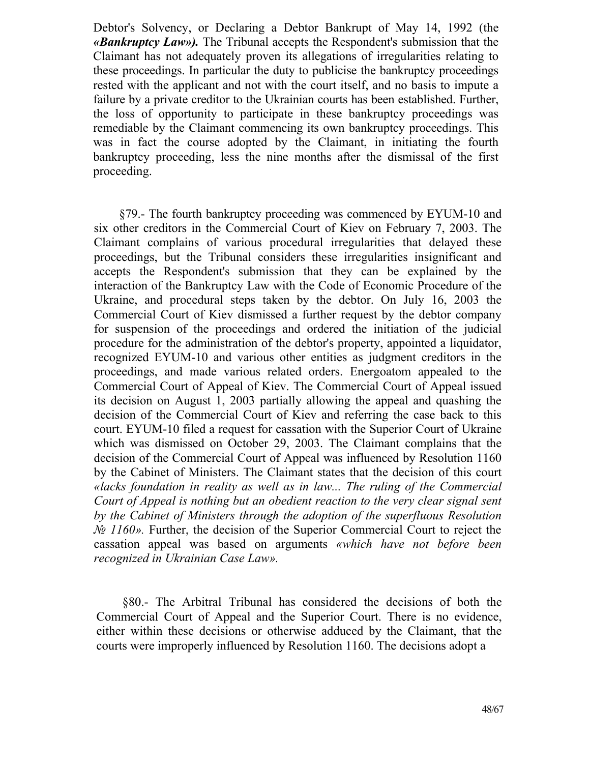Debtor's Solvency, or Declaring a Debtor Bankrupt of May 14, 1992 (the *«Bankruptcy Law»).* The Tribunal accepts the Respondent's submission that the Claimant has not adequately proven its allegations of irregularities relating to these proceedings. In particular the duty to publicise the bankruptcy proceedings rested with the applicant and not with the court itself, and no basis to impute a failure by a private creditor to the Ukrainian courts has been established. Further, the loss of opportunity to participate in these bankruptcy proceedings was remediable by the Claimant commencing its own bankruptcy proceedings. This was in fact the course adopted by the Claimant, in initiating the fourth bankruptcy proceeding, less the nine months after the dismissal of the first proceeding.

§79.- The fourth bankruptcy proceeding was commenced by EYUM-10 and six other creditors in the Commercial Court of Kiev on February 7, 2003. The Claimant complains of various procedural irregularities that delayed these proceedings, but the Tribunal considers these irregularities insignificant and accepts the Respondent's submission that they can be explained by the interaction of the Bankruptcy Law with the Code of Economic Procedure of the Ukraine, and procedural steps taken by the debtor. On July 16, 2003 the Commercial Court of Kiev dismissed a further request by the debtor company for suspension of the proceedings and ordered the initiation of the judicial procedure for the administration of the debtor's property, appointed a liquidator, recognized EYUM-10 and various other entities as judgment creditors in the proceedings, and made various related orders. Energoatom appealed to the Commercial Court of Appeal of Kiev. The Commercial Court of Appeal issued its decision on August 1, 2003 partially allowing the appeal and quashing the decision of the Commercial Court of Kiev and referring the case back to this court. EYUM-10 filed a request for cassation with the Superior Court of Ukraine which was dismissed on October 29, 2003. The Claimant complains that the decision of the Commercial Court of Appeal was influenced by Resolution 1160 by the Cabinet of Ministers. The Claimant states that the decision of this court *«lacks foundation in reality as well as in law... The ruling of the Commercial Court of Appeal is nothing but an obedient reaction to the very clear signal sent by the Cabinet of Ministers through the adoption of the superfluous Resolution № 1160».* Further, the decision of the Superior Commercial Court to reject the cassation appeal was based on arguments *«which have not before been recognized in Ukrainian Case Law».*

§80.- The Arbitral Tribunal has considered the decisions of both the Commercial Court of Appeal and the Superior Court. There is no evidence, either within these decisions or otherwise adduced by the Claimant, that the courts were improperly influenced by Resolution 1160. The decisions adopt a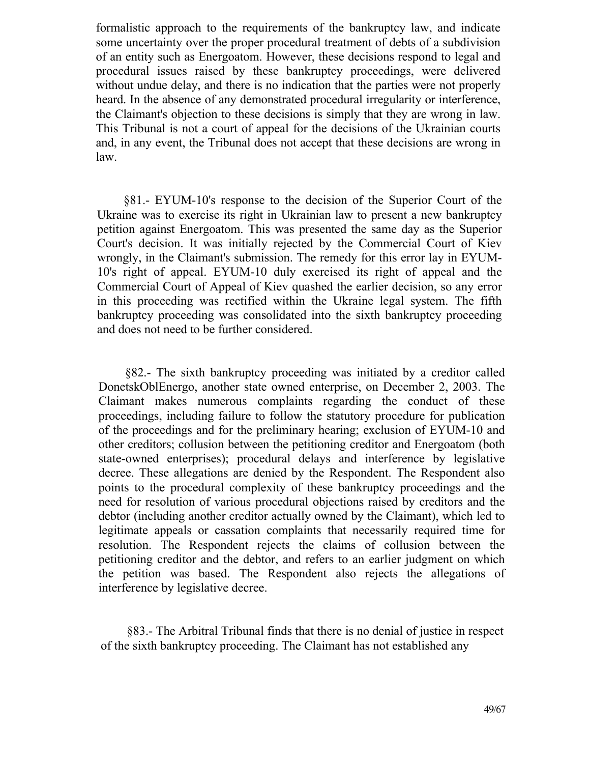formalistic approach to the requirements of the bankruptcy law, and indicate some uncertainty over the proper procedural treatment of debts of a subdivision of an entity such as Energoatom. However, these decisions respond to legal and procedural issues raised by these bankruptcy proceedings, were delivered without undue delay, and there is no indication that the parties were not properly heard. In the absence of any demonstrated procedural irregularity or interference, the Claimant's objection to these decisions is simply that they are wrong in law. This Tribunal is not a court of appeal for the decisions of the Ukrainian courts and, in any event, the Tribunal does not accept that these decisions are wrong in law.

§81.- EYUM-10's response to the decision of the Superior Court of the Ukraine was to exercise its right in Ukrainian law to present a new bankruptcy petition against Energoatom. This was presented the same day as the Superior Court's decision. It was initially rejected by the Commercial Court of Kiev wrongly, in the Claimant's submission. The remedy for this error lay in EYUM-10's right of appeal. EYUM-10 duly exercised its right of appeal and the Commercial Court of Appeal of Kiev quashed the earlier decision, so any error in this proceeding was rectified within the Ukraine legal system. The fifth bankruptcy proceeding was consolidated into the sixth bankruptcy proceeding and does not need to be further considered.

§82.- The sixth bankruptcy proceeding was initiated by a creditor called DonetskOblEnergo, another state owned enterprise, on December 2, 2003. The Claimant makes numerous complaints regarding the conduct of these proceedings, including failure to follow the statutory procedure for publication of the proceedings and for the preliminary hearing; exclusion of EYUM-10 and other creditors; collusion between the petitioning creditor and Energoatom (both state-owned enterprises); procedural delays and interference by legislative decree. These allegations are denied by the Respondent. The Respondent also points to the procedural complexity of these bankruptcy proceedings and the need for resolution of various procedural objections raised by creditors and the debtor (including another creditor actually owned by the Claimant), which led to legitimate appeals or cassation complaints that necessarily required time for resolution. The Respondent rejects the claims of collusion between the petitioning creditor and the debtor, and refers to an earlier judgment on which the petition was based. The Respondent also rejects the allegations of interference by legislative decree.

§83.- The Arbitral Tribunal finds that there is no denial of justice in respect of the sixth bankruptcy proceeding. The Claimant has not established any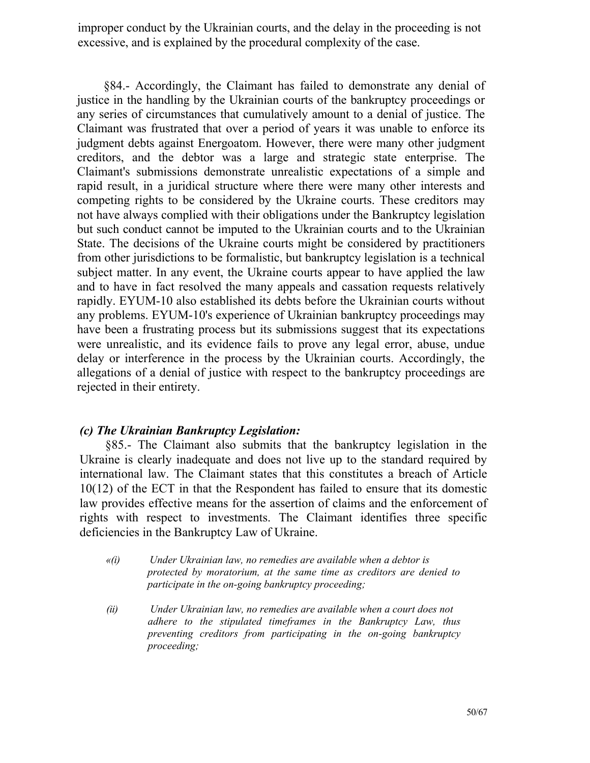improper conduct by the Ukrainian courts, and the delay in the proceeding is not excessive, and is explained by the procedural complexity of the case.

§84.- Accordingly, the Claimant has failed to demonstrate any denial of justice in the handling by the Ukrainian courts of the bankruptcy proceedings or any series of circumstances that cumulatively amount to a denial of justice. The Claimant was frustrated that over a period of years it was unable to enforce its judgment debts against Energoatom. However, there were many other judgment creditors, and the debtor was a large and strategic state enterprise. The Claimant's submissions demonstrate unrealistic expectations of a simple and rapid result, in a juridical structure where there were many other interests and competing rights to be considered by the Ukraine courts. These creditors may not have always complied with their obligations under the Bankruptcy legislation but such conduct cannot be imputed to the Ukrainian courts and to the Ukrainian State. The decisions of the Ukraine courts might be considered by practitioners from other jurisdictions to be formalistic, but bankruptcy legislation is a technical subject matter. In any event, the Ukraine courts appear to have applied the law and to have in fact resolved the many appeals and cassation requests relatively rapidly. EYUM-10 also established its debts before the Ukrainian courts without any problems. EYUM-10's experience of Ukrainian bankruptcy proceedings may have been a frustrating process but its submissions suggest that its expectations were unrealistic, and its evidence fails to prove any legal error, abuse, undue delay or interference in the process by the Ukrainian courts. Accordingly, the allegations of a denial of justice with respect to the bankruptcy proceedings are rejected in their entirety.

#### *(c) The Ukrainian Bankruptcy Legislation:*

§85.- The Claimant also submits that the bankruptcy legislation in the Ukraine is clearly inadequate and does not live up to the standard required by international law. The Claimant states that this constitutes a breach of Article 10(12) of the ЕСТ in that the Respondent has failed to ensure that its domestic law provides effective means for the assertion of claims and the enforcement of rights with respect to investments. The Claimant identifies three specific deficiencies in the Bankruptcy Law of Ukraine.

- *«(i) Under Ukrainian law, no remedies are available when a debtor is protected by moratorium, at the same time as creditors are denied to participate in the on-going bankruptcy proceeding;*
- *(ii) Under Ukrainian law, no remedies are available when a court does not adhere to the stipulated timeframes in the Bankruptcy Law, thus preventing creditors from participating in the on-going bankruptcy proceeding;*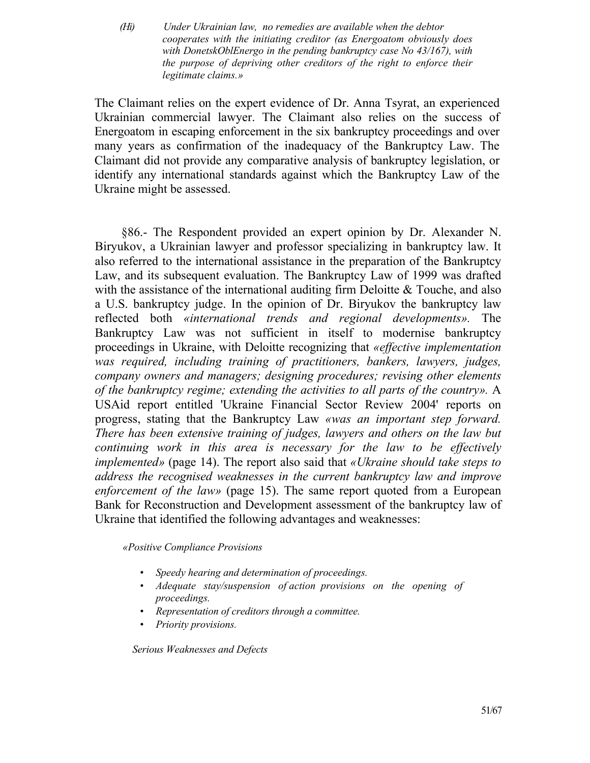*(Hi) Under Ukrainian law, no remedies are available when the debtor cooperates with the initiating creditor (as Energoatom obviously does with DonetskOblEnergo in the pending bankruptcy case No 43/167), with the purpose of depriving other creditors of the right to enforce their legitimate claims.»*

The Claimant relies on the expert evidence of Dr. Anna Tsyrat, an experienced Ukrainian commercial lawyer. The Claimant also relies on the success of Energoatom in escaping enforcement in the six bankruptcy proceedings and over many years as confirmation of the inadequacy of the Bankruptcy Law. The Claimant did not provide any comparative analysis of bankruptcy legislation, or identify any international standards against which the Bankruptcy Law of the Ukraine might be assessed.

§86.- The Respondent provided an expert opinion by Dr. Alexander N. Biryukov, a Ukrainian lawyer and professor specializing in bankruptcy law. It also referred to the international assistance in the preparation of the Bankruptcy Law, and its subsequent evaluation. The Bankruptcy Law of 1999 was drafted with the assistance of the international auditing firm Deloitte & Touche, and also a U.S. bankruptcy judge. In the opinion of Dr. Biryukov the bankruptcy law reflected both *«international trends and regional developments».* The Bankruptcy Law was not sufficient in itself to modernise bankruptcy proceedings in Ukraine, with Deloitte recognizing that *«effective implementation was required, including training of practitioners, bankers, lawyers, judges, company owners and managers; designing procedures; revising other elements of the bankruptcy regime; extending the activities to all parts of the country».* A USAid report entitled 'Ukraine Financial Sector Review 2004' reports on progress, stating that the Bankruptcy Law *«was an important step forward. There has been extensive training of judges, lawyers and others on the law but continuing work in this area is necessary for the law to be effectively implemented»* (page 14). The report also said that *«Ukraine should take steps to address the recognised weaknesses in the current bankruptcy law and improve enforcement of the law»* (page 15). The same report quoted from a European Bank for Reconstruction and Development assessment of the bankruptcy law of Ukraine that identified the following advantages and weaknesses:

#### *«Positive Compliance Provisions*

- *Speedy hearing and determination of proceedings.*
- *Adequate stay/suspension of action provisions on the opening of proceedings.*
- *Representation of creditors through a committee.*
- *Priority provisions.*

*Serious Weaknesses and Defects*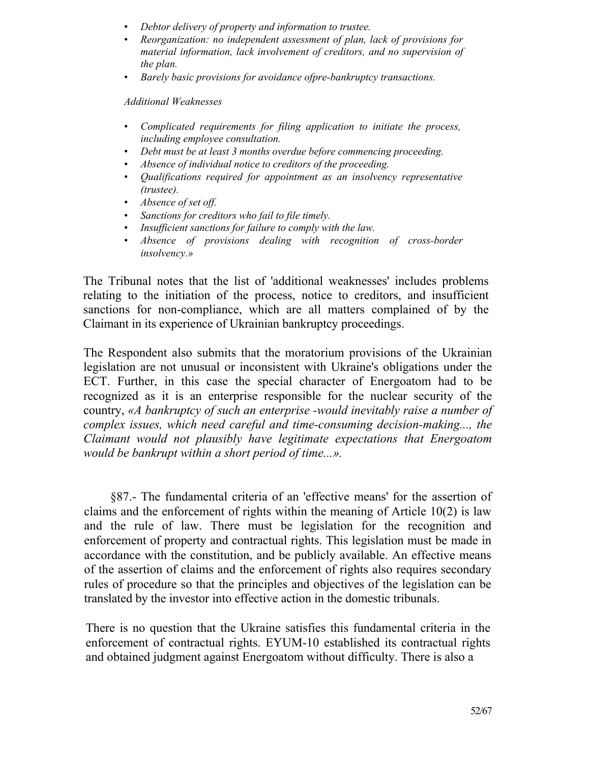- *Debtor delivery of property and information to trustee.*
- *Reorganization: no independent assessment of plan, lack of provisions for material information, lack involvement of creditors, and no supervision of the plan.*
- *Barely basic provisions for avoidance ofpre-bankruptcy transactions.*

*Additional Weaknesses*

- *Complicated requirements for filing application to initiate the process, including employee consultation.*
- *Debt must be at least 3 months overdue before commencing proceeding.*
- *Absence of individual notice to creditors of the proceeding.*
- *Qualifications required for appointment as an insolvency representative (trustee).*
- *Absence of set off.*
- *Sanctions for creditors who fail to file timely.*
- *Insufficient sanctions for failure to comply with the law.*
- *Absence of provisions dealing with recognition of cross-border insolvency.»*

The Tribunal notes that the list of 'additional weaknesses' includes problems relating to the initiation of the process, notice to creditors, and insufficient sanctions for non-compliance, which are all matters complained of by the Claimant in its experience of Ukrainian bankruptcy proceedings.

The Respondent also submits that the moratorium provisions of the Ukrainian legislation are not unusual or inconsistent with Ukraine's obligations under the ЕСТ. Further, in this case the special character of Energoatom had to be recognized as it is an enterprise responsible for the nuclear security of the country, *«A bankruptcy of such an enterprise -would inevitably raise a number of complex issues, which need careful and time-consuming decision-making..., the Claimant would not plausibly have legitimate expectations that Energoatom would be bankrupt within a short period of time...».*

§87.- The fundamental criteria of an 'effective means' for the assertion of claims and the enforcement of rights within the meaning of Article 10(2) is law and the rule of law. There must be legislation for the recognition and enforcement of property and contractual rights. This legislation must be made in accordance with the constitution, and be publicly available. An effective means of the assertion of claims and the enforcement of rights also requires secondary rules of procedure so that the principles and objectives of the legislation can be translated by the investor into effective action in the domestic tribunals.

There is no question that the Ukraine satisfies this fundamental criteria in the enforcement of contractual rights. EYUM-10 established its contractual rights and obtained judgment against Energoatom without difficulty. There is also a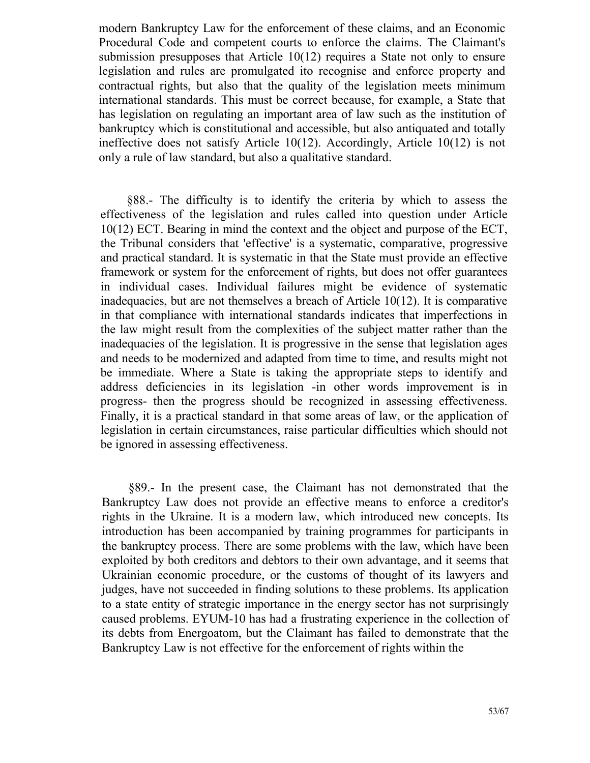modern Bankruptcy Law for the enforcement of these claims, and an Economic Procedural Code and competent courts to enforce the claims. The Claimant's submission presupposes that Article 10(12) requires a State not only to ensure legislation and rules are promulgated ito recognise and enforce property and contractual rights, but also that the quality of the legislation meets minimum international standards. This must be correct because, for example, a State that has legislation on regulating an important area of law such as the institution of bankruptcy which is constitutional and accessible, but also antiquated and totally ineffective does not satisfy Article 10(12). Accordingly, Article 10(12) is not only a rule of law standard, but also a qualitative standard.

§88.- The difficulty is to identify the criteria by which to assess the effectiveness of the legislation and rules called into question under Article 10(12) ЕСТ. Bearing in mind the context and the object and purpose of the ЕСТ, the Tribunal considers that 'effective' is a systematic, comparative, progressive and practical standard. It is systematic in that the State must provide an effective framework or system for the enforcement of rights, but does not offer guarantees in individual cases. Individual failures might be evidence of systematic inadequacies, but are not themselves a breach of Article 10(12). It is comparative in that compliance with international standards indicates that imperfections in the law might result from the complexities of the subject matter rather than the inadequacies of the legislation. It is progressive in the sense that legislation ages and needs to be modernized and adapted from time to time, and results might not be immediate. Where a State is taking the appropriate steps to identify and address deficiencies in its legislation -in other words improvement is in progress- then the progress should be recognized in assessing effectiveness. Finally, it is a practical standard in that some areas of law, or the application of legislation in certain circumstances, raise particular difficulties which should not be ignored in assessing effectiveness.

§89.- In the present case, the Claimant has not demonstrated that the Bankruptcy Law does not provide an effective means to enforce a creditor's rights in the Ukraine. It is a modern law, which introduced new concepts. Its introduction has been accompanied by training programmes for participants in the bankruptcy process. There are some problems with the law, which have been exploited by both creditors and debtors to their own advantage, and it seems that Ukrainian economic procedure, or the customs of thought of its lawyers and judges, have not succeeded in finding solutions to these problems. Its application to a state entity of strategic importance in the energy sector has not surprisingly caused problems. EYUM-10 has had a frustrating experience in the collection of its debts from Energoatom, but the Claimant has failed to demonstrate that the Bankruptcy Law is not effective for the enforcement of rights within the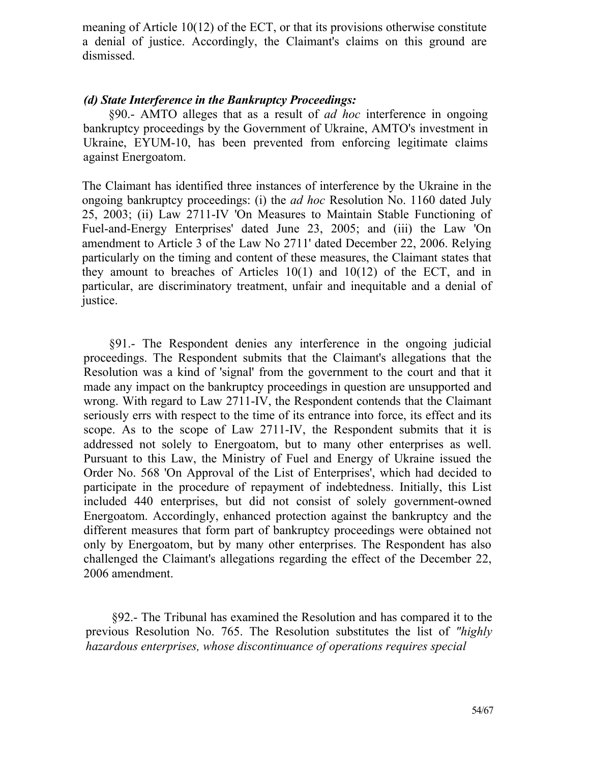meaning of Article 10(12) of the ЕСТ, or that its provisions otherwise constitute a denial of justice. Accordingly, the Claimant's claims on this ground are dismissed.

#### *(d) State Interference in the Bankruptcy Proceedings:*

§90.- AMTO alleges that as a result of *ad hoc* interference in ongoing bankruptcy proceedings by the Government of Ukraine, AMTO's investment in Ukraine, EYUM-10, has been prevented from enforcing legitimate claims against Energoatom.

The Claimant has identified three instances of interference by the Ukraine in the ongoing bankruptcy proceedings: (i) the *ad hoc* Resolution No. 1160 dated July 25, 2003; (ii) Law 2711-IV 'On Measures to Maintain Stable Functioning of Fuel-and-Energy Enterprises' dated June 23, 2005; and (iii) the Law 'On amendment to Article 3 of the Law No 2711' dated December 22, 2006. Relying particularly on the timing and content of these measures, the Claimant states that they amount to breaches of Articles 10(1) and 10(12) of the ЕСТ, and in particular, are discriminatory treatment, unfair and inequitable and a denial of justice.

§91.- The Respondent denies any interference in the ongoing judicial proceedings. The Respondent submits that the Claimant's allegations that the Resolution was a kind of 'signal' from the government to the court and that it made any impact on the bankruptcy proceedings in question are unsupported and wrong. With regard to Law 2711-IV, the Respondent contends that the Claimant seriously errs with respect to the time of its entrance into force, its effect and its scope. As to the scope of Law 2711-IV, the Respondent submits that it is addressed not solely to Energoatom, but to many other enterprises as well. Pursuant to this Law, the Ministry of Fuel and Energy of Ukraine issued the Order No. 568 'On Approval of the List of Enterprises', which had decided to participate in the procedure of repayment of indebtedness. Initially, this List included 440 enterprises, but did not consist of solely government-owned Energoatom. Accordingly, enhanced protection against the bankruptcy and the different measures that form part of bankruptcy proceedings were obtained not only by Energoatom, but by many other enterprises. The Respondent has also challenged the Claimant's allegations regarding the effect of the December 22, 2006 amendment.

§92.- The Tribunal has examined the Resolution and has compared it to the previous Resolution No. 765. The Resolution substitutes the list of *"highly hazardous enterprises, whose discontinuance of operations requires special*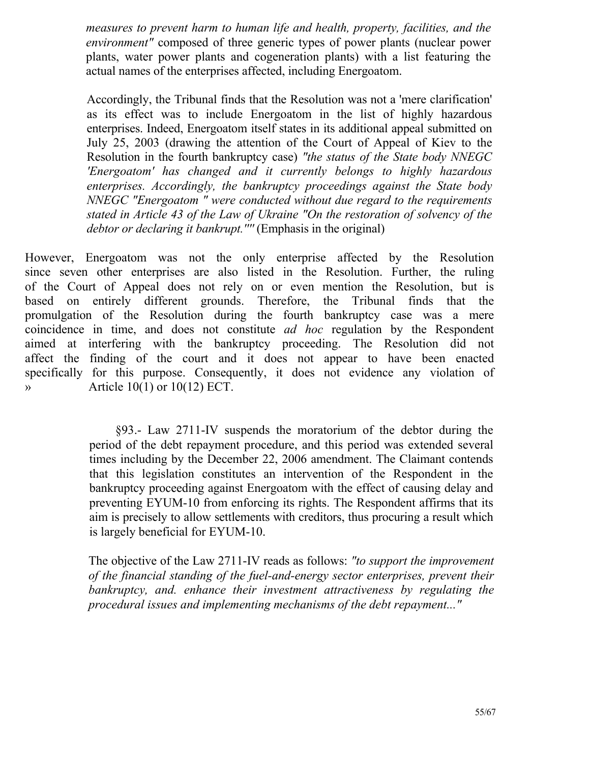*measures to prevent harm to human life and health, property, facilities, and the environment"* composed of three generic types of power plants (nuclear power plants, water power plants and cogeneration plants) with a list featuring the actual names of the enterprises affected, including Energoatom.

Accordingly, the Tribunal finds that the Resolution was not a 'mere clarification' as its effect was to include Energoatom in the list of highly hazardous enterprises. Indeed, Energoatom itself states in its additional appeal submitted on July 25, 2003 (drawing the attention of the Court of Appeal of Kiev to the Resolution in the fourth bankruptcy case) *"the status of the State body NNEGC 'Energoatom' has changed and it currently belongs to highly hazardous enterprises. Accordingly, the bankruptcy proceedings against the State body NNEGC "Energoatom " were conducted without due regard to the requirements stated in Article 43 of the Law of Ukraine "On the restoration of solvency of the debtor or declaring it bankrupt.''''* (Emphasis in the original)

However, Energoatom was not the only enterprise affected by the Resolution since seven other enterprises are also listed in the Resolution. Further, the ruling of the Court of Appeal does not rely on or even mention the Resolution, but is based on entirely different grounds. Therefore, the Tribunal finds that the promulgation of the Resolution during the fourth bankruptcy case was a mere coincidence in time, and does not constitute *ad hoc* regulation by the Respondent aimed at interfering with the bankruptcy proceeding. The Resolution did not affect the finding of the court and it does not appear to have been enacted specifically for this purpose. Consequently, it does not evidence any violation of  $\triangleright$  Article 10(1) or 10(12) ECT.

> §93.- Law 2711-IV suspends the moratorium of the debtor during the period of the debt repayment procedure, and this period was extended several times including by the December 22, 2006 amendment. The Claimant contends that this legislation constitutes an intervention of the Respondent in the bankruptcy proceeding against Energoatom with the effect of causing delay and preventing EYUM-10 from enforcing its rights. The Respondent affirms that its aim is precisely to allow settlements with creditors, thus procuring a result which is largely beneficial for EYUM-10.

> The objective of the Law 2711-IV reads as follows: *"to support the improvement of the financial standing of the fuel-and-energy sector enterprises, prevent their bankruptcy, and. enhance their investment attractiveness by regulating the procedural issues and implementing mechanisms of the debt repayment..."*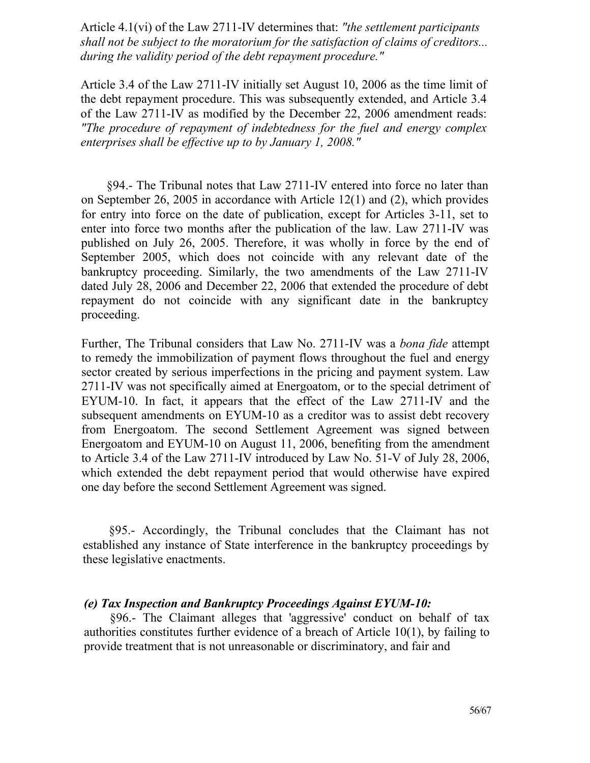Article 4.1(vi) of the Law 2711-IV determines that: *"the settlement participants shall not be subject to the moratorium for the satisfaction of claims of creditors... during the validity period of the debt repayment procedure."*

Article 3.4 of the Law 2711-IV initially set August 10, 2006 as the time limit of the debt repayment procedure. This was subsequently extended, and Article 3.4 of the Law 2711-IV as modified by the December 22, 2006 amendment reads: *"The procedure of repayment of indebtedness for the fuel and energy complex enterprises shall be effective up to by January 1, 2008."*

§94.- The Tribunal notes that Law 2711-IV entered into force no later than on September 26, 2005 in accordance with Article 12(1) and (2), which provides for entry into force on the date of publication, except for Articles 3-11, set to enter into force two months after the publication of the law. Law 2711-IV was published on July 26, 2005. Therefore, it was wholly in force by the end of September 2005, which does not coincide with any relevant date of the bankruptcy proceeding. Similarly, the two amendments of the Law 2711-IV dated July 28, 2006 and December 22, 2006 that extended the procedure of debt repayment do not coincide with any significant date in the bankruptcy proceeding.

Further, The Tribunal considers that Law No. 2711-IV was a *bona fide* attempt to remedy the immobilization of payment flows throughout the fuel and energy sector created by serious imperfections in the pricing and payment system. Law 2711-IV was not specifically aimed at Energoatom, or to the special detriment of EYUM-10. In fact, it appears that the effect of the Law 2711-IV and the subsequent amendments on EYUM-10 as a creditor was to assist debt recovery from Energoatom. The second Settlement Agreement was signed between Energoatom and EYUM-10 on August 11, 2006, benefiting from the amendment to Article 3.4 of the Law 2711-IV introduced by Law No. 51-V of July 28, 2006, which extended the debt repayment period that would otherwise have expired one day before the second Settlement Agreement was signed.

§95.- Accordingly, the Tribunal concludes that the Claimant has not established any instance of State interference in the bankruptcy proceedings by these legislative enactments.

#### *(e) Tax Inspection and Bankruptcy Proceedings Against EYUM-10:*

§96.- The Claimant alleges that 'aggressive' conduct on behalf of tax authorities constitutes further evidence of a breach of Article 10(1), by failing to provide treatment that is not unreasonable or discriminatory, and fair and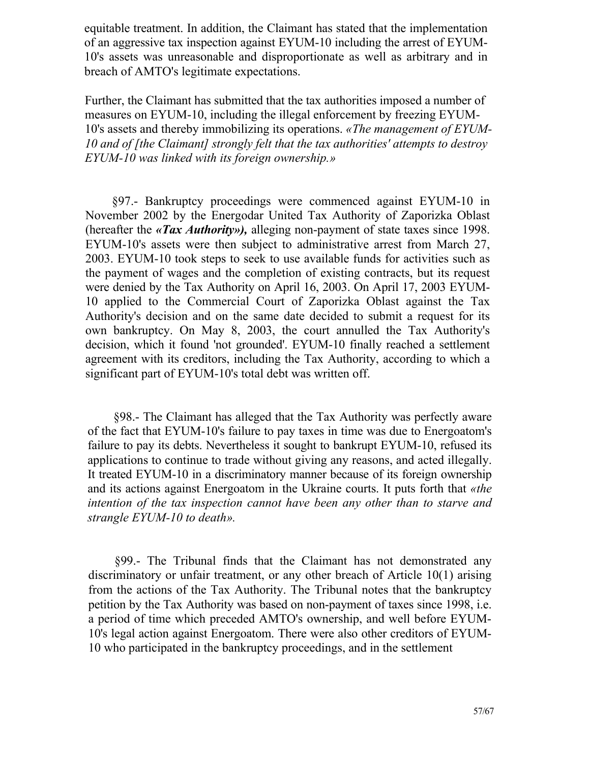equitable treatment. In addition, the Claimant has stated that the implementation of an aggressive tax inspection against EYUM-10 including the arrest of EYUM-10's assets was unreasonable and disproportionate as well as arbitrary and in breach of AMTO's legitimate expectations.

Further, the Claimant has submitted that the tax authorities imposed a number of measures on EYUM-10, including the illegal enforcement by freezing EYUM-10's assets and thereby immobilizing its operations. *«The management of EYUM-10 and of [the Claimant] strongly felt that the tax authorities' attempts to destroy EYUM-10 was linked with its foreign ownership.»*

§97.- Bankruptcy proceedings were commenced against EYUM-10 in November 2002 by the Energodar United Tax Authority of Zaporizka Oblast (hereafter the *«Tax Authority»),* alleging non-payment of state taxes since 1998. EYUM-10's assets were then subject to administrative arrest from March 27, 2003. EYUM-10 took steps to seek to use available funds for activities such as the payment of wages and the completion of existing contracts, but its request were denied by the Tax Authority on April 16, 2003. On April 17, 2003 EYUM-10 applied to the Commercial Court of Zaporizka Oblast against the Tax Authority's decision and on the same date decided to submit a request for its own bankruptcy. On May 8, 2003, the court annulled the Tax Authority's decision, which it found 'not grounded'. EYUM-10 finally reached a settlement agreement with its creditors, including the Tax Authority, according to which a significant part of EYUM-10's total debt was written off.

§98.- The Claimant has alleged that the Tax Authority was perfectly aware of the fact that EYUM-10's failure to pay taxes in time was due to Energoatom's failure to pay its debts. Nevertheless it sought to bankrupt EYUM-10, refused its applications to continue to trade without giving any reasons, and acted illegally. It treated EYUM-10 in a discriminatory manner because of its foreign ownership and its actions against Energoatom in the Ukraine courts. It puts forth that *«the intention of the tax inspection cannot have been any other than to starve and strangle EYUM-10 to death».*

§99.- The Tribunal finds that the Claimant has not demonstrated any discriminatory or unfair treatment, or any other breach of Article 10(1) arising from the actions of the Tax Authority. The Tribunal notes that the bankruptcy petition by the Tax Authority was based on non-payment of taxes since 1998, i.e. a period of time which preceded AMTO's ownership, and well before EYUM-10's legal action against Energoatom. There were also other creditors of EYUM-10 who participated in the bankruptcy proceedings, and in the settlement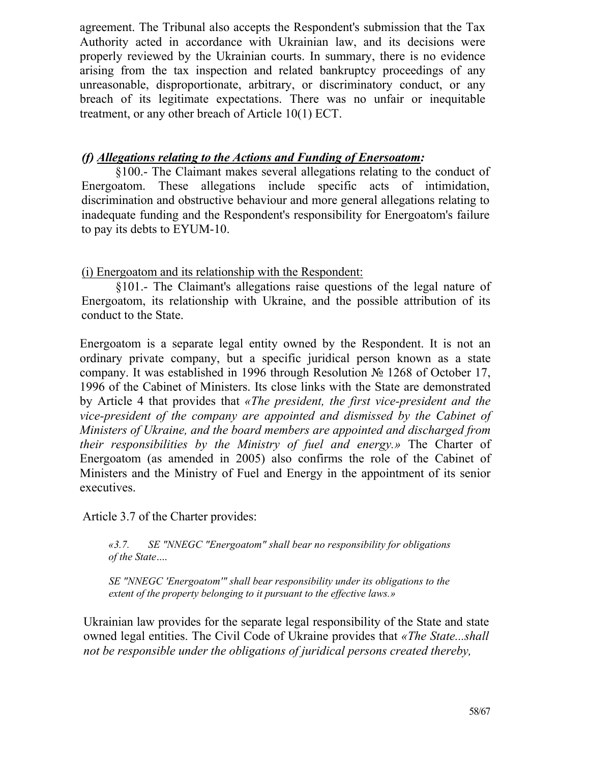agreement. The Tribunal also accepts the Respondent's submission that the Tax Authority acted in accordance with Ukrainian law, and its decisions were properly reviewed by the Ukrainian courts. In summary, there is no evidence arising from the tax inspection and related bankruptcy proceedings of any unreasonable, disproportionate, arbitrary, or discriminatory conduct, or any breach of its legitimate expectations. There was no unfair or inequitable treatment, or any other breach of Article 10(1) ЕСТ.

# *(f) Allegations relating to the Actions and Funding of Enersoatom:*

§100.- The Claimant makes several allegations relating to the conduct of Energoatom. These allegations include specific acts of intimidation, discrimination and obstructive behaviour and more general allegations relating to inadequate funding and the Respondent's responsibility for Energoatom's failure to pay its debts to EYUM-10.

(i) Energoatom and its relationship with the Respondent:

§101.- The Claimant's allegations raise questions of the legal nature of Energoatom, its relationship with Ukraine, and the possible attribution of its conduct to the State.

Energoatom is a separate legal entity owned by the Respondent. It is not an ordinary private company, but a specific juridical person known as a state company. It was established in 1996 through Resolution № 1268 of October 17, 1996 of the Cabinet of Ministers. Its close links with the State are demonstrated by Article 4 that provides that *«The president, the first vice-president and the vice-president of the company are appointed and dismissed by the Cabinet of Ministers of Ukraine, and the board members are appointed and discharged from their responsibilities by the Ministry of fuel and energy.»* The Charter of Energoatom (as amended in 2005) also confirms the role of the Cabinet of Ministers and the Ministry of Fuel and Energy in the appointment of its senior executives.

Article 3.7 of the Charter provides:

*«3.7. SE "NNEGC "Energoatom" shall bear no responsibility for obligations of the State* ....

*SE "NNEGC 'Energoatom'" shall bear responsibility under its obligations to the extent of the property belonging to it pursuant to the effective laws.»*

Ukrainian law provides for the separate legal responsibility of the State and state owned legal entities. The Civil Code of Ukraine provides that *«The State...shall not be responsible under the obligations of juridical persons created thereby,*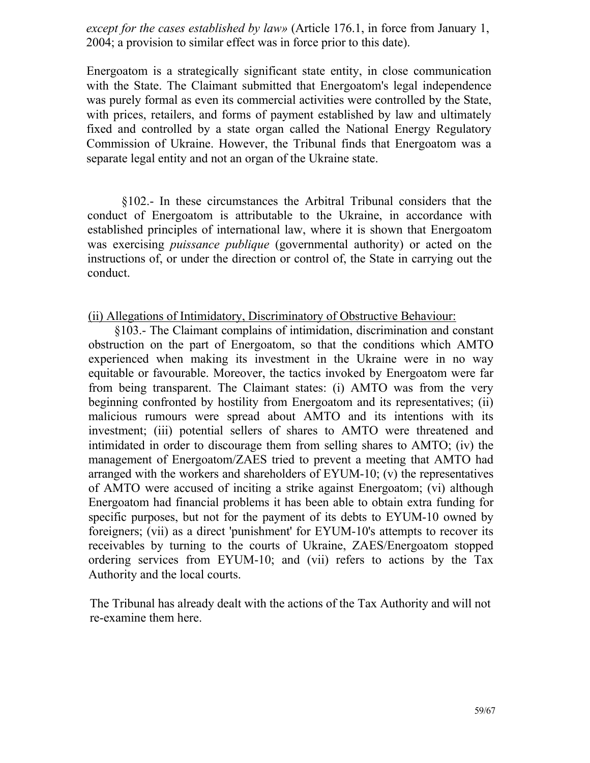*except for the cases established by law»* (Article 176.1, in force from January 1, 2004; a provision to similar effect was in force prior to this date).

Energoatom is a strategically significant state entity, in close communication with the State. The Claimant submitted that Energoatom's legal independence was purely formal as even its commercial activities were controlled by the State, with prices, retailers, and forms of payment established by law and ultimately fixed and controlled by a state organ called the National Energy Regulatory Commission of Ukraine. However, the Tribunal finds that Energoatom was a separate legal entity and not an organ of the Ukraine state.

§102.- In these circumstances the Arbitral Tribunal considers that the conduct of Energoatom is attributable to the Ukraine, in accordance with established principles of international law, where it is shown that Energoatom was exercising *puissance publique* (governmental authority) or acted on the instructions of, or under the direction or control of, the State in carrying out the conduct.

#### (ii) Allegations of Intimidatory, Discriminatory of Obstructive Behaviour:

§103.- The Claimant complains of intimidation, discrimination and constant obstruction on the part of Energoatom, so that the conditions which AMTO experienced when making its investment in the Ukraine were in no way equitable or favourable. Moreover, the tactics invoked by Energoatom were far from being transparent. The Claimant states: (i) AMTO was from the very beginning confronted by hostility from Energoatom and its representatives; (ii) malicious rumours were spread about AMTO and its intentions with its investment; (iii) potential sellers of shares to AMTO were threatened and intimidated in order to discourage them from selling shares to AMTO; (iv) the management of Energoatom/ZAES tried to prevent a meeting that AMTO had arranged with the workers and shareholders of EYUM-10; (v) the representatives of AMTO were accused of inciting a strike against Energoatom; (vi) although Energoatom had financial problems it has been able to obtain extra funding for specific purposes, but not for the payment of its debts to EYUM-10 owned by foreigners; (vii) as a direct 'punishment' for EYUM-10's attempts to recover its receivables by turning to the courts of Ukraine, ZAES/Energoatom stopped ordering services from EYUM-10; and (vii) refers to actions by the Tax Authority and the local courts.

The Tribunal has already dealt with the actions of the Tax Authority and will not re-examine them here.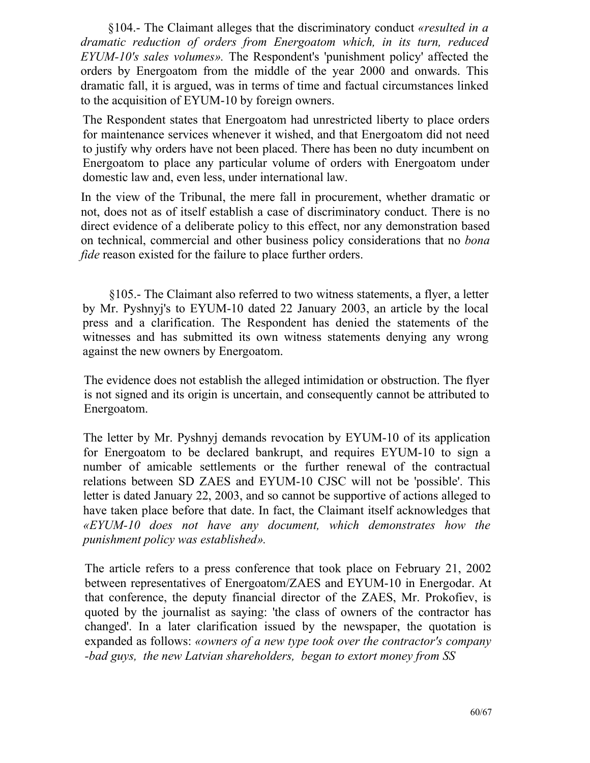§104.- The Claimant alleges that the discriminatory conduct *«resulted in a dramatic reduction of orders from Energoatom which, in its turn, reduced EYUM-10's sales volumes».* The Respondent's 'punishment policy' affected the orders by Energoatom from the middle of the year 2000 and onwards. This dramatic fall, it is argued, was in terms of time and factual circumstances linked to the acquisition of EYUM-10 by foreign owners.

The Respondent states that Energoatom had unrestricted liberty to place orders for maintenance services whenever it wished, and that Energoatom did not need to justify why orders have not been placed. There has been no duty incumbent on Energoatom to place any particular volume of orders with Energoatom under domestic law and, even less, under international law.

In the view of the Tribunal, the mere fall in procurement, whether dramatic or not, does not as of itself establish a case of discriminatory conduct. There is no direct evidence of a deliberate policy to this effect, nor any demonstration based on technical, commercial and other business policy considerations that no *bona fide* reason existed for the failure to place further orders.

§105.- The Claimant also referred to two witness statements, a flyer, a letter by Mr. Pyshnyj's to EYUM-10 dated 22 January 2003, an article by the local press and a clarification. The Respondent has denied the statements of the witnesses and has submitted its own witness statements denying any wrong against the new owners by Energoatom.

The evidence does not establish the alleged intimidation or obstruction. The flyer is not signed and its origin is uncertain, and consequently cannot be attributed to Energoatom.

The letter by Mr. Pyshnyj demands revocation by EYUM-10 of its application for Energoatom to be declared bankrupt, and requires EYUM-10 to sign a number of amicable settlements or the further renewal of the contractual relations between SD ZAES and EYUM-10 CJSC will not be 'possible'. This letter is dated January 22, 2003, and so cannot be supportive of actions alleged to have taken place before that date. In fact, the Claimant itself acknowledges that *«EYUM-10 does not have any document, which demonstrates how the punishment policy was established».*

The article refers to a press conference that took place on February 21, 2002 between representatives of Energoatom/ZAES and EYUM-10 in Energodar. At that conference, the deputy financial director of the ZAES, Mr. Prokofiev, is quoted by the journalist as saying: 'the class of owners of the contractor has changed'. In a later clarification issued by the newspaper, the quotation is expanded as follows: *«owners of a new type took over the contractor's company -bad guys, the new Latvian shareholders, began to extort money from SS*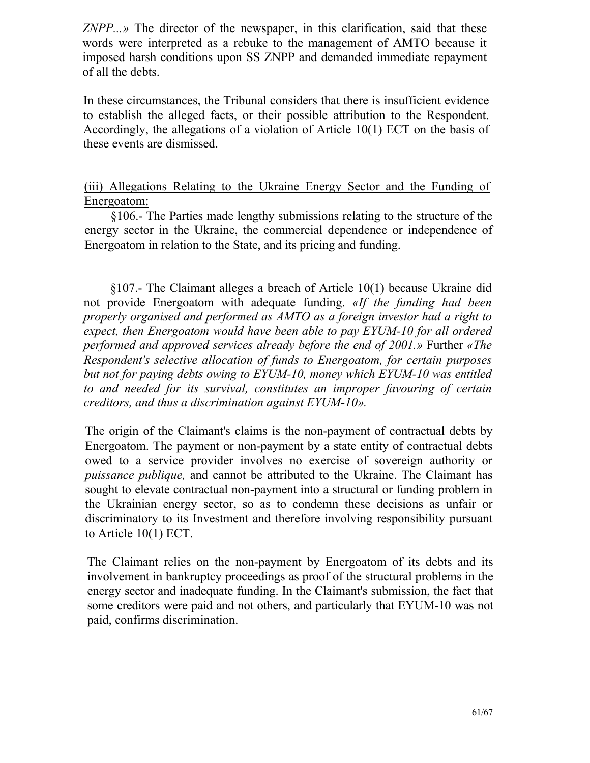*ZNPP...»* The director of the newspaper, in this clarification, said that these words were interpreted as a rebuke to the management of AMTO because it imposed harsh conditions upon SS ZNPP and demanded immediate repayment of all the debts.

In these circumstances, the Tribunal considers that there is insufficient evidence to establish the alleged facts, or their possible attribution to the Respondent. Accordingly, the allegations of a violation of Article 10(1) ЕСТ on the basis of these events are dismissed.

(iii) Allegations Relating to the Ukraine Energy Sector and the Funding of Energoatom:

§106.- The Parties made lengthy submissions relating to the structure of the energy sector in the Ukraine, the commercial dependence or independence of Energoatom in relation to the State, and its pricing and funding.

§107.- The Claimant alleges a breach of Article 10(1) because Ukraine did not provide Energoatom with adequate funding. *«If the funding had been properly organised and performed as AMTO as a foreign investor had a right to expect, then Energoatom would have been able to pay EYUM-10 for all ordered performed and approved services already before the end of 2001.»* Further *«The Respondent's selective allocation of funds to Energoatom, for certain purposes but not for paying debts owing to EYUM-10, money which EYUM-10 was entitled to and needed for its survival, constitutes an improper favouring of certain creditors, and thus a discrimination against EYUM-10».*

The origin of the Claimant's claims is the non-payment of contractual debts by Energoatom. The payment or non-payment by a state entity of contractual debts owed to a service provider involves no exercise of sovereign authority or *puissance publique,* and cannot be attributed to the Ukraine. The Claimant has sought to elevate contractual non-payment into a structural or funding problem in the Ukrainian energy sector, so as to condemn these decisions as unfair or discriminatory to its Investment and therefore involving responsibility pursuant to Article 10(1) ЕСТ.

The Claimant relies on the non-payment by Energoatom of its debts and its involvement in bankruptcy proceedings as proof of the structural problems in the energy sector and inadequate funding. In the Claimant's submission, the fact that some creditors were paid and not others, and particularly that EYUM-10 was not paid, confirms discrimination.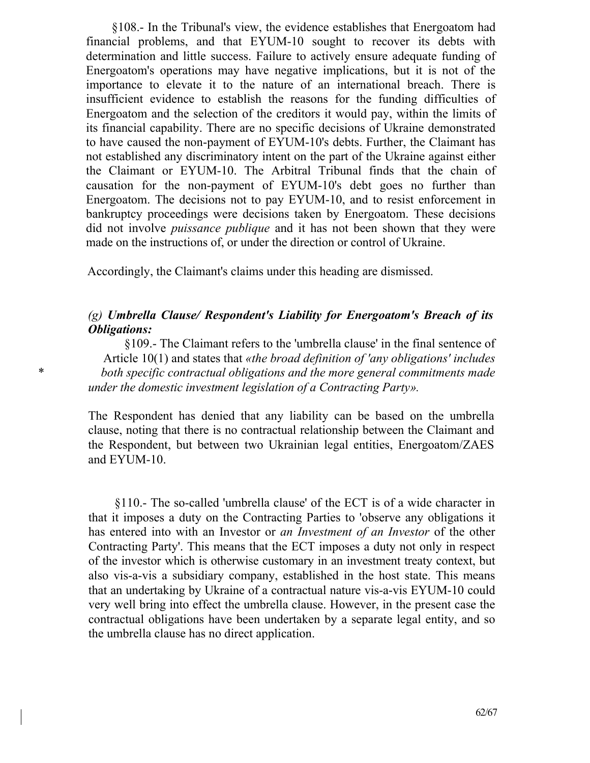§108.- In the Tribunal's view, the evidence establishes that Energoatom had financial problems, and that EYUM-10 sought to recover its debts with determination and little success. Failure to actively ensure adequate funding of Energoatom's operations may have negative implications, but it is not of the importance to elevate it to the nature of an international breach. There is insufficient evidence to establish the reasons for the funding difficulties of Energoatom and the selection of the creditors it would pay, within the limits of its financial capability. There are no specific decisions of Ukraine demonstrated to have caused the non-payment of EYUM-10's debts. Further, the Claimant has not established any discriminatory intent on the part of the Ukraine against either the Claimant or EYUM-10. The Arbitral Tribunal finds that the chain of causation for the non-payment of EYUM-10's debt goes no further than Energoatom. The decisions not to pay EYUM-10, and to resist enforcement in bankruptcy proceedings were decisions taken by Energoatom. These decisions did not involve *puissance publique* and it has not been shown that they were made on the instructions of, or under the direction or control of Ukraine.

Accordingly, the Claimant's claims under this heading are dismissed.

## *(g) Umbrella Clause/ Respondent's Liability for Energoatom's Breach of its Obligations:*

§109.- The Claimant refers to the 'umbrella clause' in the final sentence of Article 10(1) and states that *«the broad definition of 'any obligations' includes*  \* *both specific contractual obligations and the more general commitments made under the domestic investment legislation of a Contracting Party».*

> The Respondent has denied that any liability can be based on the umbrella clause, noting that there is no contractual relationship between the Claimant and the Respondent, but between two Ukrainian legal entities, Energoatom/ZAES and EYUM-10.

> §110.- The so-called 'umbrella clause' of the ЕСТ is of a wide character in that it imposes a duty on the Contracting Parties to 'observe any obligations it has entered into with an Investor or *an Investment of an Investor* of the other Contracting Party'. This means that the ЕСТ imposes a duty not only in respect of the investor which is otherwise customary in an investment treaty context, but also vis-a-vis a subsidiary company, established in the host state. This means that an undertaking by Ukraine of a contractual nature vis-a-vis EYUM-10 could very well bring into effect the umbrella clause. However, in the present case the contractual obligations have been undertaken by a separate legal entity, and so the umbrella clause has no direct application.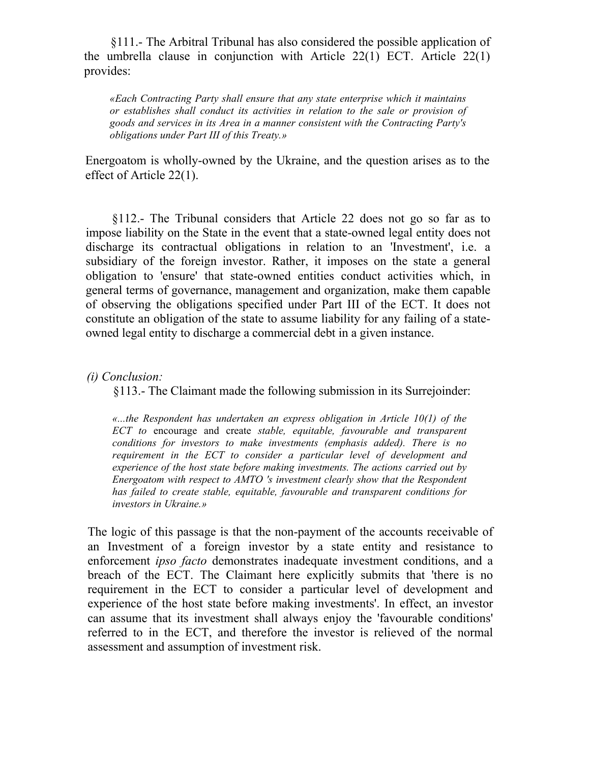§111.- The Arbitral Tribunal has also considered the possible application of the umbrella clause in conjunction with Article 22(1) ЕСТ. Article 22(1) provides:

*«Each Contracting Party shall ensure that any state enterprise which it maintains or establishes shall conduct its activities in relation to the sale or provision of goods and services in its Area in a manner consistent with the Contracting Party's obligations under Part III of this Treaty.»*

Energoatom is wholly-owned by the Ukraine, and the question arises as to the effect of Article 22(1).

§112.- The Tribunal considers that Article 22 does not go so far as to impose liability on the State in the event that a state-owned legal entity does not discharge its contractual obligations in relation to an 'Investment', i.e. a subsidiary of the foreign investor. Rather, it imposes on the state a general obligation to 'ensure' that state-owned entities conduct activities which, in general terms of governance, management and organization, make them capable of observing the obligations specified under Part III of the ЕСТ. It does not constitute an obligation of the state to assume liability for any failing of a stateowned legal entity to discharge a commercial debt in a given instance.

*(i) Conclusion:*

§113.- The Claimant made the following submission in its Surrejoinder:

*«...the Respondent has undertaken an express obligation in Article 10(1) of the ЕСТ to* encourage and create *stable, equitable, favourable and transparent conditions for investors to make investments (emphasis added). There is no requirement in the ЕСТ to consider a particular level of development and experience of the host state before making investments. The actions carried out by Energoatom with respect to AMTO 's investment clearly show that the Respondent has failed to create stable, equitable, favourable and transparent conditions for investors in Ukraine.»*

The logic of this passage is that the non-payment of the accounts receivable of an Investment of a foreign investor by a state entity and resistance to enforcement *ipso facto* demonstrates inadequate investment conditions, and a breach of the ЕСТ. The Claimant here explicitly submits that 'there is no requirement in the ЕСТ to consider a particular level of development and experience of the host state before making investments'. In effect, an investor can assume that its investment shall always enjoy the 'favourable conditions' referred to in the ЕСТ, and therefore the investor is relieved of the normal assessment and assumption of investment risk.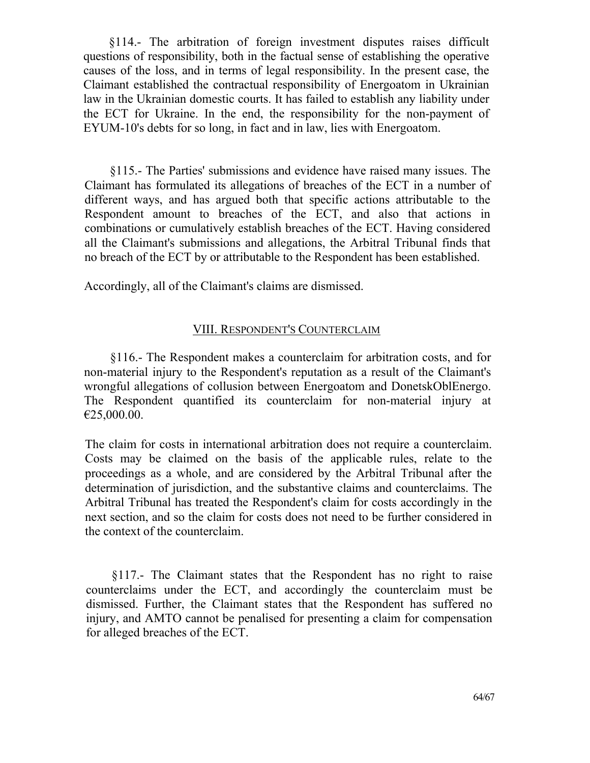§114.- The arbitration of foreign investment disputes raises difficult questions of responsibility, both in the factual sense of establishing the operative causes of the loss, and in terms of legal responsibility. In the present case, the Claimant established the contractual responsibility of Energoatom in Ukrainian law in the Ukrainian domestic courts. It has failed to establish any liability under the ЕСТ for Ukraine. In the end, the responsibility for the non-payment of EYUM-10's debts for so long, in fact and in law, lies with Energoatom.

§115.- The Parties' submissions and evidence have raised many issues. The Claimant has formulated its allegations of breaches of the ЕСТ in a number of different ways, and has argued both that specific actions attributable to the Respondent amount to breaches of the ЕСТ, and also that actions in combinations or cumulatively establish breaches of the ЕСТ. Having considered all the Claimant's submissions and allegations, the Arbitral Tribunal finds that no breach of the ЕСТ by or attributable to the Respondent has been established.

Accordingly, all of the Claimant's claims are dismissed.

## VIII. RESPONDENT'S COUNTERCLAIM

§116.- The Respondent makes a counterclaim for arbitration costs, and for non-material injury to the Respondent's reputation as a result of the Claimant's wrongful allegations of collusion between Energoatom and DonetskOblEnergo. The Respondent quantified its counterclaim for non-material injury at €25,000.00.

The claim for costs in international arbitration does not require a counterclaim. Costs may be claimed on the basis of the applicable rules, relate to the proceedings as a whole, and are considered by the Arbitral Tribunal after the determination of jurisdiction, and the substantive claims and counterclaims. The Arbitral Tribunal has treated the Respondent's claim for costs accordingly in the next section, and so the claim for costs does not need to be further considered in the context of the counterclaim.

§117.- The Claimant states that the Respondent has no right to raise counterclaims under the ЕСТ, and accordingly the counterclaim must be dismissed. Further, the Claimant states that the Respondent has suffered no injury, and AMTO cannot be penalised for presenting a claim for compensation for alleged breaches of the ЕСТ.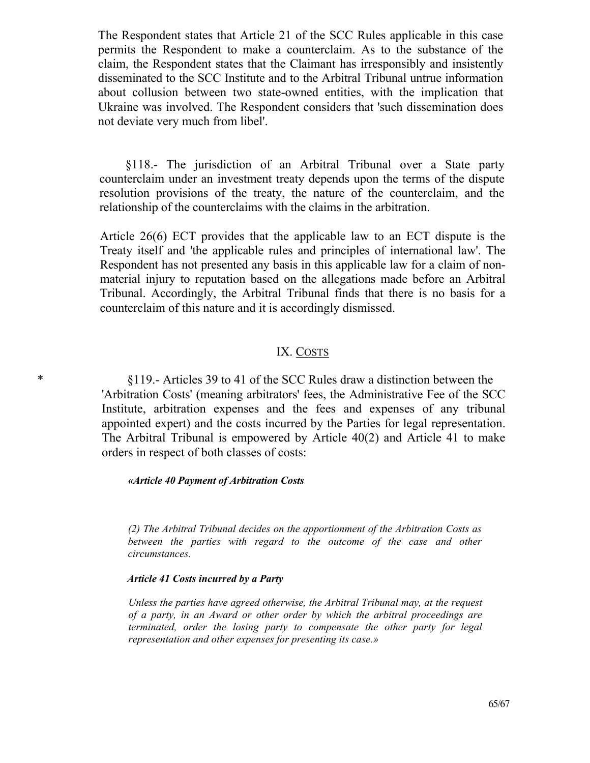The Respondent states that Article 21 of the SCC Rules applicable in this case permits the Respondent to make a counterclaim. As to the substance of the claim, the Respondent states that the Claimant has irresponsibly and insistently disseminated to the SCC Institute and to the Arbitral Tribunal untrue information about collusion between two state-owned entities, with the implication that Ukraine was involved. The Respondent considers that 'such dissemination does not deviate very much from libel'.

§118.- The jurisdiction of an Arbitral Tribunal over a State party counterclaim under an investment treaty depends upon the terms of the dispute resolution provisions of the treaty, the nature of the counterclaim, and the relationship of the counterclaims with the claims in the arbitration.

Article 26(6) ЕСТ provides that the applicable law to an ЕСТ dispute is the Treaty itself and 'the applicable rules and principles of international law'. The Respondent has not presented any basis in this applicable law for a claim of nonmaterial injury to reputation based on the allegations made before an Arbitral Tribunal. Accordingly, the Arbitral Tribunal finds that there is no basis for a counterclaim of this nature and it is accordingly dismissed.

#### IX. COSTS

\* §119.- Articles 39 to 41 of the SCC Rules draw a distinction between the 'Arbitration Costs' (meaning arbitrators' fees, the Administrative Fee of the SCC Institute, arbitration expenses and the fees and expenses of any tribunal appointed expert) and the costs incurred by the Parties for legal representation. The Arbitral Tribunal is empowered by Article 40(2) and Article 41 to make orders in respect of both classes of costs:

#### *«Article 40 Payment of Arbitration Costs*

*(2) The Arbitral Tribunal decides on the apportionment of the Arbitration Costs as*  between the parties with regard to the outcome of the case and other *circumstances.*

#### *Article 41 Costs incurred by a Party*

*Unless the parties have agreed otherwise, the Arbitral Tribunal may, at the request of a party, in an Award or other order by which the arbitral proceedings are terminated, order the losing party to compensate the other party for legal representation and other expenses for presenting its case.»*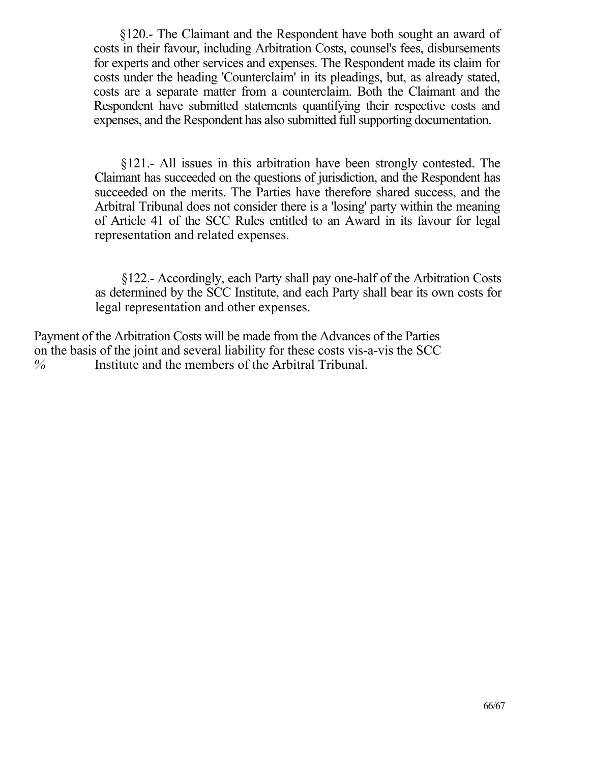§120.- The Claimant and the Respondent have both sought an award of costs in their favour, including Arbitration Costs, counsel's fees, disbursements for experts and other services and expenses. The Respondent made its claim for costs under the heading 'Counterclaim' in its pleadings, but, as already stated, costs are a separate matter from a counterclaim. Both the Claimant and the Respondent have submitted statements quantifying their respective costs and expenses, and the Respondent has also submitted full supporting documentation.

§121.- All issues in this arbitration have been strongly contested. The Claimant has succeeded on the questions of jurisdiction, and the Respondent has succeeded on the merits. The Parties have therefore shared success, and the Arbitral Tribunal does not consider there is a 'losing' party within the meaning of Article 41 of the SCC Rules entitled to an Award in its favour for legal representation and related expenses.

§122.- Accordingly, each Party shall pay one-half of the Arbitration Costs as determined by the SCC Institute, and each Party shall bear its own costs for legal representation and other expenses.

Payment of the Arbitration Costs will be made from the Advances of the Parties on the basis of the joint and several liability for these costs vis-a-vis the SCC *%* Institute and the members of the Arbitral Tribunal.